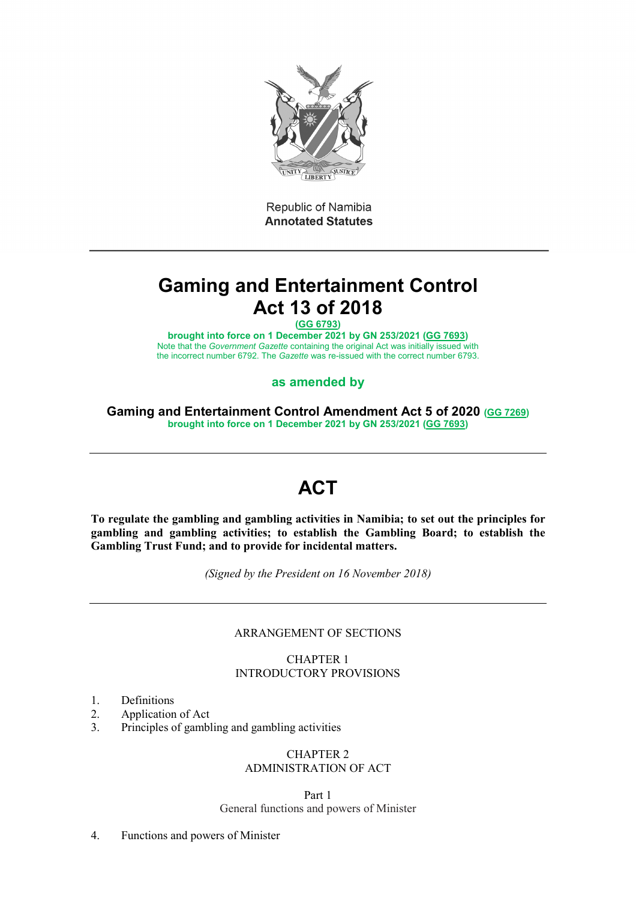

Republic of Namibia **Annotated Statutes** 

# **Gaming and Entertainment Control Act 13 of 2018**

**[\(GG 6793\)](http://www.lac.org.na/laws/2018/6793.pdf)**

**brought into force on 1 December 2021 by GN 253/2021 [\(GG 7693\)](http://www.lac.org.na/laws/2021/7693.pdf)** Note that the *Government Gazette* containing the original Act was initially issued with the incorrect number 6792. The *Gazette* was re-issued with the correct number 6793.

# **as amended by**

**Gaming and Entertainment Control Amendment Act 5 of 2020 [\(GG 7269\)](http://www.lac.org.na/laws/2020/7269.pdf) brought into force on 1 December 2021 by GN 253/2021 [\(GG 7693\)](http://www.lac.org.na/laws/2021/7693.pdf)**

# **ACT**

**To regulate the gambling and gambling activities in Namibia; to set out the principles for gambling and gambling activities; to establish the Gambling Board; to establish the Gambling Trust Fund; and to provide for incidental matters.**

*(Signed by the President on 16 November 2018)*

## ARRANGEMENT OF SECTIONS

CHAPTER 1 INTRODUCTORY PROVISIONS

- 1. Definitions
- 2. Application of Act
- 3. Principles of gambling and gambling activities

# CHAPTER 2 ADMINISTRATION OF ACT

Part 1 General functions and powers of Minister

4. Functions and powers of Minister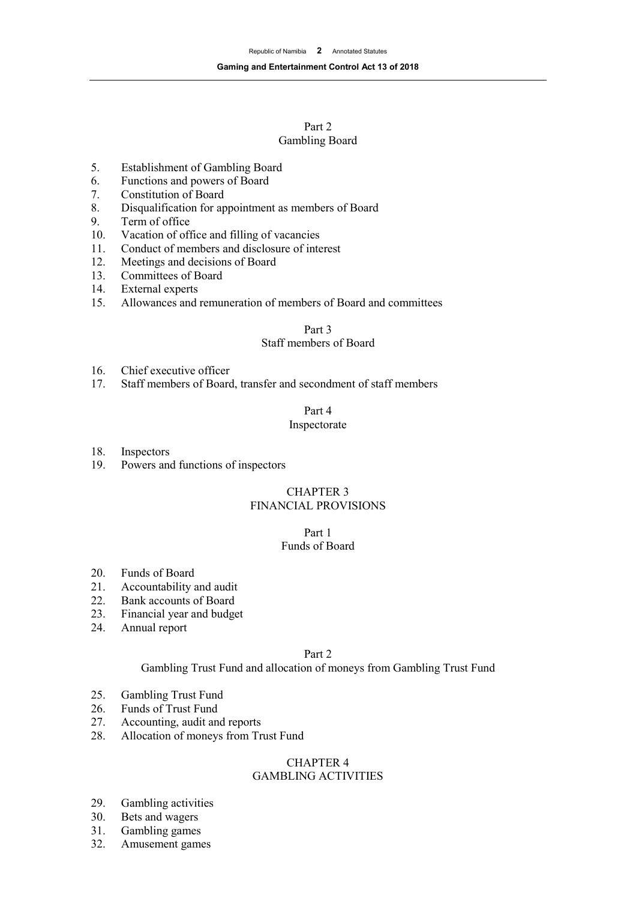## Part 2 Gambling Board

- 5. Establishment of Gambling Board<br>6. Functions and powers of Board
- Functions and powers of Board
- 7. Constitution of Board<br>8. Disqualification for an
- 8. Disqualification for appointment as members of Board<br>9. Term of office
- Term of office
- 10. Vacation of office and filling of vacancies
- 11. Conduct of members and disclosure of interest
- 12. Meetings and decisions of Board<br>13. Committees of Board
- 13. Committees of Board<br>14. External experts
- 14. External experts<br>15. Allowances and
- Allowances and remuneration of members of Board and committees

#### Part 3

## Staff members of Board

- 16. Chief executive officer<br>17. Staff members of Board
- Staff members of Board, transfer and secondment of staff members

## Part 4

#### Inspectorate

18. Inspectors

19. Powers and functions of inspectors

## CHAPTER 3 FINANCIAL PROVISIONS

## Part 1

# Funds of Board

- 20. Funds of Board<br>21. Accountability
- Accountability and audit
- 22. Bank accounts of Board
- 23. Financial year and budget
- 24. Annual report

#### Part 2

## Gambling Trust Fund and allocation of moneys from Gambling Trust Fund

- 25. Gambling Trust Fund
- 26. Funds of Trust Fund
- 27. Accounting, audit and reports
- 28. Allocation of moneys from Trust Fund

#### CHAPTER 4 GAMBLING ACTIVITIES

- 29. Gambling activities
- 30. Bets and wagers
- 31. Gambling games
- 32. Amusement games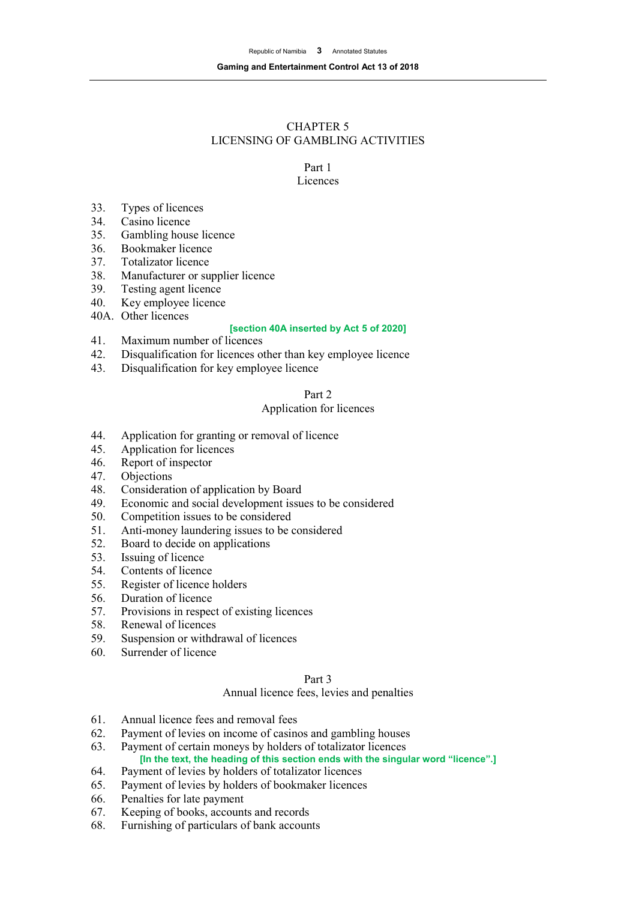# CHAPTER 5 LICENSING OF GAMBLING ACTIVITIES

# Part 1

# Licences

- 33. Types of licences
- Casino licence
- 35. Gambling house licence
- 36. Bookmaker licence
- 37. Totalizator licence<br>38. Manufacturer or su
- 38. Manufacturer or supplier licence<br>39. Testing agent licence
- 39. Testing agent licence<br>40. Key employee licence
- Key employee licence
- 40A. Other licences

#### **[section 40A inserted by Act 5 of 2020]**

- 41. Maximum number of licences
- 42. Disqualification for licences other than key employee licence
- 43. Disqualification for key employee licence

# Part 2

## Application for licences

- 44. Application for granting or removal of licence
- 45. Application for licences
- 46. Report of inspector 47. Objections
- **Objections**
- 48. Consideration of application by Board<br>49. Economic and social development issue
- Economic and social development issues to be considered
- 50. Competition issues to be considered
- 51. Anti-money laundering issues to be considered
- 52. Board to decide on applications<br>53. Issuing of licence
- Issuing of licence
- 54. Contents of licence
- 55. Register of licence holders
- 56. Duration of licence
- 57. Provisions in respect of existing licences
- 58. Renewal of licences
- 59. Suspension or withdrawal of licences
- 60. Surrender of licence

## Part 3

#### Annual licence fees, levies and penalties

- 61. Annual licence fees and removal fees
- 62. Payment of levies on income of casinos and gambling houses
- 63. Payment of certain moneys by holders of totalizator licences **[In the text, the heading of this section ends with the singular word "licence".]**
- 64. Payment of levies by holders of totalizator licences
- 65. Payment of levies by holders of bookmaker licences
- 66. Penalties for late payment
- 67. Keeping of books, accounts and records
- 68. Furnishing of particulars of bank accounts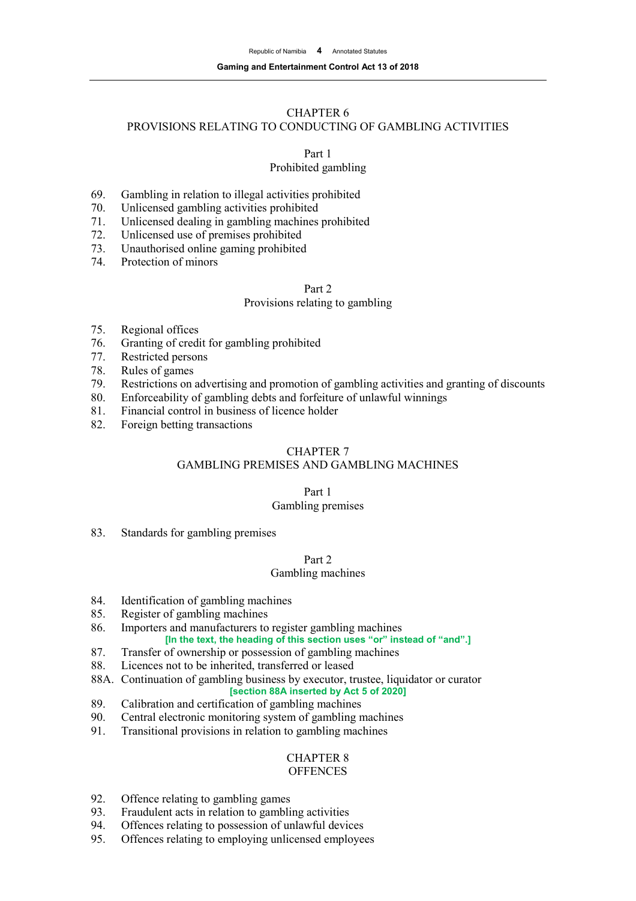#### **Gaming and Entertainment Control Act 13 of 2018**

## CHAPTER 6

## PROVISIONS RELATING TO CONDUCTING OF GAMBLING ACTIVITIES

Part 1

## Prohibited gambling

- 69. Gambling in relation to illegal activities prohibited<br>70. Unlicensed gambling activities prohibited
- 70. Unlicensed gambling activities prohibited<br>71. Unlicensed dealing in gambling machines
- Unlicensed dealing in gambling machines prohibited
- 72. Unlicensed use of premises prohibited
- 73. Unauthorised online gaming prohibited
- 74. Protection of minors

# Part 2

## Provisions relating to gambling

- 75. Regional offices
- 76. Granting of credit for gambling prohibited
- 77. Restricted persons
- 78. Rules of games<br>79. Restrictions on
- Restrictions on advertising and promotion of gambling activities and granting of discounts
- 80. Enforceability of gambling debts and forfeiture of unlawful winnings
- 81. Financial control in business of licence holder
- 82. Foreign betting transactions

# CHAPTER 7

# GAMBLING PREMISES AND GAMBLING MACHINES

# Part 1

## Gambling premises

83. Standards for gambling premises

## Part 2

# Gambling machines

- 84. Identification of gambling machines
- 85. Register of gambling machines
- 86. Importers and manufacturers to register gambling machines **[In the text, the heading of this section uses "or" instead of "and".]**
- 87. Transfer of ownership or possession of gambling machines
- 88. Licences not to be inherited, transferred or leased
- 88A. Continuation of gambling business by executor, trustee, liquidator or curator

# **[section 88A inserted by Act 5 of 2020]**

- 89. Calibration and certification of gambling machines
- 90. Central electronic monitoring system of gambling machines
- 91. Transitional provisions in relation to gambling machines

#### CHAPTER 8 **OFFENCES**

- 92. Offence relating to gambling games
- 93. Fraudulent acts in relation to gambling activities
- 94. Offences relating to possession of unlawful devices
- 95. Offences relating to employing unlicensed employees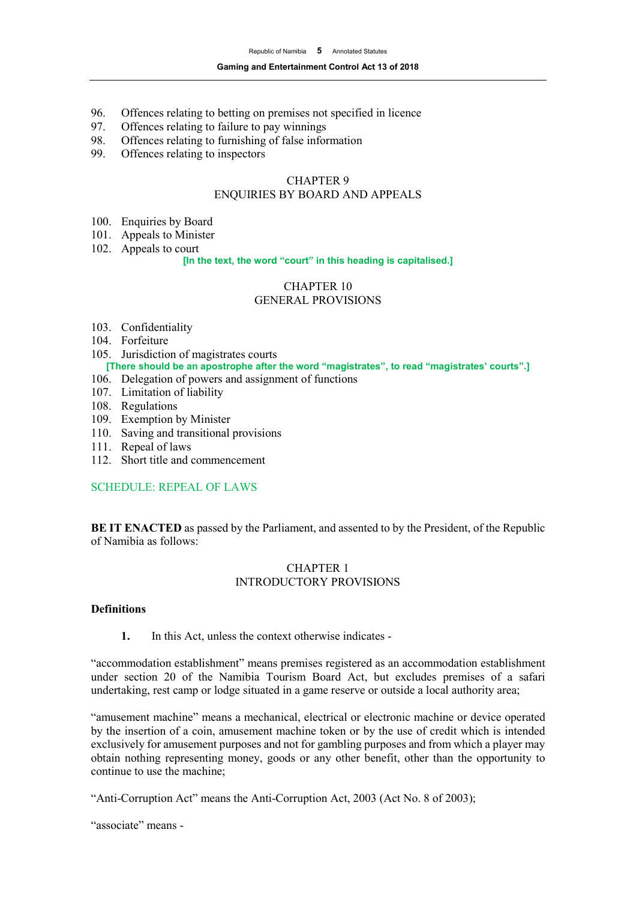- 96. Offences relating to betting on premises not specified in licence<br>97. Offences relating to failure to pay winnings
- 97. Offences relating to failure to pay winnings<br>98. Offences relating to furnishing of false infor
- 98. Offences relating to furnishing of false information<br>99. Offences relating to inspectors
- Offences relating to inspectors

## CHAPTER 9 ENQUIRIES BY BOARD AND APPEALS

- 100. Enquiries by Board
- 101. Appeals to Minister
- 102. Appeals to court

#### **[In the text, the word "court" in this heading is capitalised.]**

#### CHAPTER 10 GENERAL PROVISIONS

- 103. Confidentiality
- 104. Forfeiture
- 105. Jurisdiction of magistrates courts **[There should be an apostrophe after the word "magistrates", to read "magistrates' courts".]**
- 106. Delegation of powers and assignment of functions
- 107. Limitation of liability
- 108. Regulations
- 109. Exemption by Minister
- 110. Saving and transitional provisions
- 111. Repeal of laws
- 112. Short title and commencement

## SCHEDULE: REPEAL OF LAWS

**BE IT ENACTED** as passed by the Parliament, and assented to by the President, of the Republic of Namibia as follows:

## CHAPTER 1 INTRODUCTORY PROVISIONS

#### **Definitions**

**1.** In this Act, unless the context otherwise indicates -

"accommodation establishment" means premises registered as an accommodation establishment under section 20 of the Namibia Tourism Board Act, but excludes premises of a safari undertaking, rest camp or lodge situated in a game reserve or outside a local authority area;

"amusement machine" means a mechanical, electrical or electronic machine or device operated by the insertion of a coin, amusement machine token or by the use of credit which is intended exclusively for amusement purposes and not for gambling purposes and from which a player may obtain nothing representing money, goods or any other benefit, other than the opportunity to continue to use the machine;

"Anti-Corruption Act" means the Anti-Corruption Act, 2003 (Act No. 8 of 2003);

"associate" means -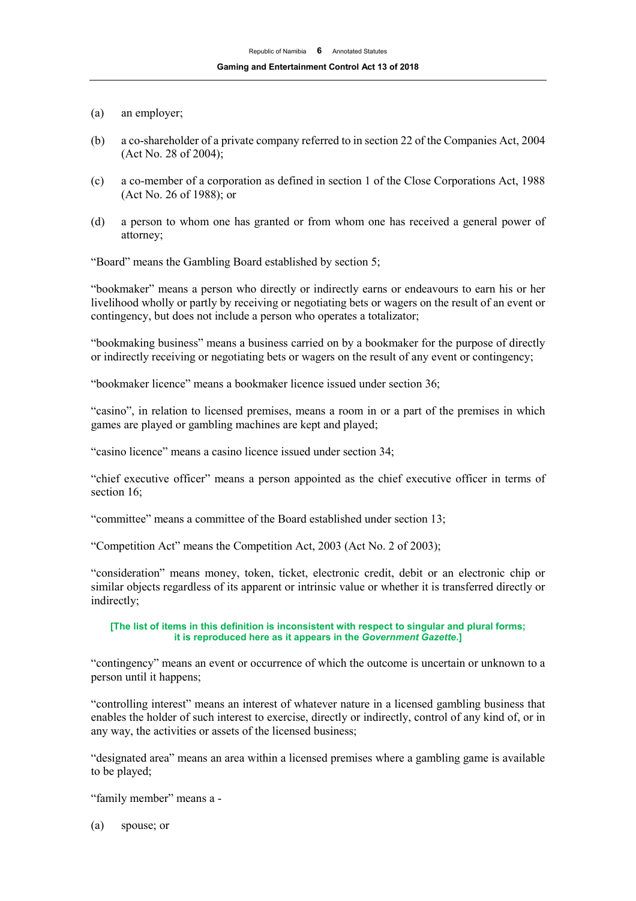- (a) an employer;
- (b) a co-shareholder of a private company referred to in section 22 of the Companies Act, 2004 (Act No. 28 of 2004);
- (c) a co-member of a corporation as defined in section 1 of the Close Corporations Act, 1988 (Act No. 26 of 1988); or
- (d) a person to whom one has granted or from whom one has received a general power of attorney;

"Board" means the Gambling Board established by section 5;

"bookmaker" means a person who directly or indirectly earns or endeavours to earn his or her livelihood wholly or partly by receiving or negotiating bets or wagers on the result of an event or contingency, but does not include a person who operates a totalizator;

"bookmaking business" means a business carried on by a bookmaker for the purpose of directly or indirectly receiving or negotiating bets or wagers on the result of any event or contingency;

"bookmaker licence" means a bookmaker licence issued under section 36;

"casino", in relation to licensed premises, means a room in or a part of the premises in which games are played or gambling machines are kept and played;

"casino licence" means a casino licence issued under section 34;

"chief executive officer" means a person appointed as the chief executive officer in terms of section 16;

"committee" means a committee of the Board established under section 13;

"Competition Act" means the Competition Act, 2003 (Act No. 2 of 2003);

"consideration" means money, token, ticket, electronic credit, debit or an electronic chip or similar objects regardless of its apparent or intrinsic value or whether it is transferred directly or indirectly;

#### **[The list of items in this definition is inconsistent with respect to singular and plural forms; it is reproduced here as it appears in the** *Government Gazette***.]**

"contingency" means an event or occurrence of which the outcome is uncertain or unknown to a person until it happens;

"controlling interest" means an interest of whatever nature in a licensed gambling business that enables the holder of such interest to exercise, directly or indirectly, control of any kind of, or in any way, the activities or assets of the licensed business;

"designated area" means an area within a licensed premises where a gambling game is available to be played;

"family member" means a -

(a) spouse; or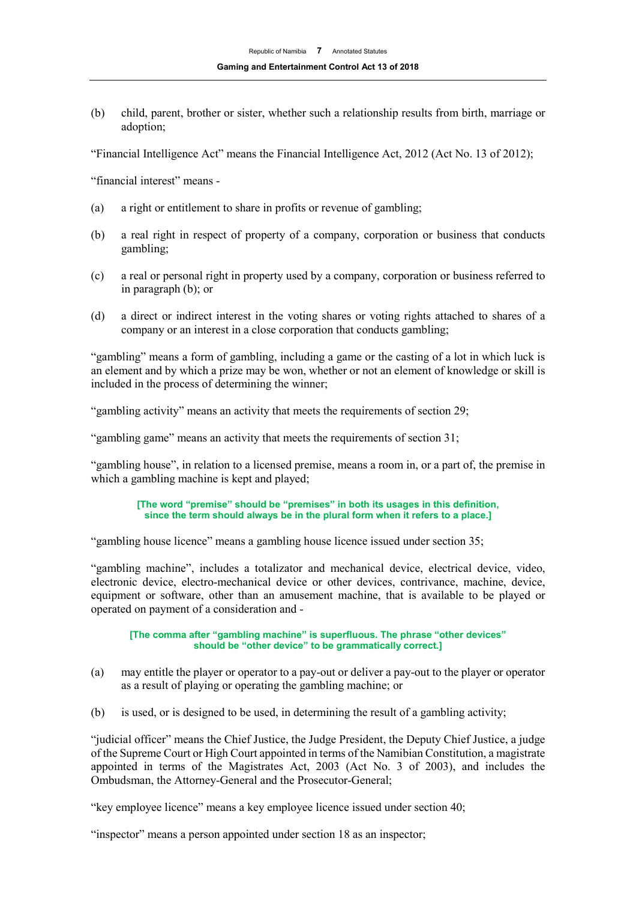(b) child, parent, brother or sister, whether such a relationship results from birth, marriage or adoption;

"Financial Intelligence Act" means the Financial Intelligence Act, 2012 (Act No. 13 of 2012);

"financial interest" means -

- (a) a right or entitlement to share in profits or revenue of gambling;
- (b) a real right in respect of property of a company, corporation or business that conducts gambling;
- (c) a real or personal right in property used by a company, corporation or business referred to in paragraph (b); or
- (d) a direct or indirect interest in the voting shares or voting rights attached to shares of a company or an interest in a close corporation that conducts gambling;

"gambling" means a form of gambling, including a game or the casting of a lot in which luck is an element and by which a prize may be won, whether or not an element of knowledge or skill is included in the process of determining the winner;

"gambling activity" means an activity that meets the requirements of section 29;

"gambling game" means an activity that meets the requirements of section 31;

"gambling house", in relation to a licensed premise, means a room in, or a part of, the premise in which a gambling machine is kept and played;

#### **[The word "premise" should be "premises" in both its usages in this definition, since the term should always be in the plural form when it refers to a place.]**

"gambling house licence" means a gambling house licence issued under section 35;

"gambling machine", includes a totalizator and mechanical device, electrical device, video, electronic device, electro-mechanical device or other devices, contrivance, machine, device, equipment or software, other than an amusement machine, that is available to be played or operated on payment of a consideration and -

**[The comma after "gambling machine" is superfluous. The phrase "other devices" should be "other device" to be grammatically correct.]**

- (a) may entitle the player or operator to a pay-out or deliver a pay-out to the player or operator as a result of playing or operating the gambling machine; or
- (b) is used, or is designed to be used, in determining the result of a gambling activity;

"judicial officer" means the Chief Justice, the Judge President, the Deputy Chief Justice, a judge of the Supreme Court or High Court appointed in terms of the Namibian Constitution, a magistrate appointed in terms of the Magistrates Act, 2003 (Act No. 3 of 2003), and includes the Ombudsman, the Attorney-General and the Prosecutor-General;

"key employee licence" means a key employee licence issued under section 40;

"inspector" means a person appointed under section 18 as an inspector;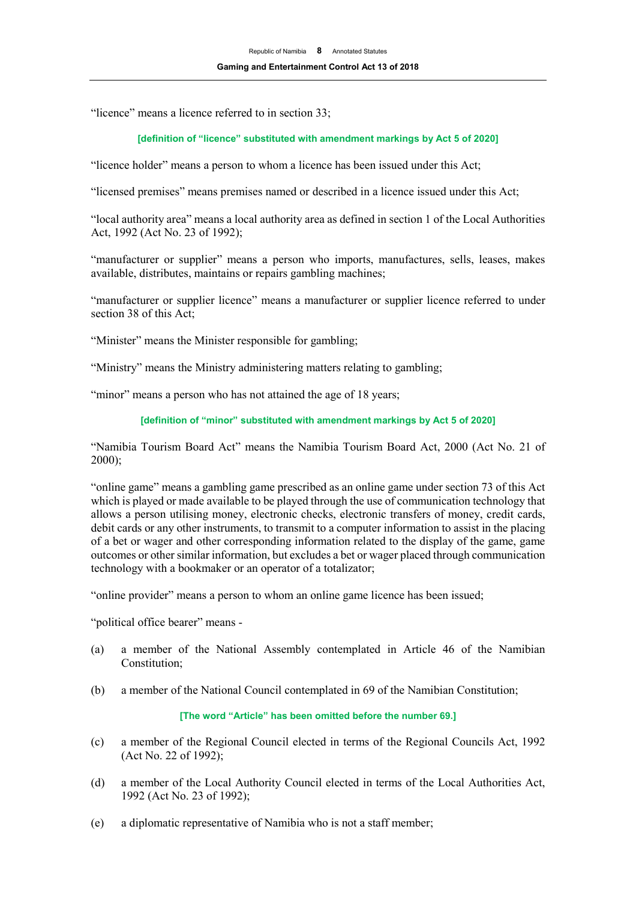"licence" means a licence referred to in section 33;

#### **[definition of "licence" substituted with amendment markings by Act 5 of 2020]**

"licence holder" means a person to whom a licence has been issued under this Act;

"licensed premises" means premises named or described in a licence issued under this Act;

"local authority area" means a local authority area as defined in section 1 of the Local Authorities Act, 1992 (Act No. 23 of 1992);

"manufacturer or supplier" means a person who imports, manufactures, sells, leases, makes available, distributes, maintains or repairs gambling machines;

"manufacturer or supplier licence" means a manufacturer or supplier licence referred to under section 38 of this Act;

"Minister" means the Minister responsible for gambling;

"Ministry" means the Ministry administering matters relating to gambling;

"minor" means a person who has not attained the age of 18 years;

**[definition of "minor" substituted with amendment markings by Act 5 of 2020]**

"Namibia Tourism Board Act" means the Namibia Tourism Board Act, 2000 (Act No. 21 of 2000);

"online game" means a gambling game prescribed as an online game under section 73 of this Act which is played or made available to be played through the use of communication technology that allows a person utilising money, electronic checks, electronic transfers of money, credit cards, debit cards or any other instruments, to transmit to a computer information to assist in the placing of a bet or wager and other corresponding information related to the display of the game, game outcomes or other similar information, but excludes a bet or wager placed through communication technology with a bookmaker or an operator of a totalizator;

"online provider" means a person to whom an online game licence has been issued;

"political office bearer" means -

- (a) a member of the National Assembly contemplated in Article 46 of the Namibian Constitution;
- (b) a member of the National Council contemplated in 69 of the Namibian Constitution;

#### **[The word "Article" has been omitted before the number 69.]**

- (c) a member of the Regional Council elected in terms of the Regional Councils Act, 1992 (Act No. 22 of 1992);
- (d) a member of the Local Authority Council elected in terms of the Local Authorities Act, 1992 (Act No. 23 of 1992);
- (e) a diplomatic representative of Namibia who is not a staff member;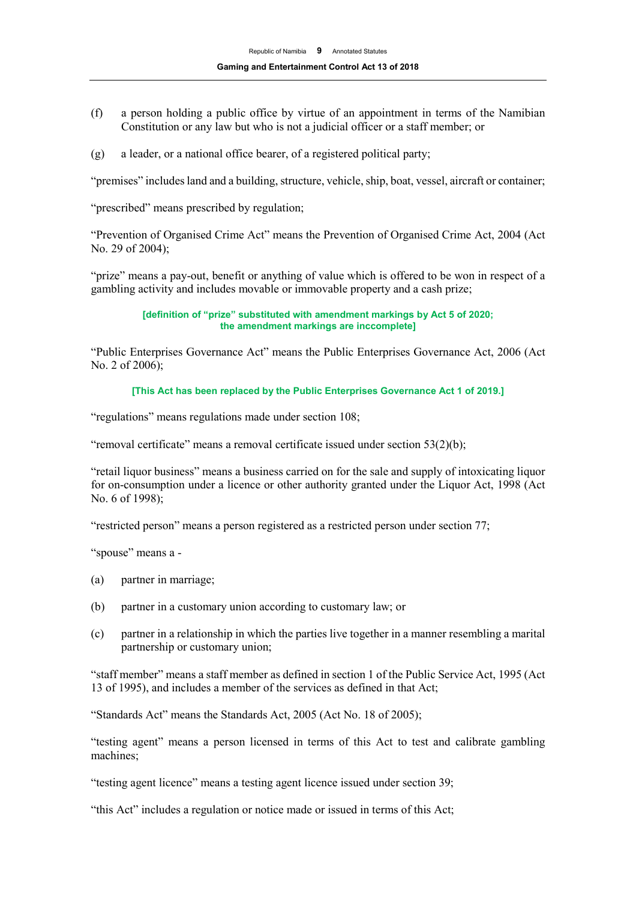- (f) a person holding a public office by virtue of an appointment in terms of the Namibian Constitution or any law but who is not a judicial officer or a staff member; or
- (g) a leader, or a national office bearer, of a registered political party;

"premises" includes land and a building, structure, vehicle, ship, boat, vessel, aircraft or container;

"prescribed" means prescribed by regulation;

"Prevention of Organised Crime Act" means the Prevention of Organised Crime Act, 2004 (Act No. 29 of 2004);

"prize" means a pay-out, benefit or anything of value which is offered to be won in respect of a gambling activity and includes movable or immovable property and a cash prize;

> **[definition of "prize" substituted with amendment markings by Act 5 of 2020; the amendment markings are inccomplete]**

"Public Enterprises Governance Act" means the Public Enterprises Governance Act, 2006 (Act No. 2 of 2006);

**[This Act has been replaced by the Public Enterprises Governance Act 1 of 2019.]**

"regulations" means regulations made under section 108;

"removal certificate" means a removal certificate issued under section 53(2)(b);

"retail liquor business" means a business carried on for the sale and supply of intoxicating liquor for on-consumption under a licence or other authority granted under the Liquor Act, 1998 (Act No. 6 of 1998);

"restricted person" means a person registered as a restricted person under section 77;

"spouse" means a -

- (a) partner in marriage;
- (b) partner in a customary union according to customary law; or
- (c) partner in a relationship in which the parties live together in a manner resembling a marital partnership or customary union;

"staff member" means a staff member as defined in section 1 of the Public Service Act, 1995 (Act 13 of 1995), and includes a member of the services as defined in that Act;

"Standards Act" means the Standards Act, 2005 (Act No. 18 of 2005);

"testing agent" means a person licensed in terms of this Act to test and calibrate gambling machines;

"testing agent licence" means a testing agent licence issued under section 39;

"this Act" includes a regulation or notice made or issued in terms of this Act;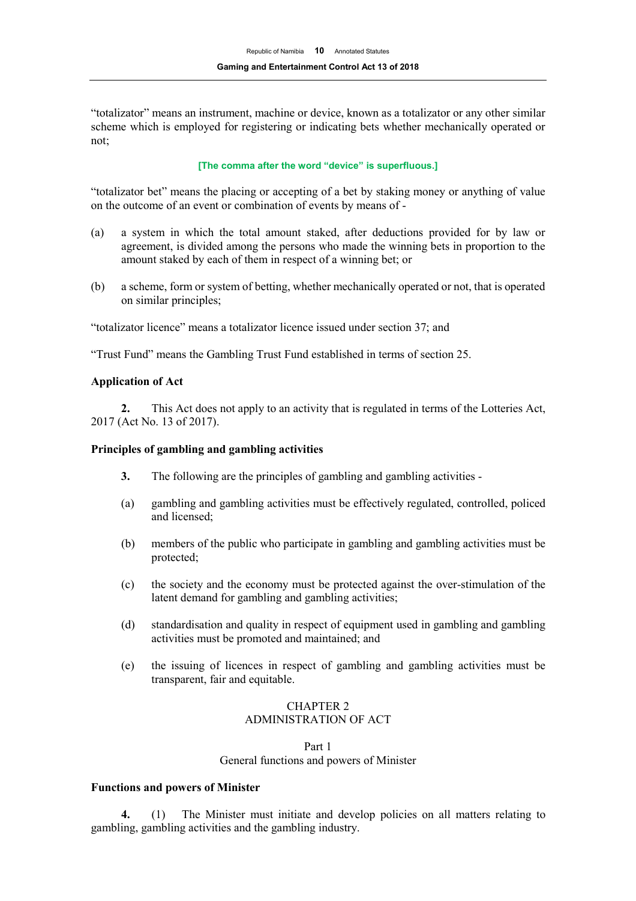"totalizator" means an instrument, machine or device, known as a totalizator or any other similar scheme which is employed for registering or indicating bets whether mechanically operated or not;

#### **[The comma after the word "device" is superfluous.]**

"totalizator bet" means the placing or accepting of a bet by staking money or anything of value on the outcome of an event or combination of events by means of -

- (a) a system in which the total amount staked, after deductions provided for by law or agreement, is divided among the persons who made the winning bets in proportion to the amount staked by each of them in respect of a winning bet; or
- (b) a scheme, form or system of betting, whether mechanically operated or not, that is operated on similar principles;

"totalizator licence" means a totalizator licence issued under section 37; and

"Trust Fund" means the Gambling Trust Fund established in terms of section 25.

#### **Application of Act**

**2.** This Act does not apply to an activity that is regulated in terms of the Lotteries Act, 2017 (Act No. 13 of 2017).

#### **Principles of gambling and gambling activities**

- **3.** The following are the principles of gambling and gambling activities -
- (a) gambling and gambling activities must be effectively regulated, controlled, policed and licensed;
- (b) members of the public who participate in gambling and gambling activities must be protected;
- (c) the society and the economy must be protected against the over-stimulation of the latent demand for gambling and gambling activities;
- (d) standardisation and quality in respect of equipment used in gambling and gambling activities must be promoted and maintained; and
- (e) the issuing of licences in respect of gambling and gambling activities must be transparent, fair and equitable.

## CHAPTER 2 ADMINISTRATION OF ACT

Part 1 General functions and powers of Minister

#### **Functions and powers of Minister**

**4.** (1) The Minister must initiate and develop policies on all matters relating to gambling, gambling activities and the gambling industry.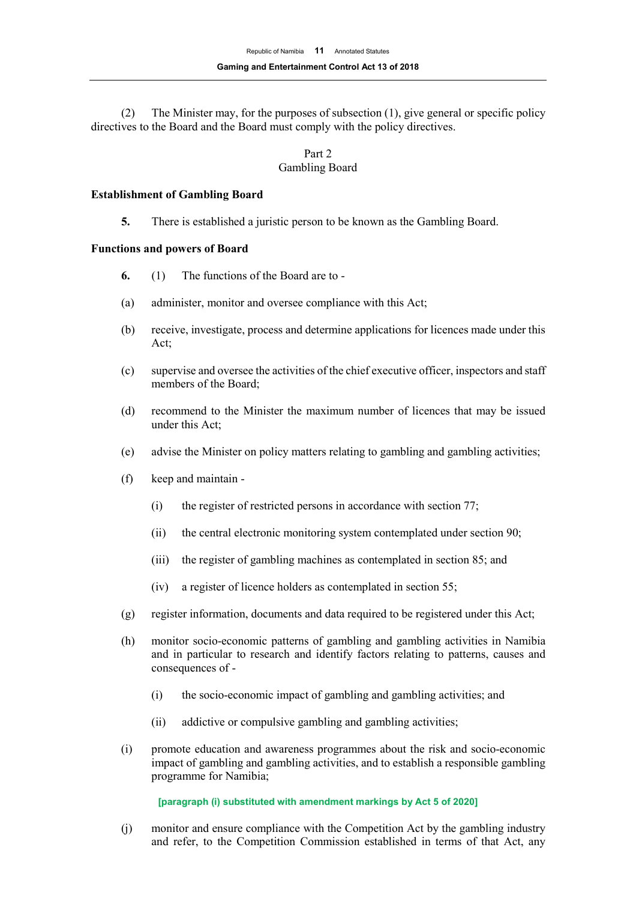(2) The Minister may, for the purposes of subsection (1), give general or specific policy directives to the Board and the Board must comply with the policy directives.

## Part 2 Gambling Board

#### **Establishment of Gambling Board**

**5.** There is established a juristic person to be known as the Gambling Board.

#### **Functions and powers of Board**

- **6.** (1) The functions of the Board are to -
- (a) administer, monitor and oversee compliance with this Act;
- (b) receive, investigate, process and determine applications for licences made under this Act;
- (c) supervise and oversee the activities of the chief executive officer, inspectors and staff members of the Board;
- (d) recommend to the Minister the maximum number of licences that may be issued under this Act;
- (e) advise the Minister on policy matters relating to gambling and gambling activities;
- (f) keep and maintain
	- (i) the register of restricted persons in accordance with section 77;
	- (ii) the central electronic monitoring system contemplated under section 90;
	- (iii) the register of gambling machines as contemplated in section 85; and
	- (iv) a register of licence holders as contemplated in section 55;
- (g) register information, documents and data required to be registered under this Act;
- (h) monitor socio-economic patterns of gambling and gambling activities in Namibia and in particular to research and identify factors relating to patterns, causes and consequences of -
	- (i) the socio-economic impact of gambling and gambling activities; and
	- (ii) addictive or compulsive gambling and gambling activities;
- (i) promote education and awareness programmes about the risk and socio-economic impact of gambling and gambling activities, and to establish a responsible gambling programme for Namibia;

#### **[paragraph (i) substituted with amendment markings by Act 5 of 2020]**

(j) monitor and ensure compliance with the Competition Act by the gambling industry and refer, to the Competition Commission established in terms of that Act, any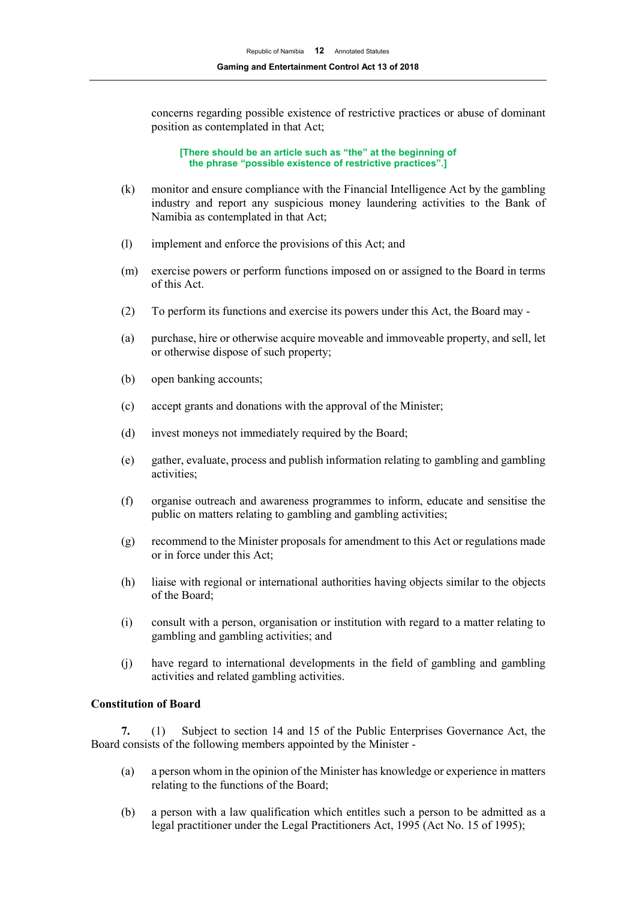concerns regarding possible existence of restrictive practices or abuse of dominant position as contemplated in that Act;

**[There should be an article such as "the" at the beginning of the phrase "possible existence of restrictive practices".]**

- (k) monitor and ensure compliance with the Financial Intelligence Act by the gambling industry and report any suspicious money laundering activities to the Bank of Namibia as contemplated in that Act;
- (l) implement and enforce the provisions of this Act; and
- (m) exercise powers or perform functions imposed on or assigned to the Board in terms of this Act.
- (2) To perform its functions and exercise its powers under this Act, the Board may -
- (a) purchase, hire or otherwise acquire moveable and immoveable property, and sell, let or otherwise dispose of such property;
- (b) open banking accounts;
- (c) accept grants and donations with the approval of the Minister;
- (d) invest moneys not immediately required by the Board;
- (e) gather, evaluate, process and publish information relating to gambling and gambling activities;
- (f) organise outreach and awareness programmes to inform, educate and sensitise the public on matters relating to gambling and gambling activities;
- (g) recommend to the Minister proposals for amendment to this Act or regulations made or in force under this Act;
- (h) liaise with regional or international authorities having objects similar to the objects of the Board;
- (i) consult with a person, organisation or institution with regard to a matter relating to gambling and gambling activities; and
- (j) have regard to international developments in the field of gambling and gambling activities and related gambling activities.

#### **Constitution of Board**

**7.** (1) Subject to section 14 and 15 of the Public Enterprises Governance Act, the Board consists of the following members appointed by the Minister -

- (a) a person whom in the opinion of the Minister has knowledge or experience in matters relating to the functions of the Board;
- (b) a person with a law qualification which entitles such a person to be admitted as a legal practitioner under the Legal Practitioners Act, 1995 (Act No. 15 of 1995);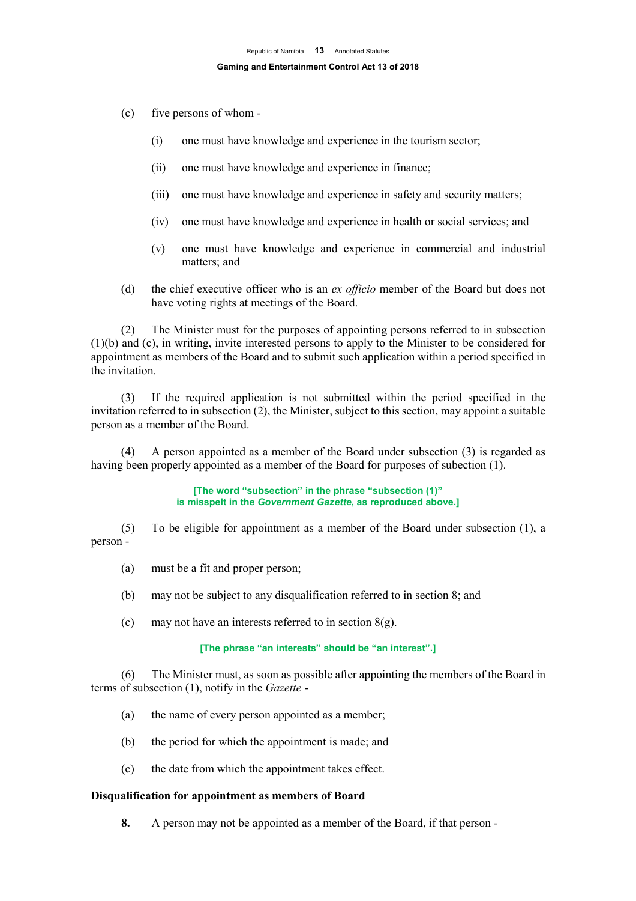- (c) five persons of whom
	- (i) one must have knowledge and experience in the tourism sector;
	- (ii) one must have knowledge and experience in finance;
	- (iii) one must have knowledge and experience in safety and security matters;
	- (iv) one must have knowledge and experience in health or social services; and
	- (v) one must have knowledge and experience in commercial and industrial matters; and
- (d) the chief executive officer who is an *ex officio* member of the Board but does not have voting rights at meetings of the Board.

(2) The Minister must for the purposes of appointing persons referred to in subsection (1)(b) and (c), in writing, invite interested persons to apply to the Minister to be considered for appointment as members of the Board and to submit such application within a period specified in the invitation.

(3) If the required application is not submitted within the period specified in the invitation referred to in subsection (2), the Minister, subject to this section, may appoint a suitable person as a member of the Board.

(4) A person appointed as a member of the Board under subsection (3) is regarded as having been properly appointed as a member of the Board for purposes of subection (1).

> **[The word "subsection" in the phrase "subsection (1)" is misspelt in the** *Government Gazette***, as reproduced above.]**

(5) To be eligible for appointment as a member of the Board under subsection (1), a person -

- (a) must be a fit and proper person;
- (b) may not be subject to any disqualification referred to in section 8; and
- (c) may not have an interests referred to in section  $8(g)$ .

#### **[The phrase "an interests" should be "an interest".]**

(6) The Minister must, as soon as possible after appointing the members of the Board in terms of subsection (1), notify in the *Gazette* -

- (a) the name of every person appointed as a member;
- (b) the period for which the appointment is made; and
- (c) the date from which the appointment takes effect.

## **Disqualification for appointment as members of Board**

**8.** A person may not be appointed as a member of the Board, if that person -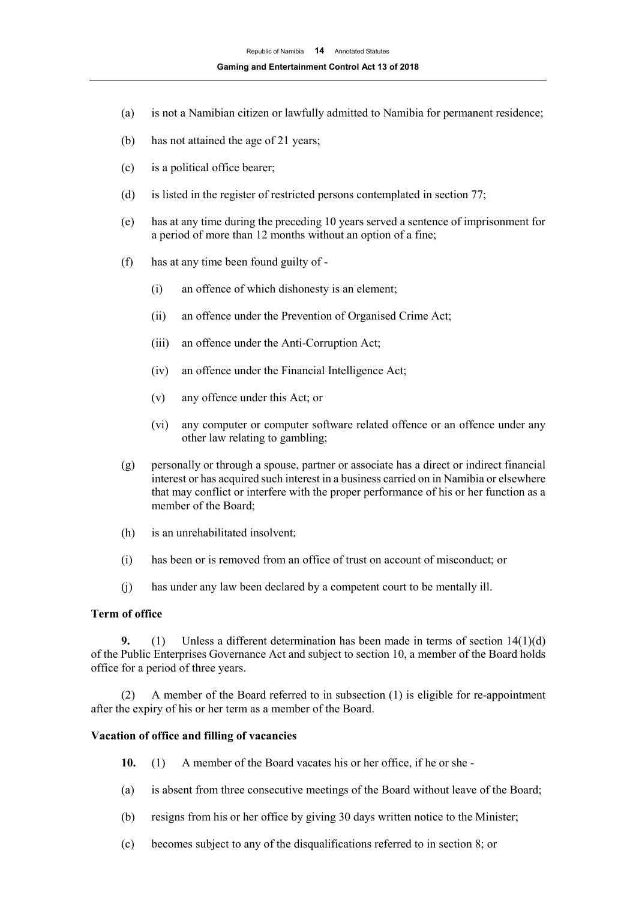- (a) is not a Namibian citizen or lawfully admitted to Namibia for permanent residence;
- (b) has not attained the age of 21 years;
- (c) is a political office bearer;
- (d) is listed in the register of restricted persons contemplated in section 77;
- (e) has at any time during the preceding 10 years served a sentence of imprisonment for a period of more than 12 months without an option of a fine;
- (f) has at any time been found guilty of
	- (i) an offence of which dishonesty is an element;
	- (ii) an offence under the Prevention of Organised Crime Act;
	- (iii) an offence under the Anti-Corruption Act;
	- (iv) an offence under the Financial Intelligence Act;
	- (v) any offence under this Act; or
	- (vi) any computer or computer software related offence or an offence under any other law relating to gambling;
- (g) personally or through a spouse, partner or associate has a direct or indirect financial interest or has acquired such interest in a business carried on in Namibia or elsewhere that may conflict or interfere with the proper performance of his or her function as a member of the Board;
- (h) is an unrehabilitated insolvent;
- (i) has been or is removed from an office of trust on account of misconduct; or
- (j) has under any law been declared by a competent court to be mentally ill.

## **Term of office**

**9.** (1) Unless a different determination has been made in terms of section 14(1)(d) of the Public Enterprises Governance Act and subject to section 10, a member of the Board holds office for a period of three years.

(2) A member of the Board referred to in subsection (1) is eligible for re-appointment after the expiry of his or her term as a member of the Board.

#### **Vacation of office and filling of vacancies**

- **10.** (1) A member of the Board vacates his or her office, if he or she -
- (a) is absent from three consecutive meetings of the Board without leave of the Board;
- (b) resigns from his or her office by giving 30 days written notice to the Minister;
- (c) becomes subject to any of the disqualifications referred to in section 8; or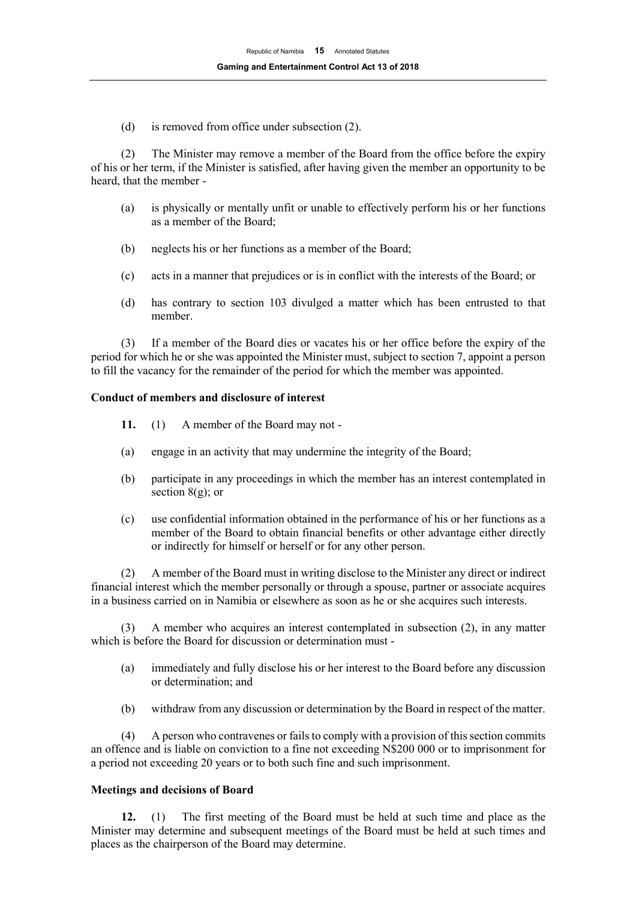(d) is removed from office under subsection (2).

(2) The Minister may remove a member of the Board from the office before the expiry of his or her term, if the Minister is satisfied, after having given the member an opportunity to be heard, that the member -

- (a) is physically or mentally unfit or unable to effectively perform his or her functions as a member of the Board;
- (b) neglects his or her functions as a member of the Board;
- (c) acts in a manner that prejudices or is in conflict with the interests of the Board; or
- (d) has contrary to section 103 divulged a matter which has been entrusted to that member.

(3) If a member of the Board dies or vacates his or her office before the expiry of the period for which he or she was appointed the Minister must, subject to section 7, appoint a person to fill the vacancy for the remainder of the period for which the member was appointed.

## **Conduct of members and disclosure of interest**

- **11.** (1) A member of the Board may not -
- (a) engage in an activity that may undermine the integrity of the Board;
- (b) participate in any proceedings in which the member has an interest contemplated in section  $8(g)$ ; or
- (c) use confidential information obtained in the performance of his or her functions as a member of the Board to obtain financial benefits or other advantage either directly or indirectly for himself or herself or for any other person.

(2) A member of the Board must in writing disclose to the Minister any direct or indirect financial interest which the member personally or through a spouse, partner or associate acquires in a business carried on in Namibia or elsewhere as soon as he or she acquires such interests.

(3) A member who acquires an interest contemplated in subsection (2), in any matter which is before the Board for discussion or determination must -

- (a) immediately and fully disclose his or her interest to the Board before any discussion or determination; and
- (b) withdraw from any discussion or determination by the Board in respect of the matter.

(4) A person who contravenes or fails to comply with a provision of this section commits an offence and is liable on conviction to a fine not exceeding N\$200 000 or to imprisonment for a period not exceeding 20 years or to both such fine and such imprisonment.

## **Meetings and decisions of Board**

**12.** (1) The first meeting of the Board must be held at such time and place as the Minister may determine and subsequent meetings of the Board must be held at such times and places as the chairperson of the Board may determine.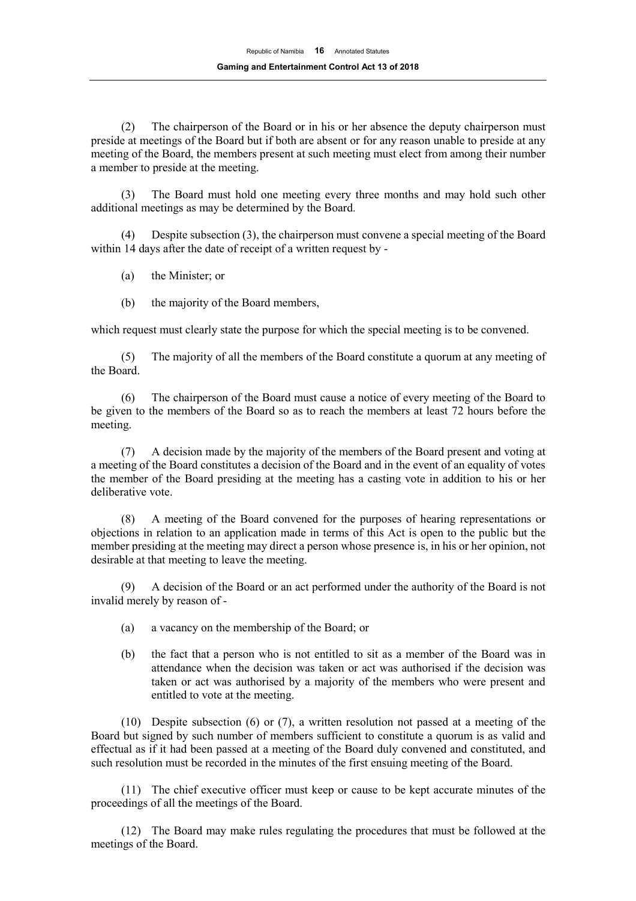(2) The chairperson of the Board or in his or her absence the deputy chairperson must preside at meetings of the Board but if both are absent or for any reason unable to preside at any meeting of the Board, the members present at such meeting must elect from among their number a member to preside at the meeting.

(3) The Board must hold one meeting every three months and may hold such other additional meetings as may be determined by the Board.

(4) Despite subsection (3), the chairperson must convene a special meeting of the Board within 14 days after the date of receipt of a written request by -

- (a) the Minister; or
- (b) the majority of the Board members,

which request must clearly state the purpose for which the special meeting is to be convened.

(5) The majority of all the members of the Board constitute a quorum at any meeting of the Board.

(6) The chairperson of the Board must cause a notice of every meeting of the Board to be given to the members of the Board so as to reach the members at least 72 hours before the meeting.

(7) A decision made by the majority of the members of the Board present and voting at a meeting of the Board constitutes a decision of the Board and in the event of an equality of votes the member of the Board presiding at the meeting has a casting vote in addition to his or her deliberative vote.

(8) A meeting of the Board convened for the purposes of hearing representations or objections in relation to an application made in terms of this Act is open to the public but the member presiding at the meeting may direct a person whose presence is, in his or her opinion, not desirable at that meeting to leave the meeting.

(9) A decision of the Board or an act performed under the authority of the Board is not invalid merely by reason of -

- (a) a vacancy on the membership of the Board; or
- (b) the fact that a person who is not entitled to sit as a member of the Board was in attendance when the decision was taken or act was authorised if the decision was taken or act was authorised by a majority of the members who were present and entitled to vote at the meeting.

(10) Despite subsection (6) or (7), a written resolution not passed at a meeting of the Board but signed by such number of members sufficient to constitute a quorum is as valid and effectual as if it had been passed at a meeting of the Board duly convened and constituted, and such resolution must be recorded in the minutes of the first ensuing meeting of the Board.

(11) The chief executive officer must keep or cause to be kept accurate minutes of the proceedings of all the meetings of the Board.

(12) The Board may make rules regulating the procedures that must be followed at the meetings of the Board.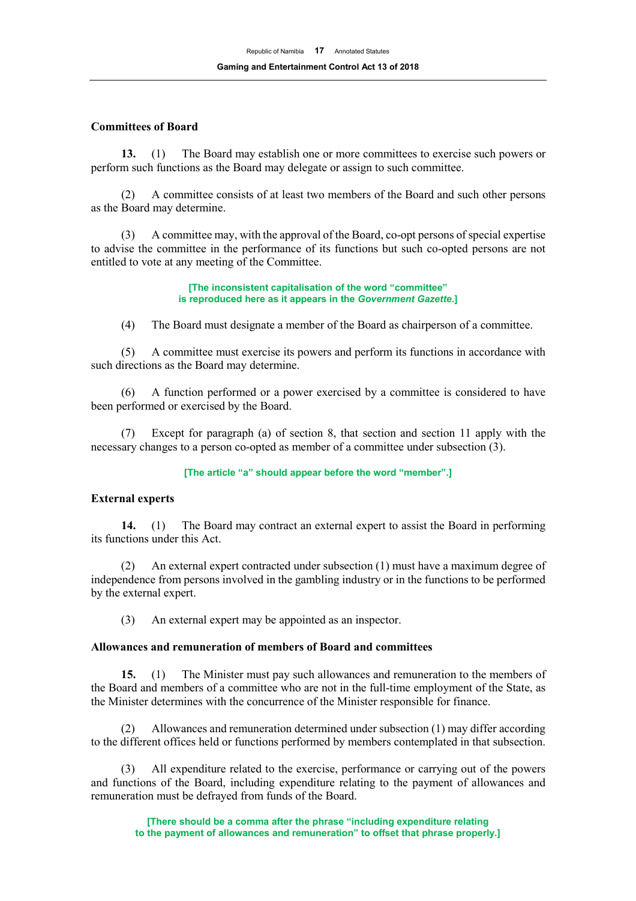## **Committees of Board**

**13.** (1) The Board may establish one or more committees to exercise such powers or perform such functions as the Board may delegate or assign to such committee.

(2) A committee consists of at least two members of the Board and such other persons as the Board may determine.

(3) A committee may, with the approval of the Board, co-opt persons of special expertise to advise the committee in the performance of its functions but such co-opted persons are not entitled to vote at any meeting of the Committee.

> **[The inconsistent capitalisation of the word "committee" is reproduced here as it appears in the** *Government Gazette***.]**

(4) The Board must designate a member of the Board as chairperson of a committee.

(5) A committee must exercise its powers and perform its functions in accordance with such directions as the Board may determine.

(6) A function performed or a power exercised by a committee is considered to have been performed or exercised by the Board.

(7) Except for paragraph (a) of section 8, that section and section 11 apply with the necessary changes to a person co-opted as member of a committee under subsection (3).

#### **[The article "a" should appear before the word "member".]**

#### **External experts**

**14.** (1) The Board may contract an external expert to assist the Board in performing its functions under this Act.

(2) An external expert contracted under subsection (1) must have a maximum degree of independence from persons involved in the gambling industry or in the functions to be performed by the external expert.

(3) An external expert may be appointed as an inspector.

#### **Allowances and remuneration of members of Board and committees**

**15.** (1) The Minister must pay such allowances and remuneration to the members of the Board and members of a committee who are not in the full-time employment of the State, as the Minister determines with the concurrence of the Minister responsible for finance.

(2) Allowances and remuneration determined under subsection (1) may differ according to the different offices held or functions performed by members contemplated in that subsection.

(3) All expenditure related to the exercise, performance or carrying out of the powers and functions of the Board, including expenditure relating to the payment of allowances and remuneration must be defrayed from funds of the Board.

**[There should be a comma after the phrase "including expenditure relating to the payment of allowances and remuneration" to offset that phrase properly.]**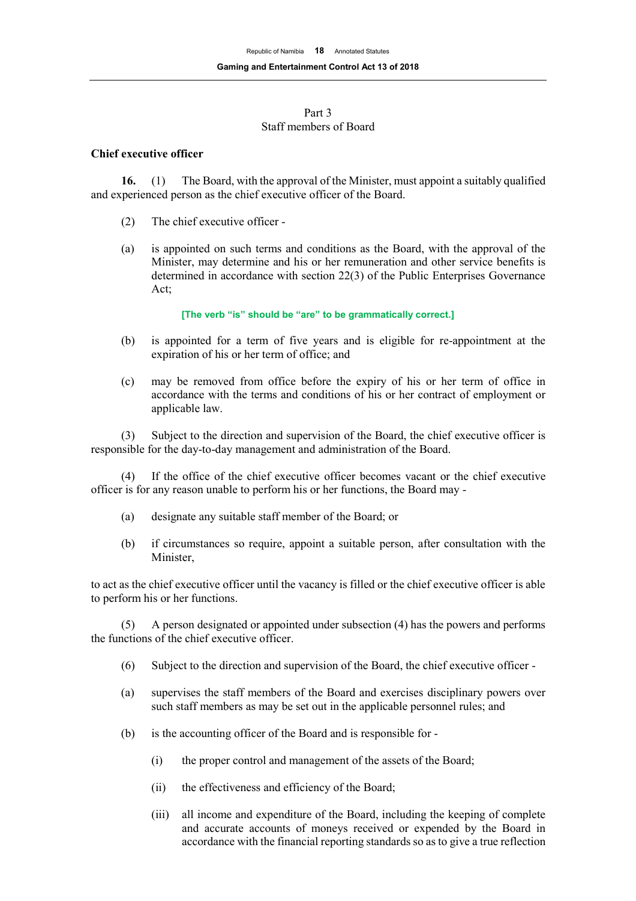#### Part 3 Staff members of Board

#### **Chief executive officer**

**16.** (1) The Board, with the approval of the Minister, must appoint a suitably qualified and experienced person as the chief executive officer of the Board.

- (2) The chief executive officer -
- (a) is appointed on such terms and conditions as the Board, with the approval of the Minister, may determine and his or her remuneration and other service benefits is determined in accordance with section 22(3) of the Public Enterprises Governance Act;

#### **[The verb "is" should be "are" to be grammatically correct.]**

- (b) is appointed for a term of five years and is eligible for re-appointment at the expiration of his or her term of office; and
- (c) may be removed from office before the expiry of his or her term of office in accordance with the terms and conditions of his or her contract of employment or applicable law.

(3) Subject to the direction and supervision of the Board, the chief executive officer is responsible for the day-to-day management and administration of the Board.

(4) If the office of the chief executive officer becomes vacant or the chief executive officer is for any reason unable to perform his or her functions, the Board may -

- (a) designate any suitable staff member of the Board; or
- (b) if circumstances so require, appoint a suitable person, after consultation with the Minister,

to act as the chief executive officer until the vacancy is filled or the chief executive officer is able to perform his or her functions.

(5) A person designated or appointed under subsection (4) has the powers and performs the functions of the chief executive officer.

- (6) Subject to the direction and supervision of the Board, the chief executive officer -
- (a) supervises the staff members of the Board and exercises disciplinary powers over such staff members as may be set out in the applicable personnel rules; and
- (b) is the accounting officer of the Board and is responsible for
	- (i) the proper control and management of the assets of the Board;
	- (ii) the effectiveness and efficiency of the Board;
	- (iii) all income and expenditure of the Board, including the keeping of complete and accurate accounts of moneys received or expended by the Board in accordance with the financial reporting standards so as to give a true reflection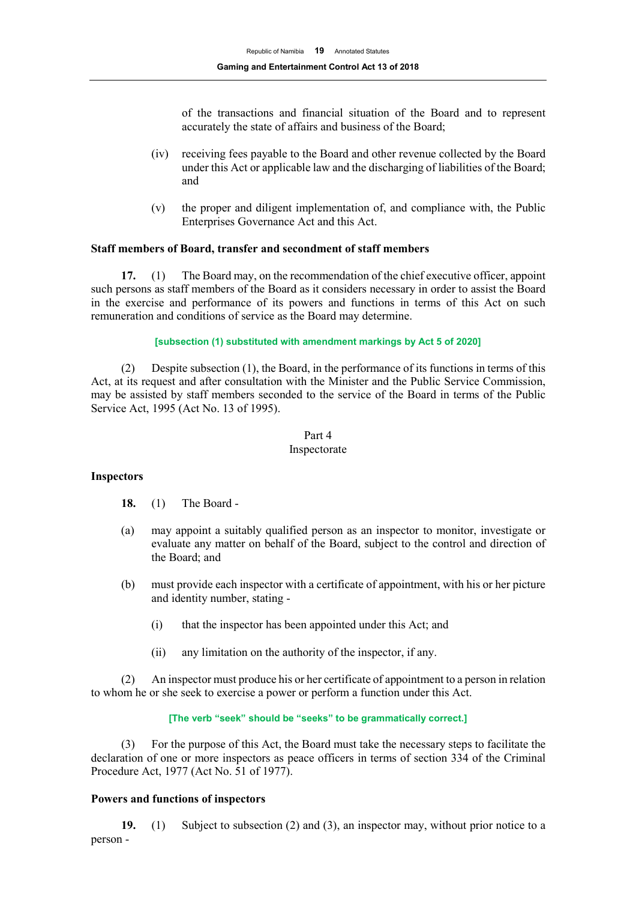of the transactions and financial situation of the Board and to represent accurately the state of affairs and business of the Board;

- (iv) receiving fees payable to the Board and other revenue collected by the Board under this Act or applicable law and the discharging of liabilities of the Board; and
- (v) the proper and diligent implementation of, and compliance with, the Public Enterprises Governance Act and this Act.

## **Staff members of Board, transfer and secondment of staff members**

**17.** (1) The Board may, on the recommendation of the chief executive officer, appoint such persons as staff members of the Board as it considers necessary in order to assist the Board in the exercise and performance of its powers and functions in terms of this Act on such remuneration and conditions of service as the Board may determine.

#### **[subsection (1) substituted with amendment markings by Act 5 of 2020]**

(2) Despite subsection (1), the Board, in the performance of its functions in terms of this Act, at its request and after consultation with the Minister and the Public Service Commission, may be assisted by staff members seconded to the service of the Board in terms of the Public Service Act, 1995 (Act No. 13 of 1995).

#### Part 4

#### Inspectorate

## **Inspectors**

- **18.** (1) The Board -
- (a) may appoint a suitably qualified person as an inspector to monitor, investigate or evaluate any matter on behalf of the Board, subject to the control and direction of the Board; and
- (b) must provide each inspector with a certificate of appointment, with his or her picture and identity number, stating -
	- (i) that the inspector has been appointed under this Act; and
	- (ii) any limitation on the authority of the inspector, if any.

(2) An inspector must produce his or her certificate of appointment to a person in relation to whom he or she seek to exercise a power or perform a function under this Act.

## **[The verb "seek" should be "seeks" to be grammatically correct.]**

(3) For the purpose of this Act, the Board must take the necessary steps to facilitate the declaration of one or more inspectors as peace officers in terms of section 334 of the Criminal Procedure Act, 1977 (Act No. 51 of 1977).

## **Powers and functions of inspectors**

**19.** (1) Subject to subsection (2) and (3), an inspector may, without prior notice to a person -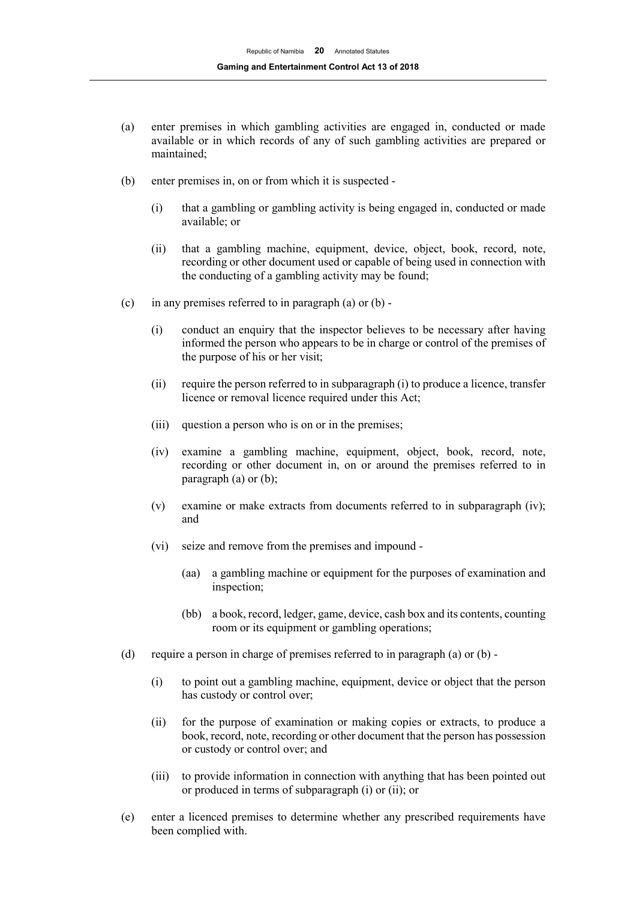- (a) enter premises in which gambling activities are engaged in, conducted or made available or in which records of any of such gambling activities are prepared or maintained;
- (b) enter premises in, on or from which it is suspected
	- (i) that a gambling or gambling activity is being engaged in, conducted or made available; or
	- (ii) that a gambling machine, equipment, device, object, book, record, note, recording or other document used or capable of being used in connection with the conducting of a gambling activity may be found;
- (c) in any premises referred to in paragraph (a) or  $(b)$  -
	- (i) conduct an enquiry that the inspector believes to be necessary after having informed the person who appears to be in charge or control of the premises of the purpose of his or her visit;
	- (ii) require the person referred to in subparagraph (i) to produce a licence, transfer licence or removal licence required under this Act;
	- (iii) question a person who is on or in the premises;
	- (iv) examine a gambling machine, equipment, object, book, record, note, recording or other document in, on or around the premises referred to in paragraph (a) or (b);
	- (v) examine or make extracts from documents referred to in subparagraph (iv); and
	- (vi) seize and remove from the premises and impound
		- (aa) a gambling machine or equipment for the purposes of examination and inspection;
		- (bb) a book, record, ledger, game, device, cash box and its contents, counting room or its equipment or gambling operations;
- (d) require a person in charge of premises referred to in paragraph (a) or (b)
	- (i) to point out a gambling machine, equipment, device or object that the person has custody or control over;
	- (ii) for the purpose of examination or making copies or extracts, to produce a book, record, note, recording or other document that the person has possession or custody or control over; and
	- (iii) to provide information in connection with anything that has been pointed out or produced in terms of subparagraph (i) or (ii); or
- (e) enter a licenced premises to determine whether any prescribed requirements have been complied with.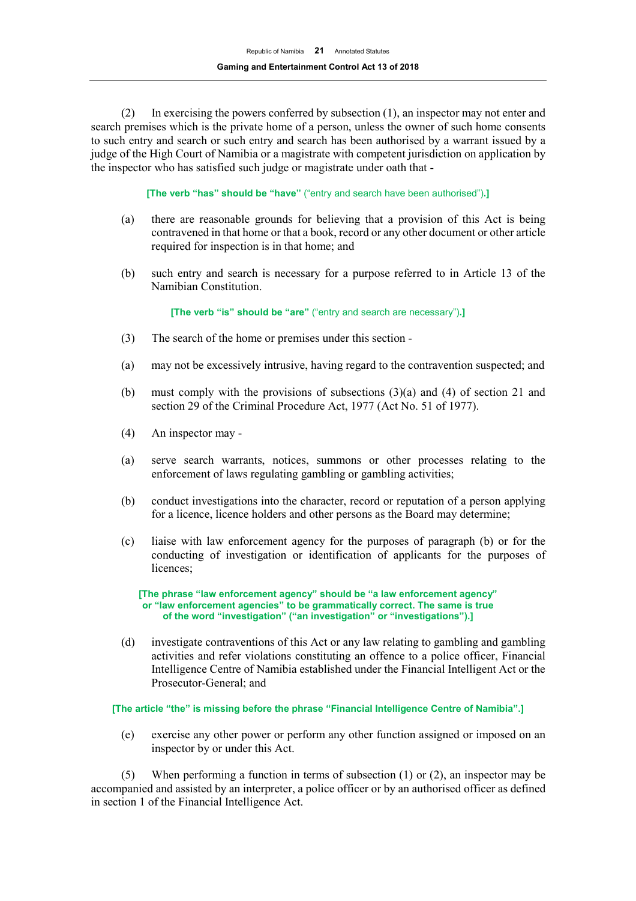(2) In exercising the powers conferred by subsection (1), an inspector may not enter and search premises which is the private home of a person, unless the owner of such home consents to such entry and search or such entry and search has been authorised by a warrant issued by a judge of the High Court of Namibia or a magistrate with competent jurisdiction on application by the inspector who has satisfied such judge or magistrate under oath that -

**[The verb "has" should be "have"** ("entry and search have been authorised")**.]** 

- (a) there are reasonable grounds for believing that a provision of this Act is being contravened in that home or that a book, record or any other document or other article required for inspection is in that home; and
- (b) such entry and search is necessary for a purpose referred to in Article 13 of the Namibian Constitution.

**[The verb "is" should be "are"** ("entry and search are necessary")**.]** 

- (3) The search of the home or premises under this section -
- (a) may not be excessively intrusive, having regard to the contravention suspected; and
- (b) must comply with the provisions of subsections  $(3)(a)$  and  $(4)$  of section 21 and section 29 of the Criminal Procedure Act, 1977 (Act No. 51 of 1977).
- (4) An inspector may -
- (a) serve search warrants, notices, summons or other processes relating to the enforcement of laws regulating gambling or gambling activities;
- (b) conduct investigations into the character, record or reputation of a person applying for a licence, licence holders and other persons as the Board may determine;
- (c) liaise with law enforcement agency for the purposes of paragraph (b) or for the conducting of investigation or identification of applicants for the purposes of licences;

**[The phrase "law enforcement agency" should be "a law enforcement agency" or "law enforcement agencies" to be grammatically correct. The same is true of the word "investigation" ("an investigation" or "investigations").]**

(d) investigate contraventions of this Act or any law relating to gambling and gambling activities and refer violations constituting an offence to a police officer, Financial Intelligence Centre of Namibia established under the Financial Intelligent Act or the Prosecutor-General; and

**[The article "the" is missing before the phrase "Financial Intelligence Centre of Namibia".]**

(e) exercise any other power or perform any other function assigned or imposed on an inspector by or under this Act.

(5) When performing a function in terms of subsection (1) or (2), an inspector may be accompanied and assisted by an interpreter, a police officer or by an authorised officer as defined in section 1 of the Financial Intelligence Act.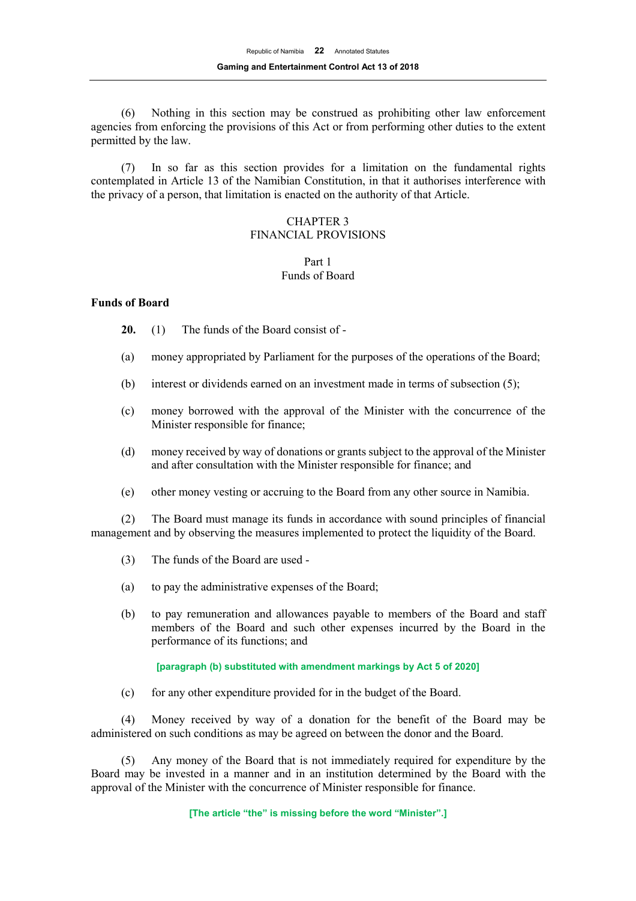(6) Nothing in this section may be construed as prohibiting other law enforcement agencies from enforcing the provisions of this Act or from performing other duties to the extent permitted by the law.

(7) In so far as this section provides for a limitation on the fundamental rights contemplated in Article 13 of the Namibian Constitution, in that it authorises interference with the privacy of a person, that limitation is enacted on the authority of that Article.

# CHAPTER 3 FINANCIAL PROVISIONS

## Part 1 Funds of Board

## **Funds of Board**

- **20.** (1) The funds of the Board consist of -
- (a) money appropriated by Parliament for the purposes of the operations of the Board;
- (b) interest or dividends earned on an investment made in terms of subsection (5);
- (c) money borrowed with the approval of the Minister with the concurrence of the Minister responsible for finance;
- (d) money received by way of donations or grants subject to the approval of the Minister and after consultation with the Minister responsible for finance; and
- (e) other money vesting or accruing to the Board from any other source in Namibia.

(2) The Board must manage its funds in accordance with sound principles of financial management and by observing the measures implemented to protect the liquidity of the Board.

- (3) The funds of the Board are used -
- (a) to pay the administrative expenses of the Board;
- (b) to pay remuneration and allowances payable to members of the Board and staff members of the Board and such other expenses incurred by the Board in the performance of its functions; and

## **[paragraph (b) substituted with amendment markings by Act 5 of 2020]**

(c) for any other expenditure provided for in the budget of the Board.

(4) Money received by way of a donation for the benefit of the Board may be administered on such conditions as may be agreed on between the donor and the Board.

(5) Any money of the Board that is not immediately required for expenditure by the Board may be invested in a manner and in an institution determined by the Board with the approval of the Minister with the concurrence of Minister responsible for finance.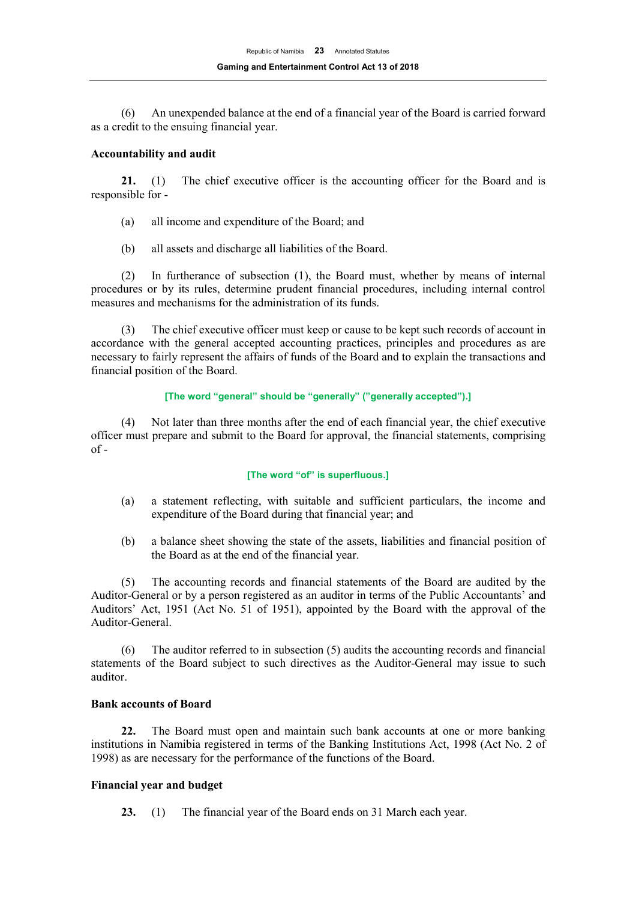(6) An unexpended balance at the end of a financial year of the Board is carried forward as a credit to the ensuing financial year.

## **Accountability and audit**

**21.** (1) The chief executive officer is the accounting officer for the Board and is responsible for -

- (a) all income and expenditure of the Board; and
- (b) all assets and discharge all liabilities of the Board.

(2) In furtherance of subsection (1), the Board must, whether by means of internal procedures or by its rules, determine prudent financial procedures, including internal control measures and mechanisms for the administration of its funds.

(3) The chief executive officer must keep or cause to be kept such records of account in accordance with the general accepted accounting practices, principles and procedures as are necessary to fairly represent the affairs of funds of the Board and to explain the transactions and financial position of the Board.

## **[The word "general" should be "generally" ("generally accepted").]**

(4) Not later than three months after the end of each financial year, the chief executive officer must prepare and submit to the Board for approval, the financial statements, comprising of -

## **[The word "of" is superfluous.]**

- (a) a statement reflecting, with suitable and sufficient particulars, the income and expenditure of the Board during that financial year; and
- (b) a balance sheet showing the state of the assets, liabilities and financial position of the Board as at the end of the financial year.

(5) The accounting records and financial statements of the Board are audited by the Auditor-General or by a person registered as an auditor in terms of the Public Accountants' and Auditors' Act, 1951 (Act No. 51 of 1951), appointed by the Board with the approval of the Auditor-General.

(6) The auditor referred to in subsection (5) audits the accounting records and financial statements of the Board subject to such directives as the Auditor-General may issue to such auditor.

## **Bank accounts of Board**

**22.** The Board must open and maintain such bank accounts at one or more banking institutions in Namibia registered in terms of the Banking Institutions Act, 1998 (Act No. 2 of 1998) as are necessary for the performance of the functions of the Board.

## **Financial year and budget**

**23.** (1) The financial year of the Board ends on 31 March each year.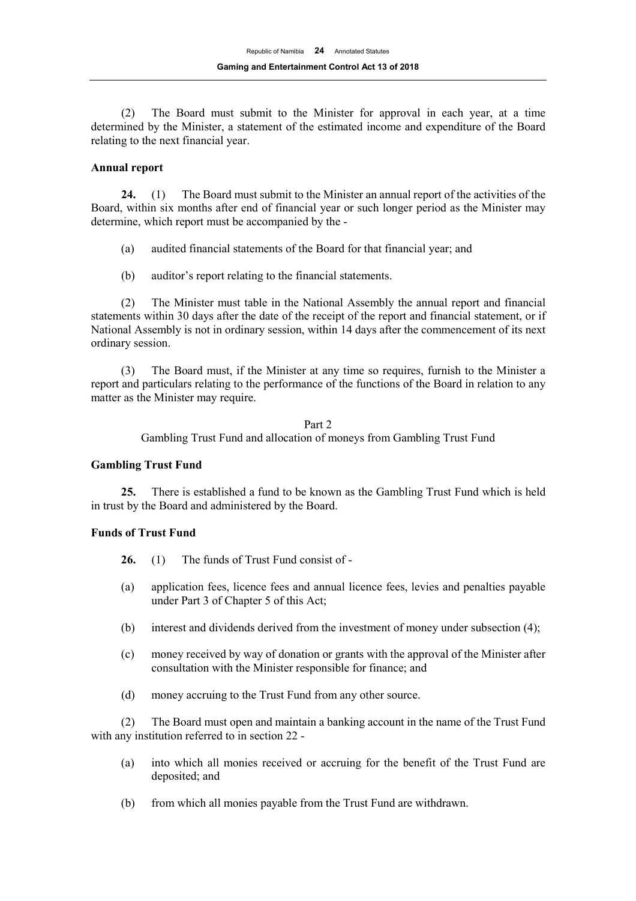(2) The Board must submit to the Minister for approval in each year, at a time determined by the Minister, a statement of the estimated income and expenditure of the Board relating to the next financial year.

#### **Annual report**

**24.** (1) The Board must submit to the Minister an annual report of the activities of the Board, within six months after end of financial year or such longer period as the Minister may determine, which report must be accompanied by the -

- (a) audited financial statements of the Board for that financial year; and
- (b) auditor's report relating to the financial statements.

(2) The Minister must table in the National Assembly the annual report and financial statements within 30 days after the date of the receipt of the report and financial statement, or if National Assembly is not in ordinary session, within 14 days after the commencement of its next ordinary session.

(3) The Board must, if the Minister at any time so requires, furnish to the Minister a report and particulars relating to the performance of the functions of the Board in relation to any matter as the Minister may require.

> Part 2 Gambling Trust Fund and allocation of moneys from Gambling Trust Fund

#### **Gambling Trust Fund**

**25.** There is established a fund to be known as the Gambling Trust Fund which is held in trust by the Board and administered by the Board.

## **Funds of Trust Fund**

- **26.** (1) The funds of Trust Fund consist of -
- (a) application fees, licence fees and annual licence fees, levies and penalties payable under Part 3 of Chapter 5 of this Act;
- (b) interest and dividends derived from the investment of money under subsection (4);
- (c) money received by way of donation or grants with the approval of the Minister after consultation with the Minister responsible for finance; and
- (d) money accruing to the Trust Fund from any other source.

(2) The Board must open and maintain a banking account in the name of the Trust Fund with any institution referred to in section 22 -

- (a) into which all monies received or accruing for the benefit of the Trust Fund are deposited; and
- (b) from which all monies payable from the Trust Fund are withdrawn.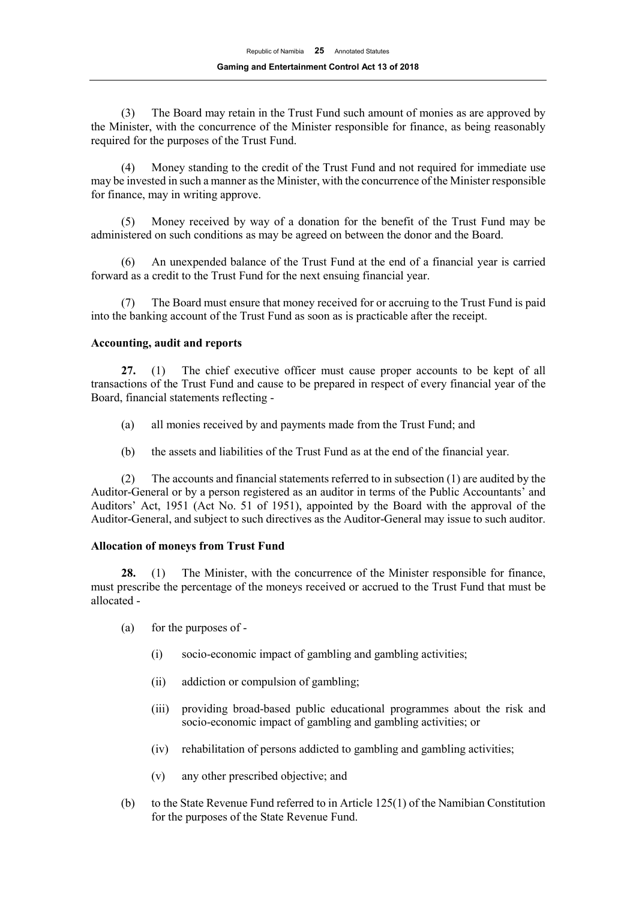(3) The Board may retain in the Trust Fund such amount of monies as are approved by the Minister, with the concurrence of the Minister responsible for finance, as being reasonably required for the purposes of the Trust Fund.

(4) Money standing to the credit of the Trust Fund and not required for immediate use may be invested in such a manner as the Minister, with the concurrence of the Minister responsible for finance, may in writing approve.

(5) Money received by way of a donation for the benefit of the Trust Fund may be administered on such conditions as may be agreed on between the donor and the Board.

(6) An unexpended balance of the Trust Fund at the end of a financial year is carried forward as a credit to the Trust Fund for the next ensuing financial year.

(7) The Board must ensure that money received for or accruing to the Trust Fund is paid into the banking account of the Trust Fund as soon as is practicable after the receipt.

## **Accounting, audit and reports**

**27.** (1) The chief executive officer must cause proper accounts to be kept of all transactions of the Trust Fund and cause to be prepared in respect of every financial year of the Board, financial statements reflecting -

- (a) all monies received by and payments made from the Trust Fund; and
- (b) the assets and liabilities of the Trust Fund as at the end of the financial year.

(2) The accounts and financial statements referred to in subsection (1) are audited by the Auditor-General or by a person registered as an auditor in terms of the Public Accountants' and Auditors' Act, 1951 (Act No. 51 of 1951), appointed by the Board with the approval of the Auditor-General, and subject to such directives as the Auditor-General may issue to such auditor.

# **Allocation of moneys from Trust Fund**

**28.** (1) The Minister, with the concurrence of the Minister responsible for finance, must prescribe the percentage of the moneys received or accrued to the Trust Fund that must be allocated -

- (a) for the purposes of
	- (i) socio-economic impact of gambling and gambling activities;
	- (ii) addiction or compulsion of gambling;
	- (iii) providing broad-based public educational programmes about the risk and socio-economic impact of gambling and gambling activities; or
	- (iv) rehabilitation of persons addicted to gambling and gambling activities;
	- (v) any other prescribed objective; and
- (b) to the State Revenue Fund referred to in Article  $125(1)$  of the Namibian Constitution for the purposes of the State Revenue Fund.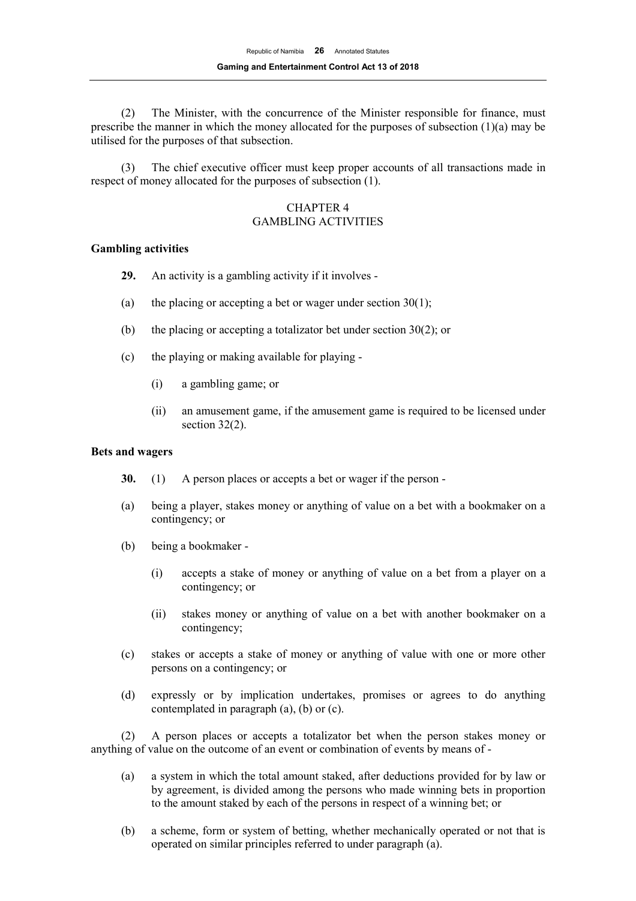(2) The Minister, with the concurrence of the Minister responsible for finance, must prescribe the manner in which the money allocated for the purposes of subsection  $(1)(a)$  may be utilised for the purposes of that subsection.

(3) The chief executive officer must keep proper accounts of all transactions made in respect of money allocated for the purposes of subsection (1).

## CHAPTER 4 GAMBLING ACTIVITIES

## **Gambling activities**

- **29.** An activity is a gambling activity if it involves -
- (a) the placing or accepting a bet or wager under section  $30(1)$ ;
- (b) the placing or accepting a totalizator bet under section 30(2); or
- (c) the playing or making available for playing
	- (i) a gambling game; or
	- (ii) an amusement game, if the amusement game is required to be licensed under section 32(2).

## **Bets and wagers**

- **30.** (1) A person places or accepts a bet or wager if the person -
- (a) being a player, stakes money or anything of value on a bet with a bookmaker on a contingency; or
- (b) being a bookmaker
	- (i) accepts a stake of money or anything of value on a bet from a player on a contingency; or
	- (ii) stakes money or anything of value on a bet with another bookmaker on a contingency;
- (c) stakes or accepts a stake of money or anything of value with one or more other persons on a contingency; or
- (d) expressly or by implication undertakes, promises or agrees to do anything contemplated in paragraph (a), (b) or (c).

(2) A person places or accepts a totalizator bet when the person stakes money or anything of value on the outcome of an event or combination of events by means of -

- (a) a system in which the total amount staked, after deductions provided for by law or by agreement, is divided among the persons who made winning bets in proportion to the amount staked by each of the persons in respect of a winning bet; or
- (b) a scheme, form or system of betting, whether mechanically operated or not that is operated on similar principles referred to under paragraph (a).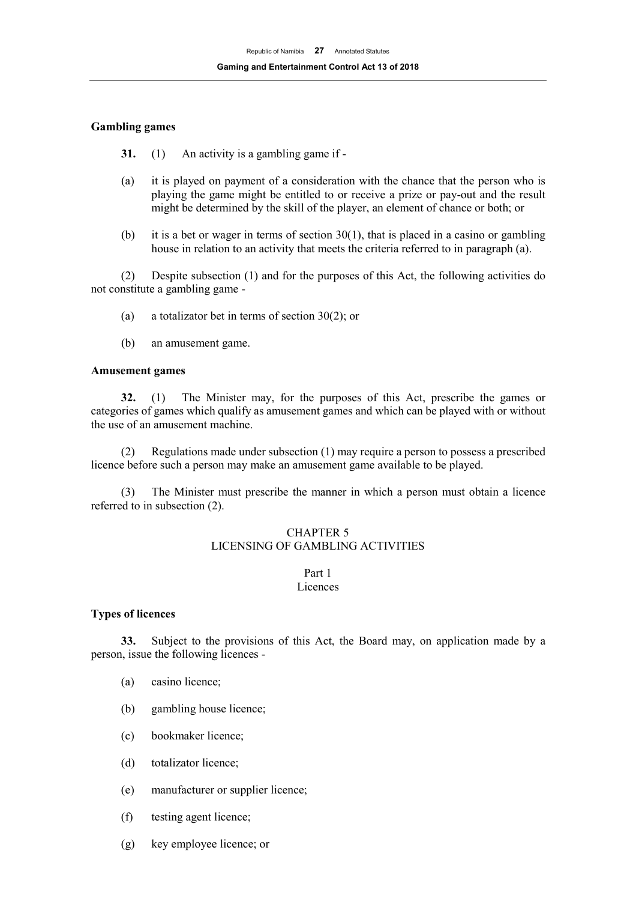## **Gambling games**

- **31.** (1) An activity is a gambling game if -
- (a) it is played on payment of a consideration with the chance that the person who is playing the game might be entitled to or receive a prize or pay-out and the result might be determined by the skill of the player, an element of chance or both; or
- (b) it is a bet or wager in terms of section  $30(1)$ , that is placed in a casino or gambling house in relation to an activity that meets the criteria referred to in paragraph (a).

(2) Despite subsection (1) and for the purposes of this Act, the following activities do not constitute a gambling game -

- (a) a totalizator bet in terms of section 30(2); or
- (b) an amusement game.

## **Amusement games**

**32.** (1) The Minister may, for the purposes of this Act, prescribe the games or categories of games which qualify as amusement games and which can be played with or without the use of an amusement machine.

(2) Regulations made under subsection (1) may require a person to possess a prescribed licence before such a person may make an amusement game available to be played.

(3) The Minister must prescribe the manner in which a person must obtain a licence referred to in subsection (2).

## CHAPTER 5 LICENSING OF GAMBLING ACTIVITIES

## Part 1 Licences

## **Types of licences**

**33.** Subject to the provisions of this Act, the Board may, on application made by a person, issue the following licences -

- (a) casino licence;
- (b) gambling house licence;
- (c) bookmaker licence;
- (d) totalizator licence;
- (e) manufacturer or supplier licence;
- (f) testing agent licence;
- (g) key employee licence; or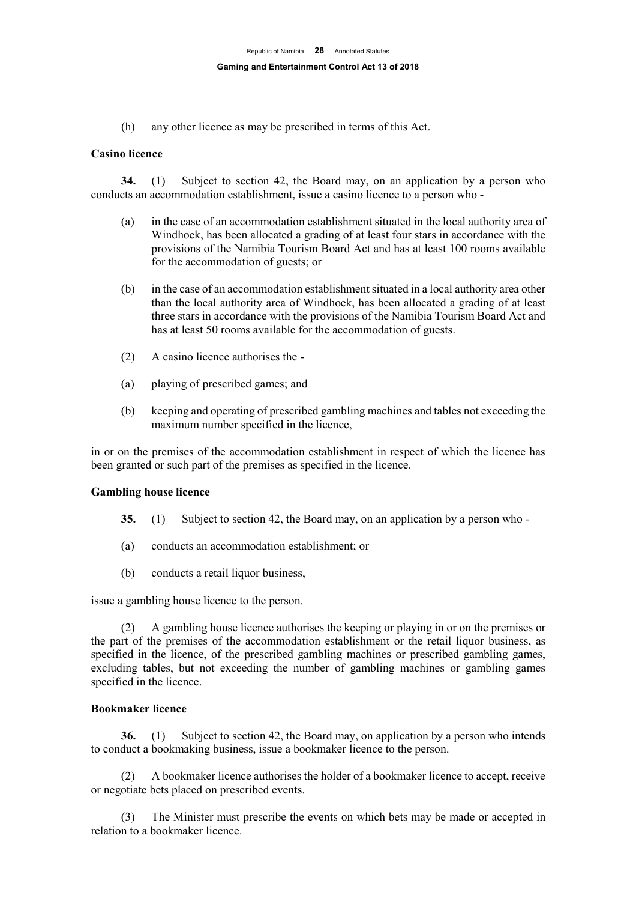(h) any other licence as may be prescribed in terms of this Act.

## **Casino licence**

**34.** (1) Subject to section 42, the Board may, on an application by a person who conducts an accommodation establishment, issue a casino licence to a person who -

- (a) in the case of an accommodation establishment situated in the local authority area of Windhoek, has been allocated a grading of at least four stars in accordance with the provisions of the Namibia Tourism Board Act and has at least 100 rooms available for the accommodation of guests; or
- (b) in the case of an accommodation establishment situated in a local authority area other than the local authority area of Windhoek, has been allocated a grading of at least three stars in accordance with the provisions of the Namibia Tourism Board Act and has at least 50 rooms available for the accommodation of guests.
- (2) A casino licence authorises the -
- (a) playing of prescribed games; and
- (b) keeping and operating of prescribed gambling machines and tables not exceeding the maximum number specified in the licence,

in or on the premises of the accommodation establishment in respect of which the licence has been granted or such part of the premises as specified in the licence.

## **Gambling house licence**

- **35.** (1) Subject to section 42, the Board may, on an application by a person who -
- (a) conducts an accommodation establishment; or
- (b) conducts a retail liquor business,

issue a gambling house licence to the person.

(2) A gambling house licence authorises the keeping or playing in or on the premises or the part of the premises of the accommodation establishment or the retail liquor business, as specified in the licence, of the prescribed gambling machines or prescribed gambling games, excluding tables, but not exceeding the number of gambling machines or gambling games specified in the licence.

## **Bookmaker licence**

**36.** (1) Subject to section 42, the Board may, on application by a person who intends to conduct a bookmaking business, issue a bookmaker licence to the person.

(2) A bookmaker licence authorises the holder of a bookmaker licence to accept, receive or negotiate bets placed on prescribed events.

(3) The Minister must prescribe the events on which bets may be made or accepted in relation to a bookmaker licence.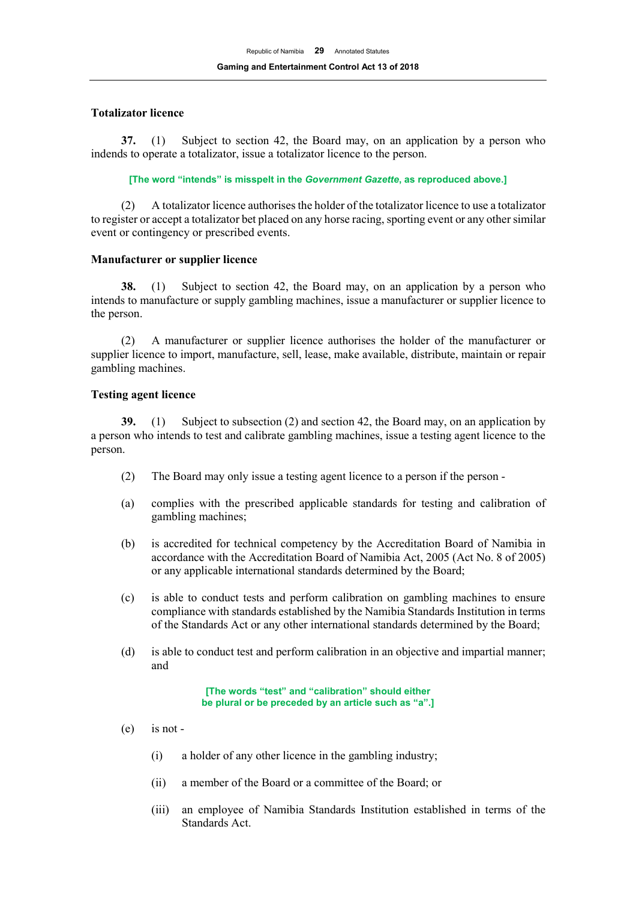## **Totalizator licence**

**37.** (1) Subject to section 42, the Board may, on an application by a person who indends to operate a totalizator, issue a totalizator licence to the person.

**[The word "intends" is misspelt in the** *Government Gazette***, as reproduced above.]**

(2) A totalizator licence authorises the holder of the totalizator licence to use a totalizator to register or accept a totalizator bet placed on any horse racing, sporting event or any other similar event or contingency or prescribed events.

## **Manufacturer or supplier licence**

**38.** (1) Subject to section 42, the Board may, on an application by a person who intends to manufacture or supply gambling machines, issue a manufacturer or supplier licence to the person.

(2) A manufacturer or supplier licence authorises the holder of the manufacturer or supplier licence to import, manufacture, sell, lease, make available, distribute, maintain or repair gambling machines.

## **Testing agent licence**

**39.** (1) Subject to subsection (2) and section 42, the Board may, on an application by a person who intends to test and calibrate gambling machines, issue a testing agent licence to the person.

- (2) The Board may only issue a testing agent licence to a person if the person -
- (a) complies with the prescribed applicable standards for testing and calibration of gambling machines;
- (b) is accredited for technical competency by the Accreditation Board of Namibia in accordance with the Accreditation Board of Namibia Act, 2005 (Act No. 8 of 2005) or any applicable international standards determined by the Board;
- (c) is able to conduct tests and perform calibration on gambling machines to ensure compliance with standards established by the Namibia Standards Institution in terms of the Standards Act or any other international standards determined by the Board;
- (d) is able to conduct test and perform calibration in an objective and impartial manner; and

**[The words "test" and "calibration" should either be plural or be preceded by an article such as "a".]** 

- (e) is not
	- (i) a holder of any other licence in the gambling industry;
	- (ii) a member of the Board or a committee of the Board; or
	- (iii) an employee of Namibia Standards Institution established in terms of the Standards Act.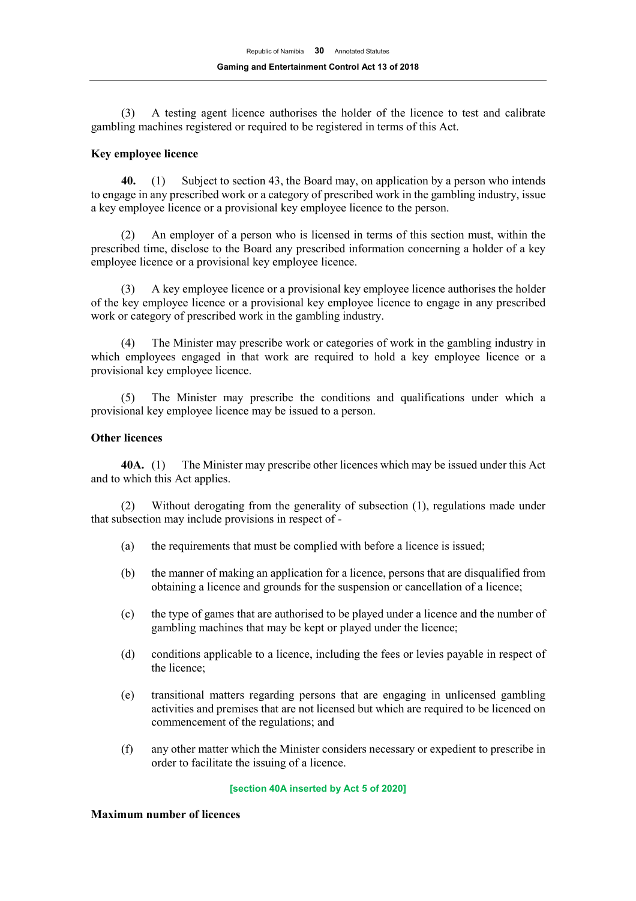(3) A testing agent licence authorises the holder of the licence to test and calibrate gambling machines registered or required to be registered in terms of this Act.

## **Key employee licence**

**40.** (1) Subject to section 43, the Board may, on application by a person who intends to engage in any prescribed work or a category of prescribed work in the gambling industry, issue a key employee licence or a provisional key employee licence to the person.

(2) An employer of a person who is licensed in terms of this section must, within the prescribed time, disclose to the Board any prescribed information concerning a holder of a key employee licence or a provisional key employee licence.

(3) A key employee licence or a provisional key employee licence authorises the holder of the key employee licence or a provisional key employee licence to engage in any prescribed work or category of prescribed work in the gambling industry.

(4) The Minister may prescribe work or categories of work in the gambling industry in which employees engaged in that work are required to hold a key employee licence or a provisional key employee licence.

(5) The Minister may prescribe the conditions and qualifications under which a provisional key employee licence may be issued to a person.

## **Other licences**

**40A.** (1) The Minister may prescribe other licences which may be issued under this Act and to which this Act applies.

(2) Without derogating from the generality of subsection (1), regulations made under that subsection may include provisions in respect of -

- (a) the requirements that must be complied with before a licence is issued;
- (b) the manner of making an application for a licence, persons that are disqualified from obtaining a licence and grounds for the suspension or cancellation of a licence;
- (c) the type of games that are authorised to be played under a licence and the number of gambling machines that may be kept or played under the licence;
- (d) conditions applicable to a licence, including the fees or levies payable in respect of the licence;
- (e) transitional matters regarding persons that are engaging in unlicensed gambling activities and premises that are not licensed but which are required to be licenced on commencement of the regulations; and
- (f) any other matter which the Minister considers necessary or expedient to prescribe in order to facilitate the issuing of a licence.

#### **[section 40A inserted by Act 5 of 2020]**

## **Maximum number of licences**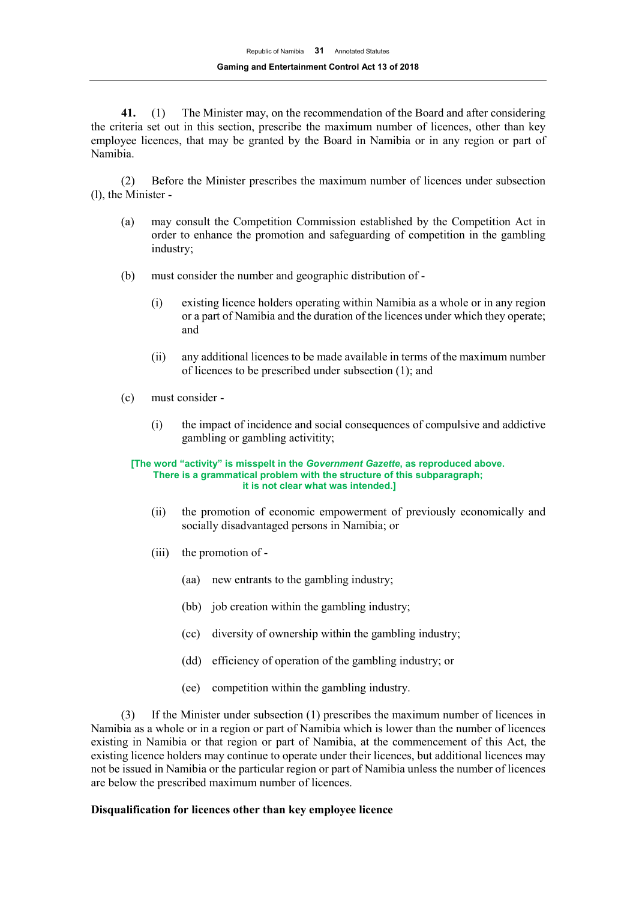**41.** (1) The Minister may, on the recommendation of the Board and after considering the criteria set out in this section, prescribe the maximum number of licences, other than key employee licences, that may be granted by the Board in Namibia or in any region or part of Namibia.

(2) Before the Minister prescribes the maximum number of licences under subsection (l), the Minister -

- (a) may consult the Competition Commission established by the Competition Act in order to enhance the promotion and safeguarding of competition in the gambling industry;
- (b) must consider the number and geographic distribution of
	- (i) existing licence holders operating within Namibia as a whole or in any region or a part of Namibia and the duration of the licences under which they operate; and
	- (ii) any additional licences to be made available in terms of the maximum number of licences to be prescribed under subsection (1); and
- (c) must consider
	- (i) the impact of incidence and social consequences of compulsive and addictive gambling or gambling activitity;

#### **[The word "activity" is misspelt in the** *Government Gazette***, as reproduced above. There is a grammatical problem with the structure of this subparagraph; it is not clear what was intended.]**

- (ii) the promotion of economic empowerment of previously economically and socially disadvantaged persons in Namibia; or
- (iii) the promotion of
	- (aa) new entrants to the gambling industry;
	- (bb) job creation within the gambling industry;
	- (cc) diversity of ownership within the gambling industry;
	- (dd) efficiency of operation of the gambling industry; or
	- (ee) competition within the gambling industry.

(3) If the Minister under subsection (1) prescribes the maximum number of licences in Namibia as a whole or in a region or part of Namibia which is lower than the number of licences existing in Namibia or that region or part of Namibia, at the commencement of this Act, the existing licence holders may continue to operate under their licences, but additional licences may not be issued in Namibia or the particular region or part of Namibia unless the number of licences are below the prescribed maximum number of licences.

## **Disqualification for licences other than key employee licence**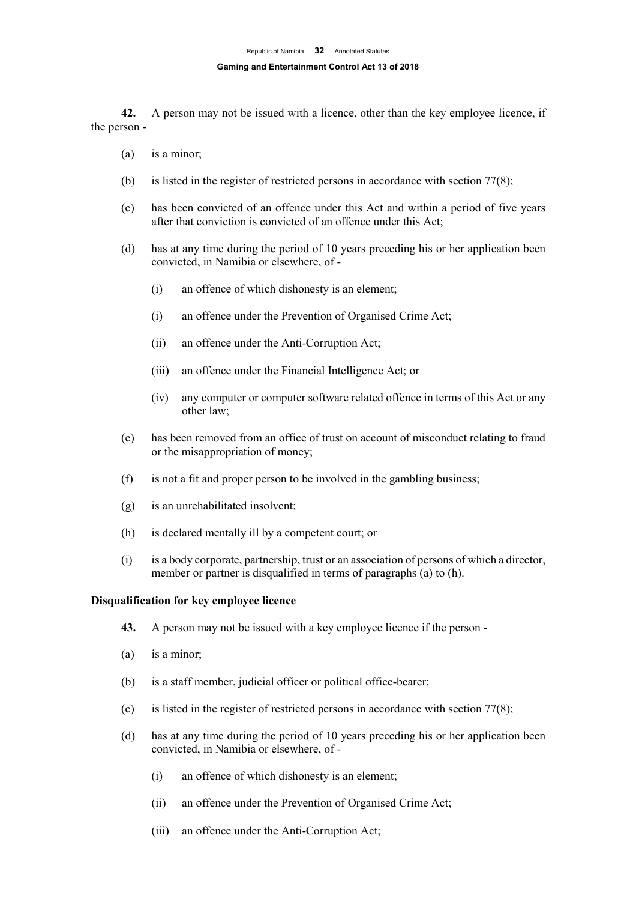**42.** A person may not be issued with a licence, other than the key employee licence, if the person -

- (a) is a minor;
- (b) is listed in the register of restricted persons in accordance with section 77(8);
- (c) has been convicted of an offence under this Act and within a period of five years after that conviction is convicted of an offence under this Act;
- (d) has at any time during the period of 10 years preceding his or her application been convicted, in Namibia or elsewhere, of -
	- (i) an offence of which dishonesty is an element;
	- (i) an offence under the Prevention of Organised Crime Act;
	- (ii) an offence under the Anti-Corruption Act;
	- (iii) an offence under the Financial Intelligence Act; or
	- (iv) any computer or computer software related offence in terms of this Act or any other law;
- (e) has been removed from an office of trust on account of misconduct relating to fraud or the misappropriation of money;
- (f) is not a fit and proper person to be involved in the gambling business;
- (g) is an unrehabilitated insolvent;
- (h) is declared mentally ill by a competent court; or
- (i) is a body corporate, partnership, trust or an association of persons of which a director, member or partner is disqualified in terms of paragraphs (a) to (h).

#### **Disqualification for key employee licence**

- **43.** A person may not be issued with a key employee licence if the person -
- (a) is a minor;
- (b) is a staff member, judicial officer or political office-bearer;
- (c) is listed in the register of restricted persons in accordance with section 77(8);
- (d) has at any time during the period of 10 years preceding his or her application been convicted, in Namibia or elsewhere, of -
	- (i) an offence of which dishonesty is an element;
	- (ii) an offence under the Prevention of Organised Crime Act;
	- (iii) an offence under the Anti-Corruption Act;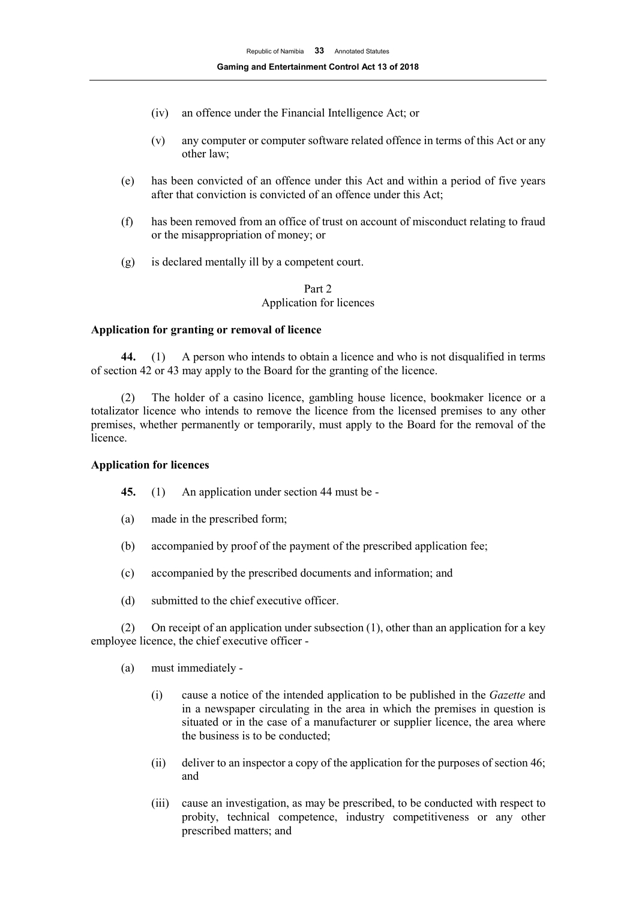- (iv) an offence under the Financial Intelligence Act; or
- (v) any computer or computer software related offence in terms of this Act or any other law;
- (e) has been convicted of an offence under this Act and within a period of five years after that conviction is convicted of an offence under this Act;
- (f) has been removed from an office of trust on account of misconduct relating to fraud or the misappropriation of money; or
- (g) is declared mentally ill by a competent court.

## Part 2 Application for licences

## **Application for granting or removal of licence**

**44.** (1) A person who intends to obtain a licence and who is not disqualified in terms of section 42 or 43 may apply to the Board for the granting of the licence.

(2) The holder of a casino licence, gambling house licence, bookmaker licence or a totalizator licence who intends to remove the licence from the licensed premises to any other premises, whether permanently or temporarily, must apply to the Board for the removal of the licence.

#### **Application for licences**

- **45.** (1) An application under section 44 must be -
- (a) made in the prescribed form;
- (b) accompanied by proof of the payment of the prescribed application fee;
- (c) accompanied by the prescribed documents and information; and
- (d) submitted to the chief executive officer.

(2) On receipt of an application under subsection (1), other than an application for a key employee licence, the chief executive officer -

- (a) must immediately
	- (i) cause a notice of the intended application to be published in the *Gazette* and in a newspaper circulating in the area in which the premises in question is situated or in the case of a manufacturer or supplier licence, the area where the business is to be conducted;
	- (ii) deliver to an inspector a copy of the application for the purposes of section 46; and
	- (iii) cause an investigation, as may be prescribed, to be conducted with respect to probity, technical competence, industry competitiveness or any other prescribed matters; and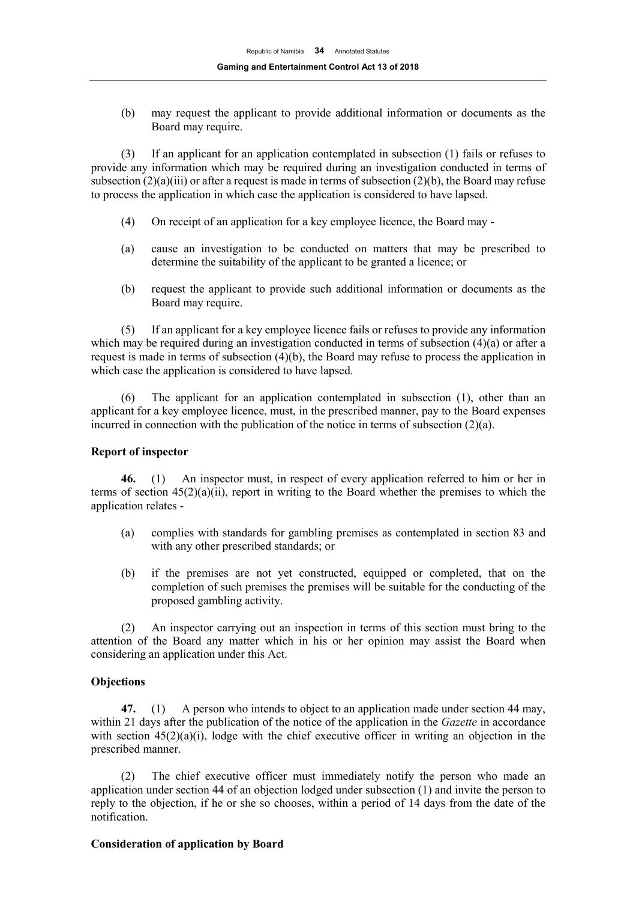(b) may request the applicant to provide additional information or documents as the Board may require.

(3) If an applicant for an application contemplated in subsection (1) fails or refuses to provide any information which may be required during an investigation conducted in terms of subsection  $(2)(a)(iii)$  or after a request is made in terms of subsection  $(2)(b)$ , the Board may refuse to process the application in which case the application is considered to have lapsed.

- (4) On receipt of an application for a key employee licence, the Board may -
- (a) cause an investigation to be conducted on matters that may be prescribed to determine the suitability of the applicant to be granted a licence; or
- (b) request the applicant to provide such additional information or documents as the Board may require.

(5) If an applicant for a key employee licence fails or refuses to provide any information which may be required during an investigation conducted in terms of subsection (4)(a) or after a request is made in terms of subsection (4)(b), the Board may refuse to process the application in which case the application is considered to have lapsed.

(6) The applicant for an application contemplated in subsection (1), other than an applicant for a key employee licence, must, in the prescribed manner, pay to the Board expenses incurred in connection with the publication of the notice in terms of subsection (2)(a).

## **Report of inspector**

**46.** (1) An inspector must, in respect of every application referred to him or her in terms of section  $45(2)(a)(ii)$ , report in writing to the Board whether the premises to which the application relates -

- (a) complies with standards for gambling premises as contemplated in section 83 and with any other prescribed standards; or
- (b) if the premises are not yet constructed, equipped or completed, that on the completion of such premises the premises will be suitable for the conducting of the proposed gambling activity.

(2) An inspector carrying out an inspection in terms of this section must bring to the attention of the Board any matter which in his or her opinion may assist the Board when considering an application under this Act.

## **Objections**

**47.** (1) A person who intends to object to an application made under section 44 may, within 21 days after the publication of the notice of the application in the *Gazette* in accordance with section  $45(2)(a)(i)$ , lodge with the chief executive officer in writing an objection in the prescribed manner.

(2) The chief executive officer must immediately notify the person who made an application under section 44 of an objection lodged under subsection (1) and invite the person to reply to the objection, if he or she so chooses, within a period of 14 days from the date of the notification.

## **Consideration of application by Board**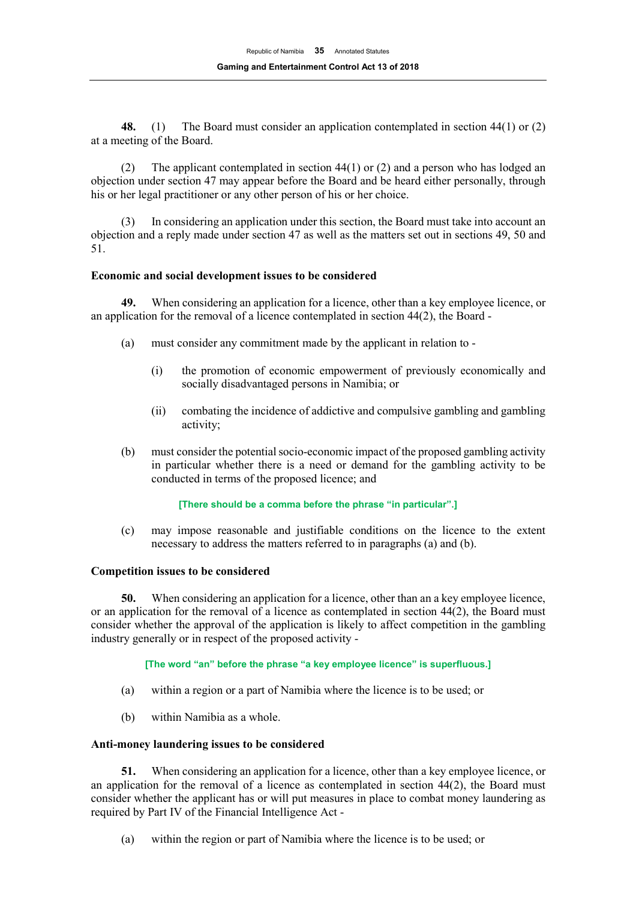**48.** (1) The Board must consider an application contemplated in section 44(1) or (2) at a meeting of the Board.

(2) The applicant contemplated in section 44(1) or (2) and a person who has lodged an objection under section 47 may appear before the Board and be heard either personally, through his or her legal practitioner or any other person of his or her choice.

In considering an application under this section, the Board must take into account an objection and a reply made under section 47 as well as the matters set out in sections 49, 50 and 51.

## **Economic and social development issues to be considered**

**49.** When considering an application for a licence, other than a key employee licence, or an application for the removal of a licence contemplated in section 44(2), the Board -

- (a) must consider any commitment made by the applicant in relation to
	- (i) the promotion of economic empowerment of previously economically and socially disadvantaged persons in Namibia; or
	- (ii) combating the incidence of addictive and compulsive gambling and gambling activity;
- (b) must consider the potential socio-economic impact of the proposed gambling activity in particular whether there is a need or demand for the gambling activity to be conducted in terms of the proposed licence; and

#### **[There should be a comma before the phrase "in particular".]**

(c) may impose reasonable and justifiable conditions on the licence to the extent necessary to address the matters referred to in paragraphs (a) and (b).

#### **Competition issues to be considered**

**50.** When considering an application for a licence, other than an a key employee licence, or an application for the removal of a licence as contemplated in section 44(2), the Board must consider whether the approval of the application is likely to affect competition in the gambling industry generally or in respect of the proposed activity -

#### **[The word "an" before the phrase "a key employee licence" is superfluous.]**

- (a) within a region or a part of Namibia where the licence is to be used; or
- (b) within Namibia as a whole.

#### **Anti-money laundering issues to be considered**

**51.** When considering an application for a licence, other than a key employee licence, or an application for the removal of a licence as contemplated in section 44(2), the Board must consider whether the applicant has or will put measures in place to combat money laundering as required by Part IV of the Financial Intelligence Act -

(a) within the region or part of Namibia where the licence is to be used; or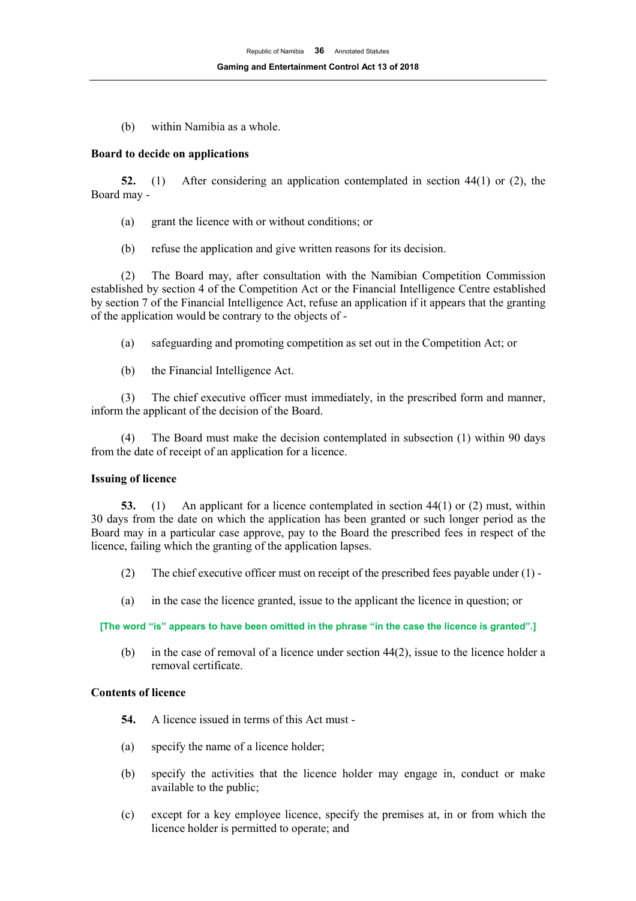(b) within Namibia as a whole.

## **Board to decide on applications**

**52.** (1) After considering an application contemplated in section 44(1) or (2), the Board may -

- (a) grant the licence with or without conditions; or
- (b) refuse the application and give written reasons for its decision.

(2) The Board may, after consultation with the Namibian Competition Commission established by section 4 of the Competition Act or the Financial Intelligence Centre established by section 7 of the Financial Intelligence Act, refuse an application if it appears that the granting of the application would be contrary to the objects of -

- (a) safeguarding and promoting competition as set out in the Competition Act; or
- (b) the Financial Intelligence Act.

(3) The chief executive officer must immediately, in the prescribed form and manner, inform the applicant of the decision of the Board.

(4) The Board must make the decision contemplated in subsection (1) within 90 days from the date of receipt of an application for a licence.

#### **Issuing of licence**

**53.** (1) An applicant for a licence contemplated in section 44(1) or (2) must, within 30 days from the date on which the application has been granted or such longer period as the Board may in a particular case approve, pay to the Board the prescribed fees in respect of the licence, failing which the granting of the application lapses.

- (2) The chief executive officer must on receipt of the prescribed fees payable under (1) -
- (a) in the case the licence granted, issue to the applicant the licence in question; or

**[The word "is" appears to have been omitted in the phrase "in the case the licence is granted".]**

(b) in the case of removal of a licence under section 44(2), issue to the licence holder a removal certificate.

## **Contents of licence**

- **54.** A licence issued in terms of this Act must -
- (a) specify the name of a licence holder;
- (b) specify the activities that the licence holder may engage in, conduct or make available to the public;
- (c) except for a key employee licence, specify the premises at, in or from which the licence holder is permitted to operate; and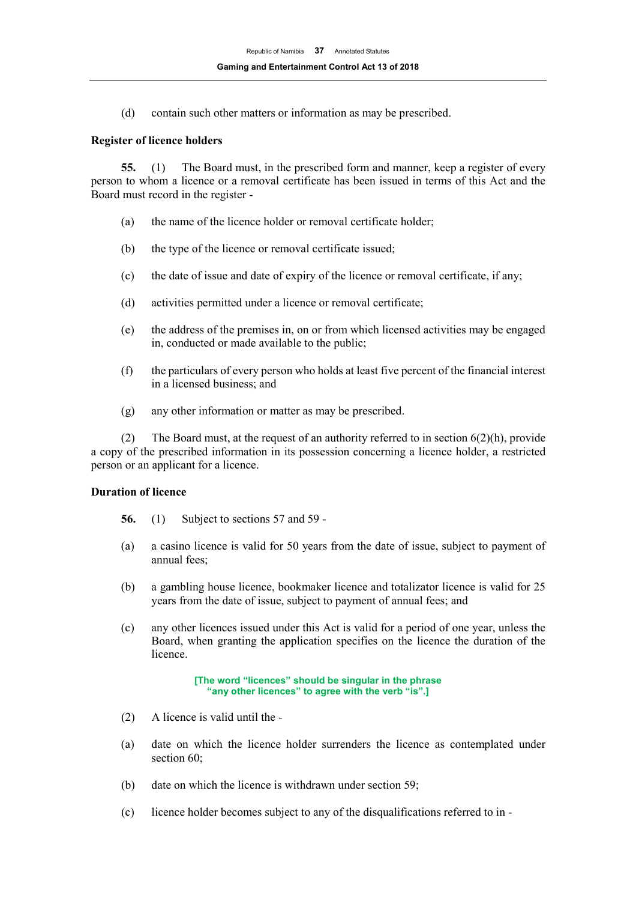(d) contain such other matters or information as may be prescribed.

#### **Register of licence holders**

**55.** (1) The Board must, in the prescribed form and manner, keep a register of every person to whom a licence or a removal certificate has been issued in terms of this Act and the Board must record in the register -

- (a) the name of the licence holder or removal certificate holder;
- (b) the type of the licence or removal certificate issued;
- (c) the date of issue and date of expiry of the licence or removal certificate, if any;
- (d) activities permitted under a licence or removal certificate;
- (e) the address of the premises in, on or from which licensed activities may be engaged in, conducted or made available to the public;
- (f) the particulars of every person who holds at least five percent of the financial interest in a licensed business; and
- (g) any other information or matter as may be prescribed.

(2) The Board must, at the request of an authority referred to in section  $6(2)(h)$ , provide a copy of the prescribed information in its possession concerning a licence holder, a restricted person or an applicant for a licence.

## **Duration of licence**

- **56.** (1) Subject to sections 57 and 59 -
- (a) a casino licence is valid for 50 years from the date of issue, subject to payment of annual fees;
- (b) a gambling house licence, bookmaker licence and totalizator licence is valid for 25 years from the date of issue, subject to payment of annual fees; and
- (c) any other licences issued under this Act is valid for a period of one year, unless the Board, when granting the application specifies on the licence the duration of the licence.

**[The word "licences" should be singular in the phrase "any other licences" to agree with the verb "is".]**

- (2) A licence is valid until the -
- (a) date on which the licence holder surrenders the licence as contemplated under section 60;
- (b) date on which the licence is withdrawn under section 59;
- (c) licence holder becomes subject to any of the disqualifications referred to in -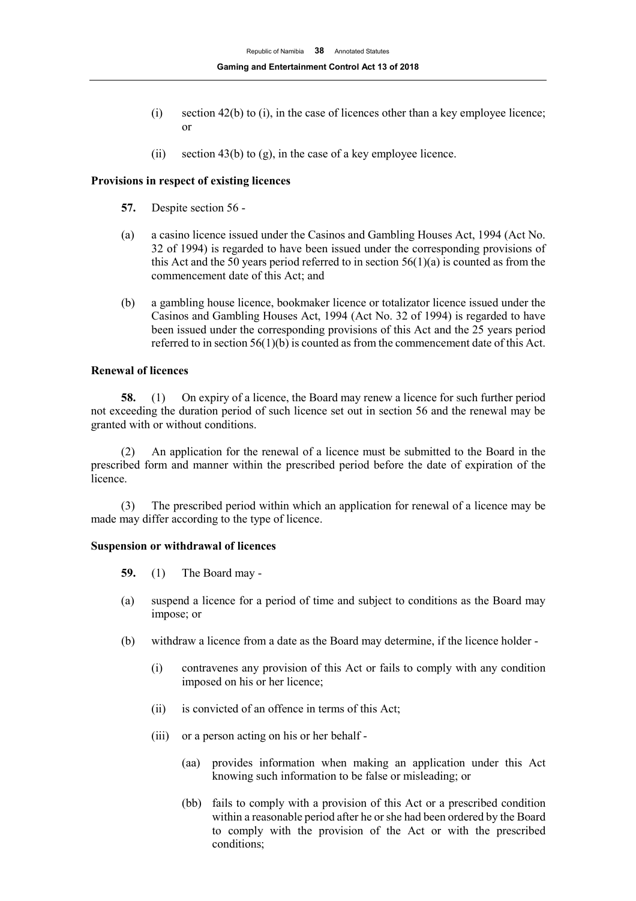- (i) section 42(b) to (i), in the case of licences other than a key employee licence; or
- (ii) section 43(b) to (g), in the case of a key employee licence.

## **Provisions in respect of existing licences**

- **57.** Despite section 56 -
- (a) a casino licence issued under the Casinos and Gambling Houses Act, 1994 (Act No. 32 of 1994) is regarded to have been issued under the corresponding provisions of this Act and the 50 years period referred to in section  $56(1)(a)$  is counted as from the commencement date of this Act; and
- (b) a gambling house licence, bookmaker licence or totalizator licence issued under the Casinos and Gambling Houses Act, 1994 (Act No. 32 of 1994) is regarded to have been issued under the corresponding provisions of this Act and the 25 years period referred to in section 56(1)(b) is counted as from the commencement date of this Act.

## **Renewal of licences**

**58.** (1) On expiry of a licence, the Board may renew a licence for such further period not exceeding the duration period of such licence set out in section 56 and the renewal may be granted with or without conditions.

(2) An application for the renewal of a licence must be submitted to the Board in the prescribed form and manner within the prescribed period before the date of expiration of the licence.

(3) The prescribed period within which an application for renewal of a licence may be made may differ according to the type of licence.

## **Suspension or withdrawal of licences**

- **59.** (1) The Board may -
- (a) suspend a licence for a period of time and subject to conditions as the Board may impose; or
- (b) withdraw a licence from a date as the Board may determine, if the licence holder
	- (i) contravenes any provision of this Act or fails to comply with any condition imposed on his or her licence;
	- (ii) is convicted of an offence in terms of this Act;
	- (iii) or a person acting on his or her behalf
		- (aa) provides information when making an application under this Act knowing such information to be false or misleading; or
		- (bb) fails to comply with a provision of this Act or a prescribed condition within a reasonable period after he or she had been ordered by the Board to comply with the provision of the Act or with the prescribed conditions;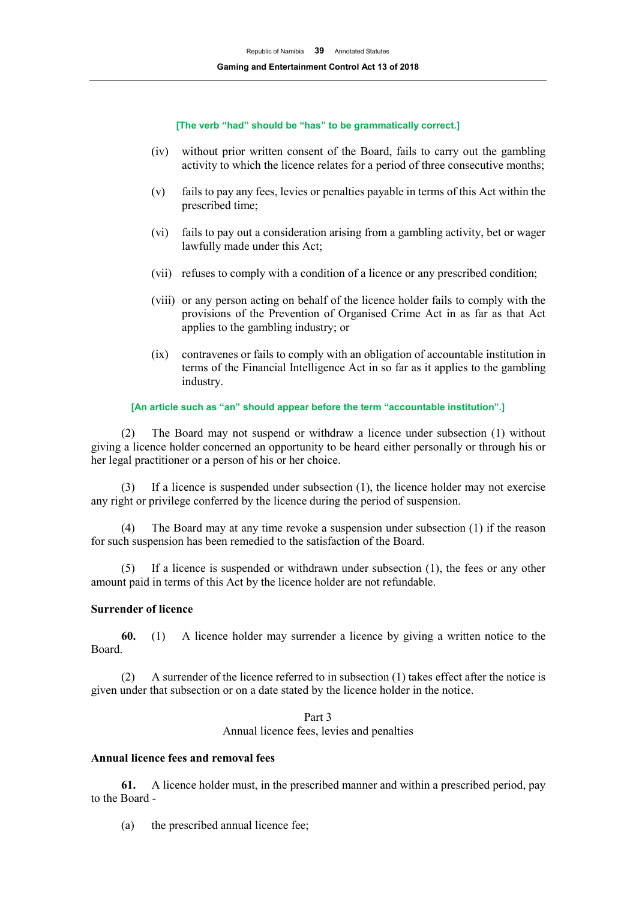**[The verb "had" should be "has" to be grammatically correct.]**

- (iv) without prior written consent of the Board, fails to carry out the gambling activity to which the licence relates for a period of three consecutive months;
- (v) fails to pay any fees, levies or penalties payable in terms of this Act within the prescribed time;
- (vi) fails to pay out a consideration arising from a gambling activity, bet or wager lawfully made under this Act;
- (vii) refuses to comply with a condition of a licence or any prescribed condition;
- (viii) or any person acting on behalf of the licence holder fails to comply with the provisions of the Prevention of Organised Crime Act in as far as that Act applies to the gambling industry; or
- (ix) contravenes or fails to comply with an obligation of accountable institution in terms of the Financial Intelligence Act in so far as it applies to the gambling industry.

#### **[An article such as "an" should appear before the term "accountable institution".]**

(2) The Board may not suspend or withdraw a licence under subsection (1) without giving a licence holder concerned an opportunity to be heard either personally or through his or her legal practitioner or a person of his or her choice.

(3) If a licence is suspended under subsection (1), the licence holder may not exercise any right or privilege conferred by the licence during the period of suspension.

The Board may at any time revoke a suspension under subsection  $(1)$  if the reason for such suspension has been remedied to the satisfaction of the Board.

(5) If a licence is suspended or withdrawn under subsection (1), the fees or any other amount paid in terms of this Act by the licence holder are not refundable.

#### **Surrender of licence**

**60.** (1) A licence holder may surrender a licence by giving a written notice to the Board.

(2) A surrender of the licence referred to in subsection (1) takes effect after the notice is given under that subsection or on a date stated by the licence holder in the notice.

> Part 3 Annual licence fees, levies and penalties

#### **Annual licence fees and removal fees**

**61.** A licence holder must, in the prescribed manner and within a prescribed period, pay to the Board -

(a) the prescribed annual licence fee;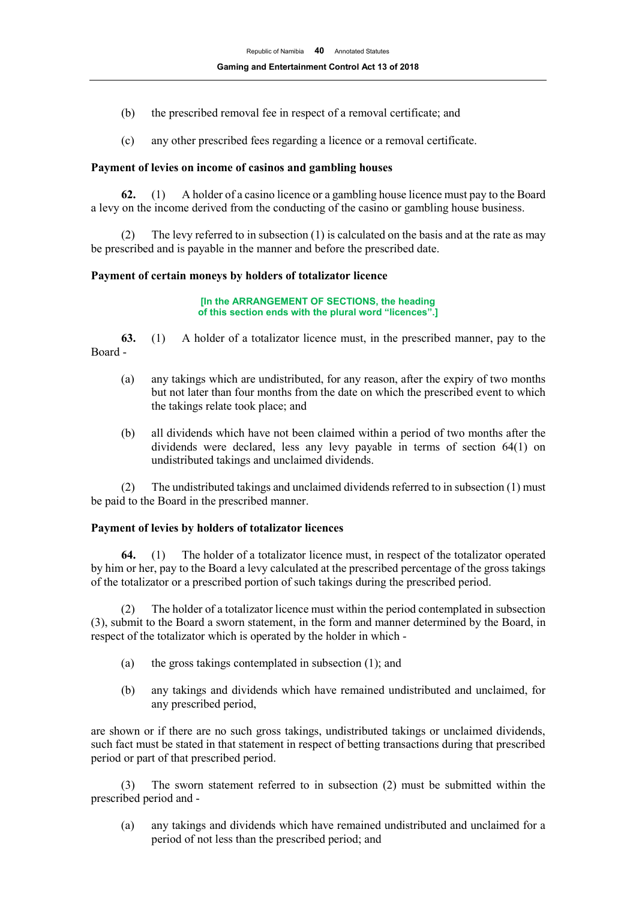- (b) the prescribed removal fee in respect of a removal certificate; and
- (c) any other prescribed fees regarding a licence or a removal certificate.

## **Payment of levies on income of casinos and gambling houses**

**62.** (1) A holder of a casino licence or a gambling house licence must pay to the Board a levy on the income derived from the conducting of the casino or gambling house business.

The levy referred to in subsection  $(1)$  is calculated on the basis and at the rate as may be prescribed and is payable in the manner and before the prescribed date.

## **Payment of certain moneys by holders of totalizator licence**

**[In the ARRANGEMENT OF SECTIONS, the heading of this section ends with the plural word "licences".]**

**63.** (1) A holder of a totalizator licence must, in the prescribed manner, pay to the Board -

- (a) any takings which are undistributed, for any reason, after the expiry of two months but not later than four months from the date on which the prescribed event to which the takings relate took place; and
- (b) all dividends which have not been claimed within a period of two months after the dividends were declared, less any levy payable in terms of section 64(1) on undistributed takings and unclaimed dividends.

(2) The undistributed takings and unclaimed dividends referred to in subsection (1) must be paid to the Board in the prescribed manner.

## **Payment of levies by holders of totalizator licences**

**64.** (1) The holder of a totalizator licence must, in respect of the totalizator operated by him or her, pay to the Board a levy calculated at the prescribed percentage of the gross takings of the totalizator or a prescribed portion of such takings during the prescribed period.

(2) The holder of a totalizator licence must within the period contemplated in subsection (3), submit to the Board a sworn statement, in the form and manner determined by the Board, in respect of the totalizator which is operated by the holder in which -

- (a) the gross takings contemplated in subsection (1); and
- (b) any takings and dividends which have remained undistributed and unclaimed, for any prescribed period,

are shown or if there are no such gross takings, undistributed takings or unclaimed dividends, such fact must be stated in that statement in respect of betting transactions during that prescribed period or part of that prescribed period.

(3) The sworn statement referred to in subsection (2) must be submitted within the prescribed period and -

(a) any takings and dividends which have remained undistributed and unclaimed for a period of not less than the prescribed period; and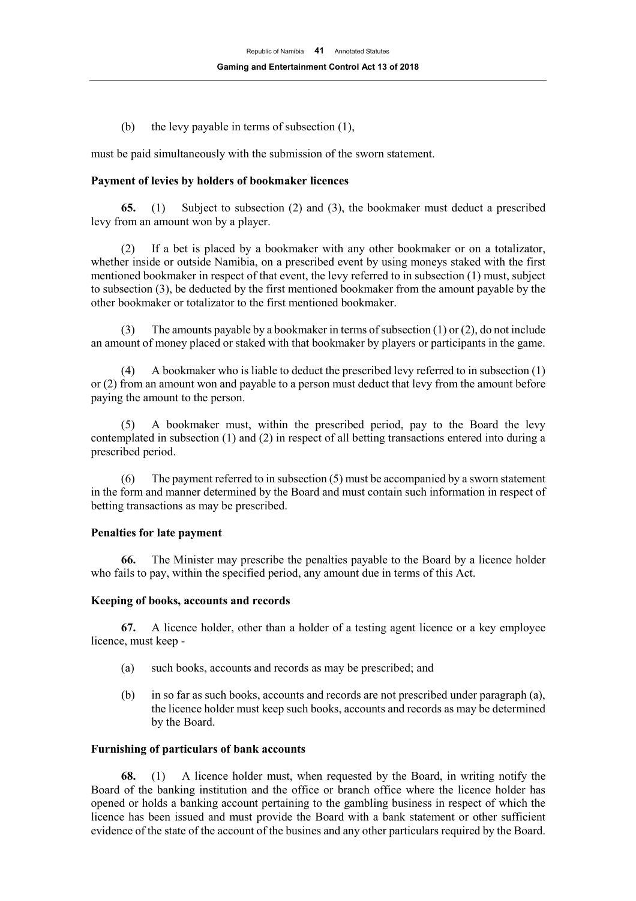(b) the levy payable in terms of subsection (1),

must be paid simultaneously with the submission of the sworn statement.

## **Payment of levies by holders of bookmaker licences**

**65.** (1) Subject to subsection (2) and (3), the bookmaker must deduct a prescribed levy from an amount won by a player.

(2) If a bet is placed by a bookmaker with any other bookmaker or on a totalizator, whether inside or outside Namibia, on a prescribed event by using moneys staked with the first mentioned bookmaker in respect of that event, the levy referred to in subsection (1) must, subject to subsection (3), be deducted by the first mentioned bookmaker from the amount payable by the other bookmaker or totalizator to the first mentioned bookmaker.

(3) The amounts payable by a bookmaker in terms of subsection (1) or (2), do not include an amount of money placed or staked with that bookmaker by players or participants in the game.

(4) A bookmaker who is liable to deduct the prescribed levy referred to in subsection (1) or (2) from an amount won and payable to a person must deduct that levy from the amount before paying the amount to the person.

(5) A bookmaker must, within the prescribed period, pay to the Board the levy contemplated in subsection (1) and (2) in respect of all betting transactions entered into during a prescribed period.

(6) The payment referred to in subsection (5) must be accompanied by a sworn statement in the form and manner determined by the Board and must contain such information in respect of betting transactions as may be prescribed.

## **Penalties for late payment**

**66.** The Minister may prescribe the penalties payable to the Board by a licence holder who fails to pay, within the specified period, any amount due in terms of this Act.

#### **Keeping of books, accounts and records**

**67.** A licence holder, other than a holder of a testing agent licence or a key employee licence, must keep -

- (a) such books, accounts and records as may be prescribed; and
- (b) in so far as such books, accounts and records are not prescribed under paragraph (a), the licence holder must keep such books, accounts and records as may be determined by the Board.

#### **Furnishing of particulars of bank accounts**

**68.** (1) A licence holder must, when requested by the Board, in writing notify the Board of the banking institution and the office or branch office where the licence holder has opened or holds a banking account pertaining to the gambling business in respect of which the licence has been issued and must provide the Board with a bank statement or other sufficient evidence of the state of the account of the busines and any other particulars required by the Board.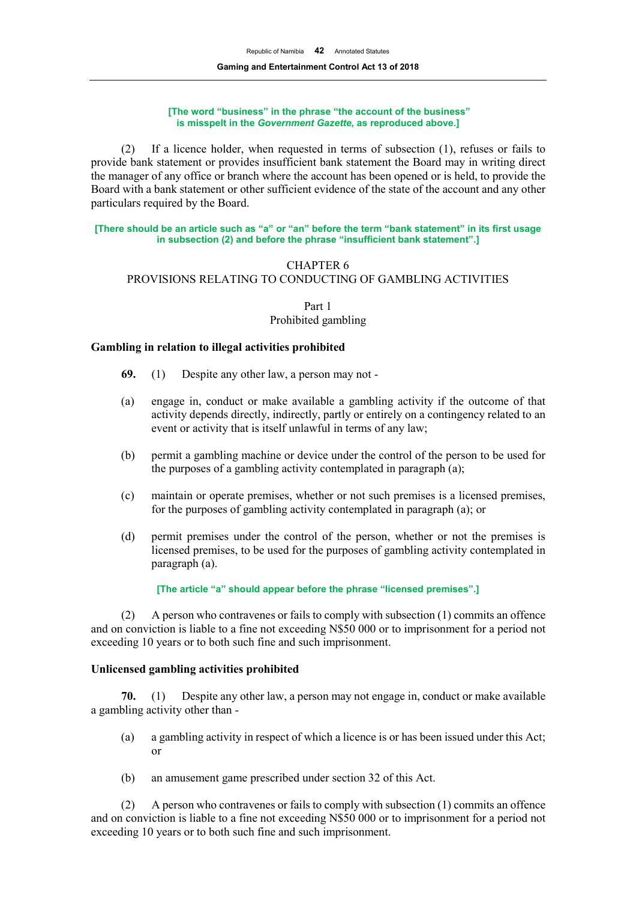#### **[The word "business" in the phrase "the account of the business" is misspelt in the** *Government Gazette***, as reproduced above.]**

(2) If a licence holder, when requested in terms of subsection (1), refuses or fails to provide bank statement or provides insufficient bank statement the Board may in writing direct the manager of any office or branch where the account has been opened or is held, to provide the Board with a bank statement or other sufficient evidence of the state of the account and any other particulars required by the Board.

#### **[There should be an article such as "a" or "an" before the term "bank statement" in its first usage in subsection (2) and before the phrase "insufficient bank statement".]**

# CHAPTER 6 PROVISIONS RELATING TO CONDUCTING OF GAMBLING ACTIVITIES

Part 1

## Prohibited gambling

## **Gambling in relation to illegal activities prohibited**

- **69.** (1) Despite any other law, a person may not -
- (a) engage in, conduct or make available a gambling activity if the outcome of that activity depends directly, indirectly, partly or entirely on a contingency related to an event or activity that is itself unlawful in terms of any law;
- (b) permit a gambling machine or device under the control of the person to be used for the purposes of a gambling activity contemplated in paragraph (a);
- (c) maintain or operate premises, whether or not such premises is a licensed premises, for the purposes of gambling activity contemplated in paragraph (a); or
- (d) permit premises under the control of the person, whether or not the premises is licensed premises, to be used for the purposes of gambling activity contemplated in paragraph (a).

## **[The article "a" should appear before the phrase "licensed premises".]**

(2) A person who contravenes or fails to comply with subsection (1) commits an offence and on conviction is liable to a fine not exceeding N\$50 000 or to imprisonment for a period not exceeding 10 years or to both such fine and such imprisonment.

## **Unlicensed gambling activities prohibited**

**70.** (1) Despite any other law, a person may not engage in, conduct or make available a gambling activity other than -

- (a) a gambling activity in respect of which a licence is or has been issued under this Act; or
- (b) an amusement game prescribed under section 32 of this Act.

(2) A person who contravenes or fails to comply with subsection (1) commits an offence and on conviction is liable to a fine not exceeding N\$50 000 or to imprisonment for a period not exceeding 10 years or to both such fine and such imprisonment.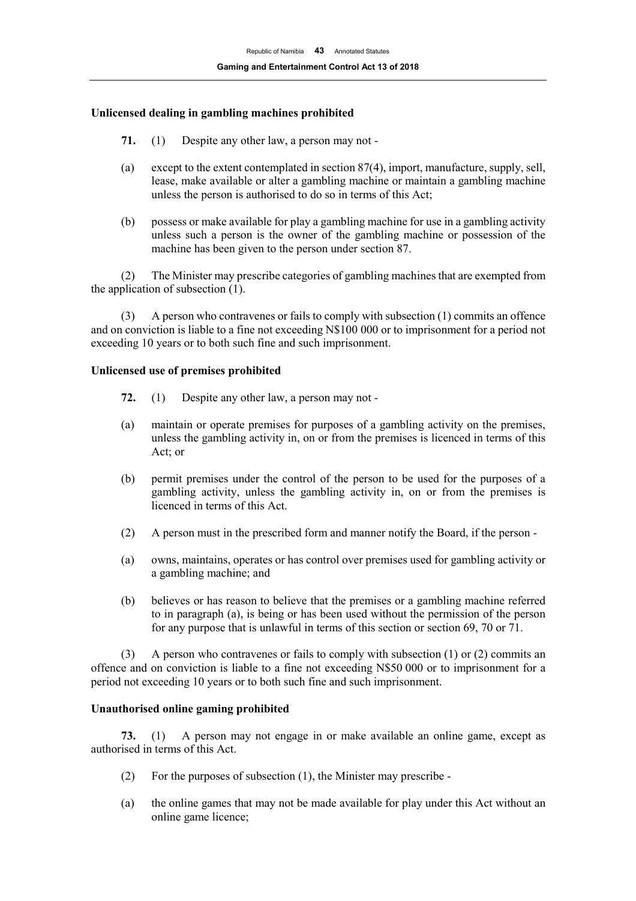## **Unlicensed dealing in gambling machines prohibited**

- **71.** (1) Despite any other law, a person may not -
- (a) except to the extent contemplated in section 87(4), import, manufacture, supply, sell, lease, make available or alter a gambling machine or maintain a gambling machine unless the person is authorised to do so in terms of this Act;
- (b) possess or make available for play a gambling machine for use in a gambling activity unless such a person is the owner of the gambling machine or possession of the machine has been given to the person under section 87.

(2) The Minister may prescribe categories of gambling machines that are exempted from the application of subsection (1).

(3) A person who contravenes or fails to comply with subsection (1) commits an offence and on conviction is liable to a fine not exceeding N\$100 000 or to imprisonment for a period not exceeding 10 years or to both such fine and such imprisonment.

## **Unlicensed use of premises prohibited**

- **72.** (1) Despite any other law, a person may not -
- (a) maintain or operate premises for purposes of a gambling activity on the premises, unless the gambling activity in, on or from the premises is licenced in terms of this Act; or
- (b) permit premises under the control of the person to be used for the purposes of a gambling activity, unless the gambling activity in, on or from the premises is licenced in terms of this Act.
- (2) A person must in the prescribed form and manner notify the Board, if the person -
- (a) owns, maintains, operates or has control over premises used for gambling activity or a gambling machine; and
- (b) believes or has reason to believe that the premises or a gambling machine referred to in paragraph (a), is being or has been used without the permission of the person for any purpose that is unlawful in terms of this section or section 69, 70 or 71.

(3) A person who contravenes or fails to comply with subsection (1) or (2) commits an offence and on conviction is liable to a fine not exceeding N\$50 000 or to imprisonment for a period not exceeding 10 years or to both such fine and such imprisonment.

## **Unauthorised online gaming prohibited**

**73.** (1) A person may not engage in or make available an online game, except as authorised in terms of this Act.

- (2) For the purposes of subsection (1), the Minister may prescribe -
- (a) the online games that may not be made available for play under this Act without an online game licence;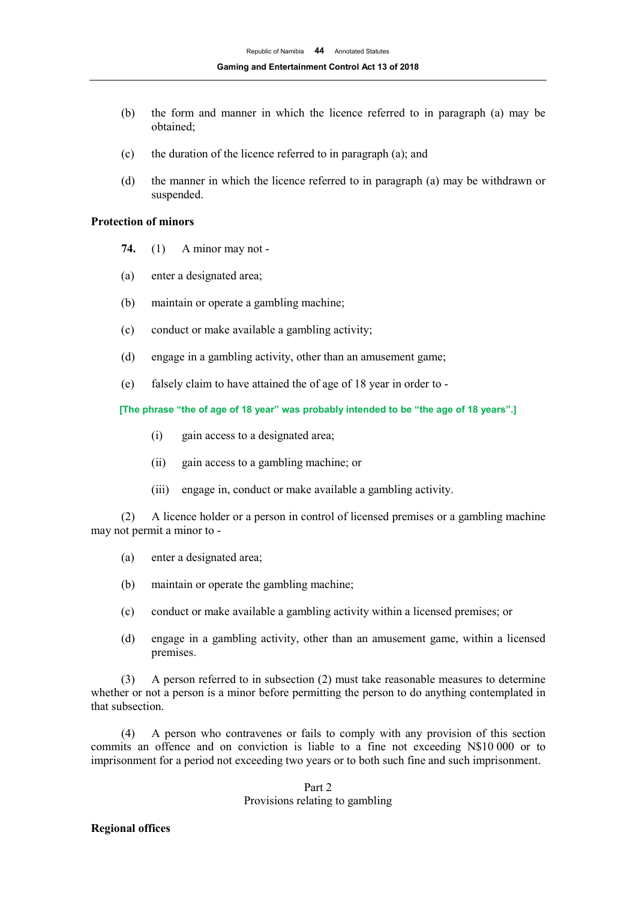- (b) the form and manner in which the licence referred to in paragraph (a) may be obtained;
- (c) the duration of the licence referred to in paragraph (a); and
- (d) the manner in which the licence referred to in paragraph (a) may be withdrawn or suspended.

## **Protection of minors**

- **74.** (1) A minor may not -
- (a) enter a designated area;
- (b) maintain or operate a gambling machine;
- (c) conduct or make available a gambling activity;
- (d) engage in a gambling activity, other than an amusement game;
- (e) falsely claim to have attained the of age of 18 year in order to -

## **[The phrase "the of age of 18 year" was probably intended to be "the age of 18 years".]**

- (i) gain access to a designated area;
- (ii) gain access to a gambling machine; or
- (iii) engage in, conduct or make available a gambling activity.

(2) A licence holder or a person in control of licensed premises or a gambling machine may not permit a minor to -

- (a) enter a designated area;
- (b) maintain or operate the gambling machine;
- (c) conduct or make available a gambling activity within a licensed premises; or
- (d) engage in a gambling activity, other than an amusement game, within a licensed premises.

(3) A person referred to in subsection (2) must take reasonable measures to determine whether or not a person is a minor before permitting the person to do anything contemplated in that subsection.

(4) A person who contravenes or fails to comply with any provision of this section commits an offence and on conviction is liable to a fine not exceeding N\$10 000 or to imprisonment for a period not exceeding two years or to both such fine and such imprisonment.

## Part 2 Provisions relating to gambling

#### **Regional offices**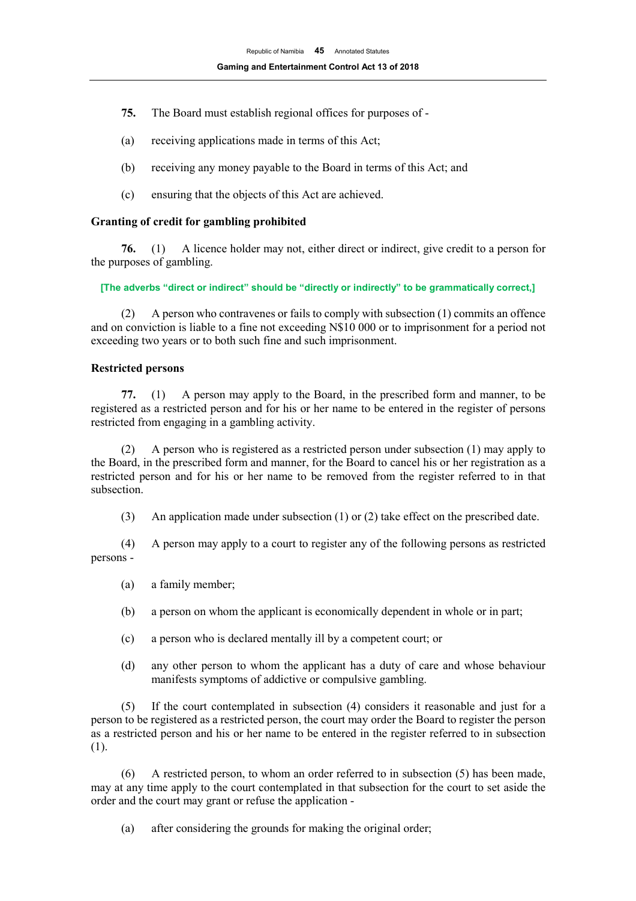- **75.** The Board must establish regional offices for purposes of -
- (a) receiving applications made in terms of this Act;
- (b) receiving any money payable to the Board in terms of this Act; and
- (c) ensuring that the objects of this Act are achieved.

## **Granting of credit for gambling prohibited**

**76.** (1) A licence holder may not, either direct or indirect, give credit to a person for the purposes of gambling.

**[The adverbs "direct or indirect" should be "directly or indirectly" to be grammatically correct,]**

(2) A person who contravenes or fails to comply with subsection (1) commits an offence and on conviction is liable to a fine not exceeding N\$10 000 or to imprisonment for a period not exceeding two years or to both such fine and such imprisonment.

## **Restricted persons**

**77.** (1) A person may apply to the Board, in the prescribed form and manner, to be registered as a restricted person and for his or her name to be entered in the register of persons restricted from engaging in a gambling activity.

(2) A person who is registered as a restricted person under subsection (1) may apply to the Board, in the prescribed form and manner, for the Board to cancel his or her registration as a restricted person and for his or her name to be removed from the register referred to in that subsection.

(3) An application made under subsection (1) or (2) take effect on the prescribed date.

(4) A person may apply to a court to register any of the following persons as restricted persons -

- (a) a family member;
- (b) a person on whom the applicant is economically dependent in whole or in part;
- (c) a person who is declared mentally ill by a competent court; or
- (d) any other person to whom the applicant has a duty of care and whose behaviour manifests symptoms of addictive or compulsive gambling.

(5) If the court contemplated in subsection (4) considers it reasonable and just for a person to be registered as a restricted person, the court may order the Board to register the person as a restricted person and his or her name to be entered in the register referred to in subsection (1).

(6) A restricted person, to whom an order referred to in subsection (5) has been made, may at any time apply to the court contemplated in that subsection for the court to set aside the order and the court may grant or refuse the application -

(a) after considering the grounds for making the original order;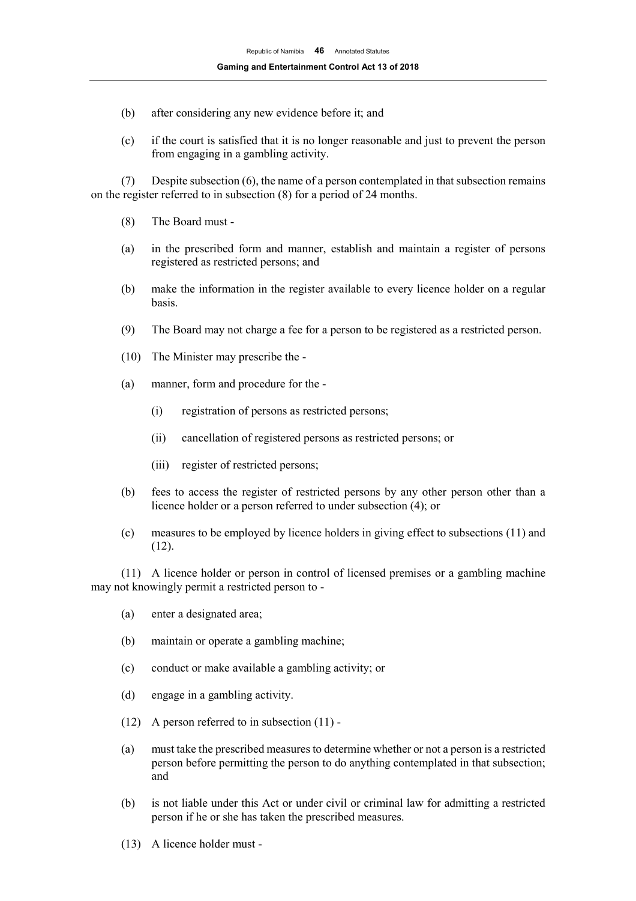- (b) after considering any new evidence before it; and
- (c) if the court is satisfied that it is no longer reasonable and just to prevent the person from engaging in a gambling activity.

(7) Despite subsection (6), the name of a person contemplated in that subsection remains on the register referred to in subsection (8) for a period of 24 months.

- (8) The Board must -
- (a) in the prescribed form and manner, establish and maintain a register of persons registered as restricted persons; and
- (b) make the information in the register available to every licence holder on a regular basis.
- (9) The Board may not charge a fee for a person to be registered as a restricted person.
- (10) The Minister may prescribe the -
- (a) manner, form and procedure for the
	- (i) registration of persons as restricted persons;
	- (ii) cancellation of registered persons as restricted persons; or
	- (iii) register of restricted persons;
- (b) fees to access the register of restricted persons by any other person other than a licence holder or a person referred to under subsection (4); or
- (c) measures to be employed by licence holders in giving effect to subsections (11) and (12).

(11) A licence holder or person in control of licensed premises or a gambling machine may not knowingly permit a restricted person to -

- (a) enter a designated area;
- (b) maintain or operate a gambling machine;
- (c) conduct or make available a gambling activity; or
- (d) engage in a gambling activity.
- (12) A person referred to in subsection (11) -
- (a) must take the prescribed measures to determine whether or not a person is a restricted person before permitting the person to do anything contemplated in that subsection; and
- (b) is not liable under this Act or under civil or criminal law for admitting a restricted person if he or she has taken the prescribed measures.
- (13) A licence holder must -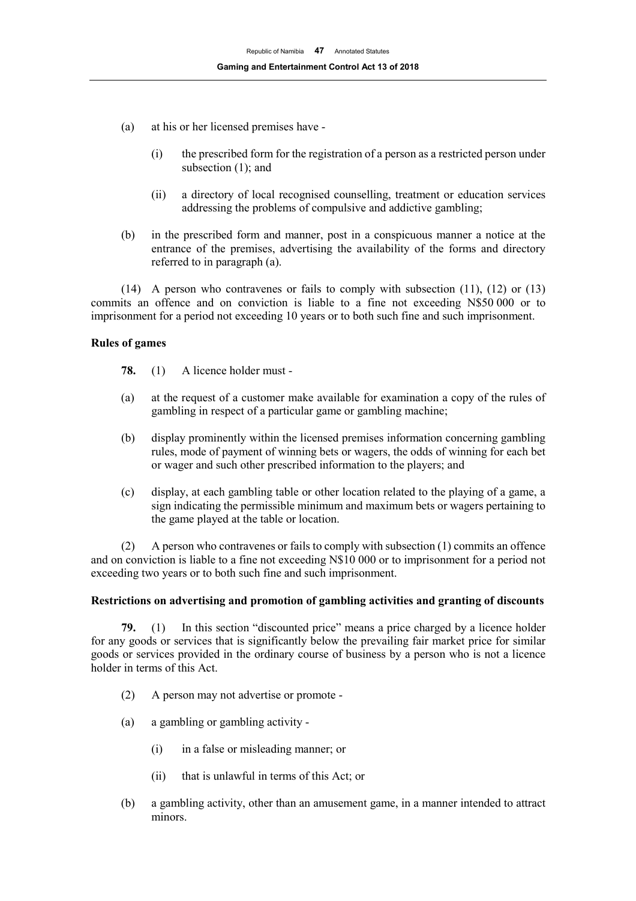- (a) at his or her licensed premises have
	- (i) the prescribed form for the registration of a person as a restricted person under subsection (1); and
	- (ii) a directory of local recognised counselling, treatment or education services addressing the problems of compulsive and addictive gambling;
- (b) in the prescribed form and manner, post in a conspicuous manner a notice at the entrance of the premises, advertising the availability of the forms and directory referred to in paragraph (a).

(14) A person who contravenes or fails to comply with subsection (11), (12) or (13) commits an offence and on conviction is liable to a fine not exceeding N\$50 000 or to imprisonment for a period not exceeding 10 years or to both such fine and such imprisonment.

## **Rules of games**

- **78.** (1) A licence holder must -
- (a) at the request of a customer make available for examination a copy of the rules of gambling in respect of a particular game or gambling machine;
- (b) display prominently within the licensed premises information concerning gambling rules, mode of payment of winning bets or wagers, the odds of winning for each bet or wager and such other prescribed information to the players; and
- (c) display, at each gambling table or other location related to the playing of a game, a sign indicating the permissible minimum and maximum bets or wagers pertaining to the game played at the table or location.

(2) A person who contravenes or fails to comply with subsection (1) commits an offence and on conviction is liable to a fine not exceeding N\$10 000 or to imprisonment for a period not exceeding two years or to both such fine and such imprisonment.

#### **Restrictions on advertising and promotion of gambling activities and granting of discounts**

**79.** (1) In this section "discounted price" means a price charged by a licence holder for any goods or services that is significantly below the prevailing fair market price for similar goods or services provided in the ordinary course of business by a person who is not a licence holder in terms of this Act.

- (2) A person may not advertise or promote -
- (a) a gambling or gambling activity
	- (i) in a false or misleading manner; or
	- (ii) that is unlawful in terms of this Act; or
- (b) a gambling activity, other than an amusement game, in a manner intended to attract minors.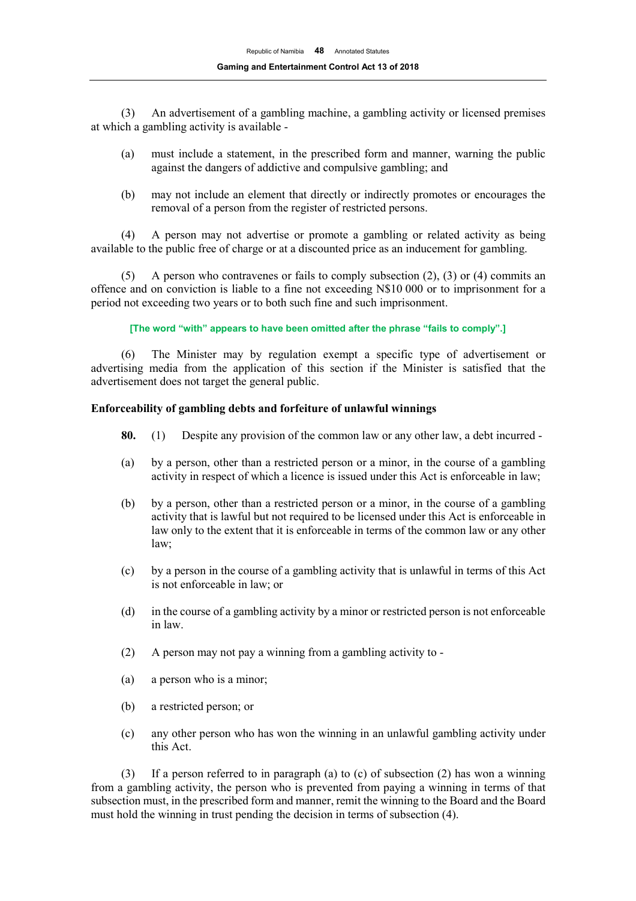(3) An advertisement of a gambling machine, a gambling activity or licensed premises at which a gambling activity is available -

- (a) must include a statement, in the prescribed form and manner, warning the public against the dangers of addictive and compulsive gambling; and
- (b) may not include an element that directly or indirectly promotes or encourages the removal of a person from the register of restricted persons.

(4) A person may not advertise or promote a gambling or related activity as being available to the public free of charge or at a discounted price as an inducement for gambling.

(5) A person who contravenes or fails to comply subsection (2), (3) or (4) commits an offence and on conviction is liable to a fine not exceeding N\$10 000 or to imprisonment for a period not exceeding two years or to both such fine and such imprisonment.

**[The word "with" appears to have been omitted after the phrase "fails to comply".]**

(6) The Minister may by regulation exempt a specific type of advertisement or advertising media from the application of this section if the Minister is satisfied that the advertisement does not target the general public.

## **Enforceability of gambling debts and forfeiture of unlawful winnings**

- **80.** (1) Despite any provision of the common law or any other law, a debt incurred -
- (a) by a person, other than a restricted person or a minor, in the course of a gambling activity in respect of which a licence is issued under this Act is enforceable in law;
- (b) by a person, other than a restricted person or a minor, in the course of a gambling activity that is lawful but not required to be licensed under this Act is enforceable in law only to the extent that it is enforceable in terms of the common law or any other law;
- (c) by a person in the course of a gambling activity that is unlawful in terms of this Act is not enforceable in law; or
- (d) in the course of a gambling activity by a minor or restricted person is not enforceable in law.
- (2) A person may not pay a winning from a gambling activity to -
- (a) a person who is a minor;
- (b) a restricted person; or
- (c) any other person who has won the winning in an unlawful gambling activity under this Act.

(3) If a person referred to in paragraph (a) to (c) of subsection (2) has won a winning from a gambling activity, the person who is prevented from paying a winning in terms of that subsection must, in the prescribed form and manner, remit the winning to the Board and the Board must hold the winning in trust pending the decision in terms of subsection (4).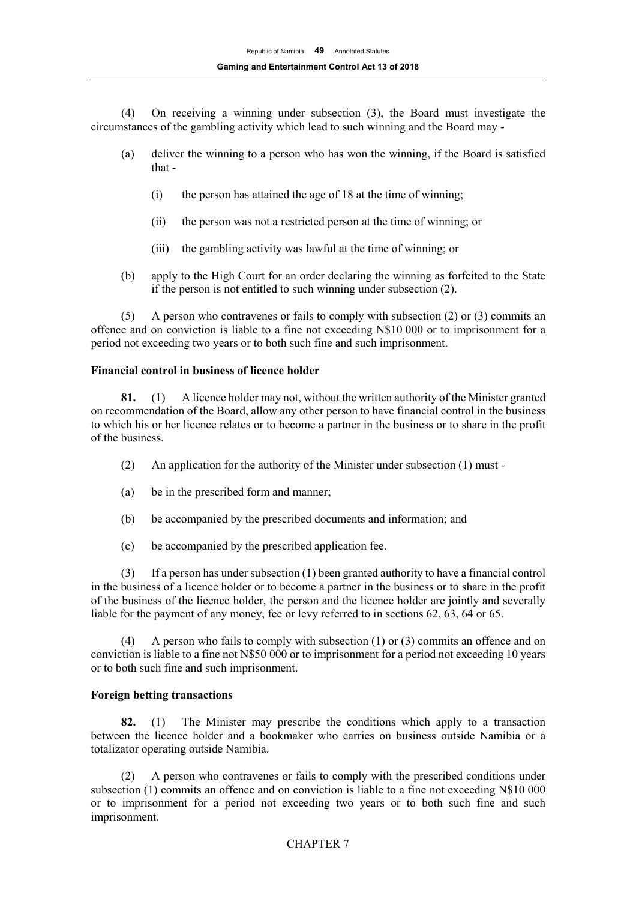(4) On receiving a winning under subsection (3), the Board must investigate the circumstances of the gambling activity which lead to such winning and the Board may -

- (a) deliver the winning to a person who has won the winning, if the Board is satisfied that -
	- (i) the person has attained the age of 18 at the time of winning;
	- (ii) the person was not a restricted person at the time of winning; or
	- (iii) the gambling activity was lawful at the time of winning; or
- (b) apply to the High Court for an order declaring the winning as forfeited to the State if the person is not entitled to such winning under subsection (2).

(5) A person who contravenes or fails to comply with subsection (2) or (3) commits an offence and on conviction is liable to a fine not exceeding N\$10 000 or to imprisonment for a period not exceeding two years or to both such fine and such imprisonment.

## **Financial control in business of licence holder**

**81.** (1) A licence holder may not, without the written authority of the Minister granted on recommendation of the Board, allow any other person to have financial control in the business to which his or her licence relates or to become a partner in the business or to share in the profit of the business.

- (2) An application for the authority of the Minister under subsection (1) must -
- (a) be in the prescribed form and manner;
- (b) be accompanied by the prescribed documents and information; and
- (c) be accompanied by the prescribed application fee.

(3) If a person has under subsection (1) been granted authority to have a financial control in the business of a licence holder or to become a partner in the business or to share in the profit of the business of the licence holder, the person and the licence holder are jointly and severally liable for the payment of any money, fee or levy referred to in sections 62, 63, 64 or 65.

(4) A person who fails to comply with subsection (1) or (3) commits an offence and on conviction is liable to a fine not N\$50 000 or to imprisonment for a period not exceeding 10 years or to both such fine and such imprisonment.

## **Foreign betting transactions**

**82.** (1) The Minister may prescribe the conditions which apply to a transaction between the licence holder and a bookmaker who carries on business outside Namibia or a totalizator operating outside Namibia.

(2) A person who contravenes or fails to comply with the prescribed conditions under subsection (1) commits an offence and on conviction is liable to a fine not exceeding N\$10 000 or to imprisonment for a period not exceeding two years or to both such fine and such imprisonment.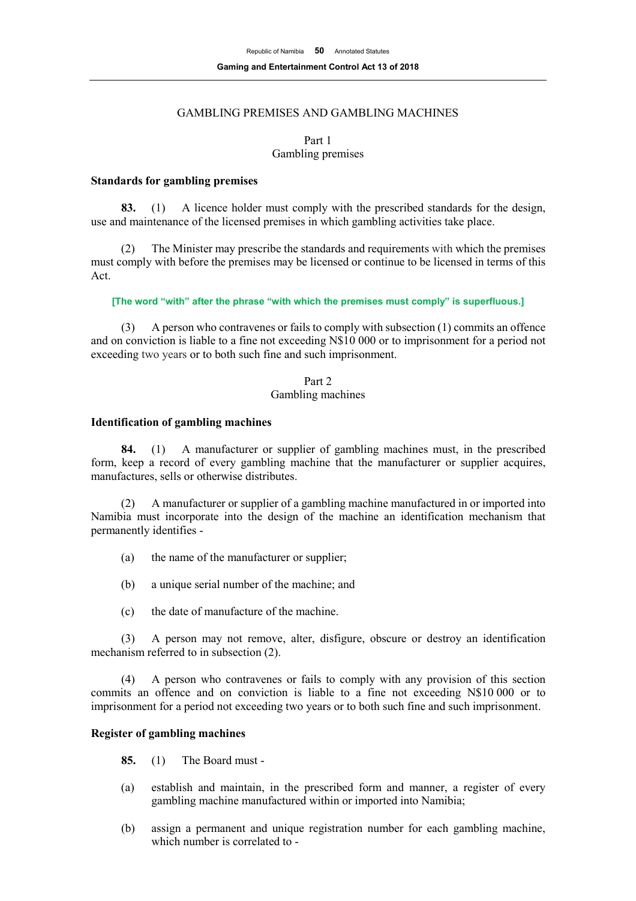# GAMBLING PREMISES AND GAMBLING MACHINES

Part 1 Gambling premises

#### **Standards for gambling premises**

**83.** (1) A licence holder must comply with the prescribed standards for the design, use and maintenance of the licensed premises in which gambling activities take place.

(2) The Minister may prescribe the standards and requirements with which the premises must comply with before the premises may be licensed or continue to be licensed in terms of this Act.

**[The word "with" after the phrase "with which the premises must comply" is superfluous.]**

(3) A person who contravenes or fails to comply with subsection (1) commits an offence and on conviction is liable to a fine not exceeding N\$10 000 or to imprisonment for a period not exceeding two years or to both such fine and such imprisonment.

## Part 2

## Gambling machines

#### **Identification of gambling machines**

**84.** (1) A manufacturer or supplier of gambling machines must, in the prescribed form, keep a record of every gambling machine that the manufacturer or supplier acquires, manufactures, sells or otherwise distributes.

(2) A manufacturer or supplier of a gambling machine manufactured in or imported into Namibia must incorporate into the design of the machine an identification mechanism that permanently identifies -

- (a) the name of the manufacturer or supplier;
- (b) a unique serial number of the machine; and
- (c) the date of manufacture of the machine.

(3) A person may not remove, alter, disfigure, obscure or destroy an identification mechanism referred to in subsection (2).

(4) A person who contravenes or fails to comply with any provision of this section commits an offence and on conviction is liable to a fine not exceeding N\$10 000 or to imprisonment for a period not exceeding two years or to both such fine and such imprisonment.

## **Register of gambling machines**

**85.** (1) The Board must -

- (a) establish and maintain, in the prescribed form and manner, a register of every gambling machine manufactured within or imported into Namibia;
- (b) assign a permanent and unique registration number for each gambling machine, which number is correlated to -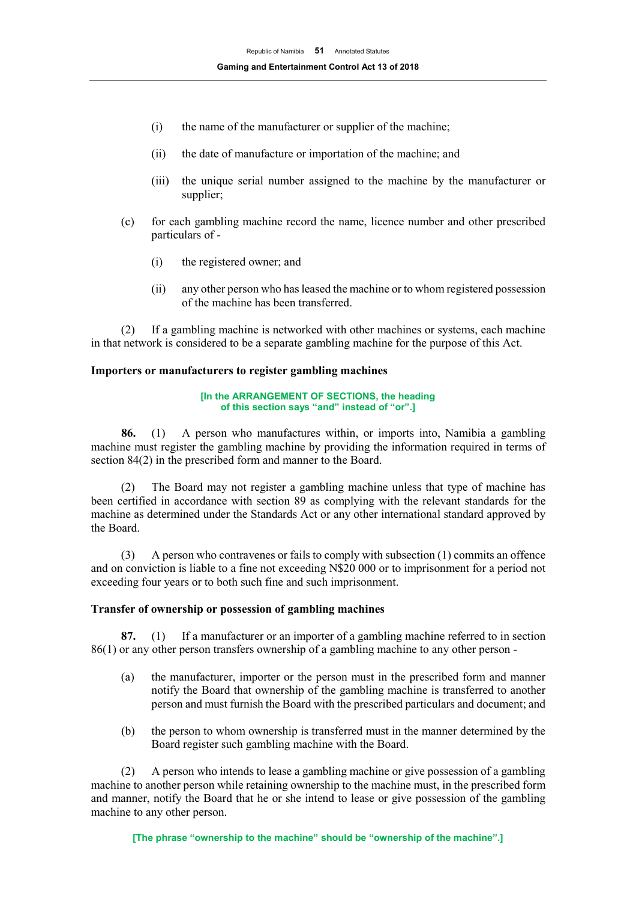- (i) the name of the manufacturer or supplier of the machine;
- (ii) the date of manufacture or importation of the machine; and
- (iii) the unique serial number assigned to the machine by the manufacturer or supplier;
- (c) for each gambling machine record the name, licence number and other prescribed particulars of -
	- (i) the registered owner; and
	- (ii) any other person who has leased the machine or to whom registered possession of the machine has been transferred.

(2) If a gambling machine is networked with other machines or systems, each machine in that network is considered to be a separate gambling machine for the purpose of this Act.

## **Importers or manufacturers to register gambling machines**

#### **[In the ARRANGEMENT OF SECTIONS, the heading of this section says "and" instead of "or".]**

**86.** (1) A person who manufactures within, or imports into, Namibia a gambling machine must register the gambling machine by providing the information required in terms of section 84(2) in the prescribed form and manner to the Board.

(2) The Board may not register a gambling machine unless that type of machine has been certified in accordance with section 89 as complying with the relevant standards for the machine as determined under the Standards Act or any other international standard approved by the Board.

(3) A person who contravenes or fails to comply with subsection (1) commits an offence and on conviction is liable to a fine not exceeding N\$20 000 or to imprisonment for a period not exceeding four years or to both such fine and such imprisonment.

#### **Transfer of ownership or possession of gambling machines**

**87.** (1) If a manufacturer or an importer of a gambling machine referred to in section 86(1) or any other person transfers ownership of a gambling machine to any other person -

- (a) the manufacturer, importer or the person must in the prescribed form and manner notify the Board that ownership of the gambling machine is transferred to another person and must furnish the Board with the prescribed particulars and document; and
- (b) the person to whom ownership is transferred must in the manner determined by the Board register such gambling machine with the Board.

(2) A person who intends to lease a gambling machine or give possession of a gambling machine to another person while retaining ownership to the machine must, in the prescribed form and manner, notify the Board that he or she intend to lease or give possession of the gambling machine to any other person.

**[The phrase "ownership to the machine" should be "ownership of the machine".]**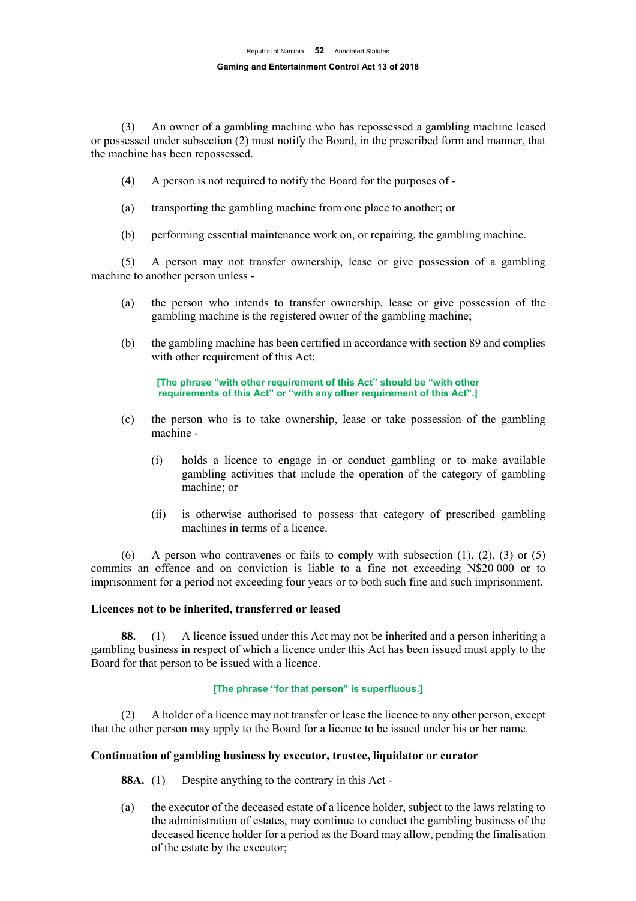(3) An owner of a gambling machine who has repossessed a gambling machine leased or possessed under subsection (2) must notify the Board, in the prescribed form and manner, that the machine has been repossessed.

- (4) A person is not required to notify the Board for the purposes of -
- (a) transporting the gambling machine from one place to another; or
- (b) performing essential maintenance work on, or repairing, the gambling machine.

(5) A person may not transfer ownership, lease or give possession of a gambling machine to another person unless -

- (a) the person who intends to transfer ownership, lease or give possession of the gambling machine is the registered owner of the gambling machine;
- (b) the gambling machine has been certified in accordance with section 89 and complies with other requirement of this Act;

**[The phrase "with other requirement of this Act" should be "with other requirements of this Act" or "with any other requirement of this Act".]**

- (c) the person who is to take ownership, lease or take possession of the gambling machine -
	- (i) holds a licence to engage in or conduct gambling or to make available gambling activities that include the operation of the category of gambling machine; or
	- (ii) is otherwise authorised to possess that category of prescribed gambling machines in terms of a licence.

(6) A person who contravenes or fails to comply with subsection  $(1)$ ,  $(2)$ ,  $(3)$  or  $(5)$ commits an offence and on conviction is liable to a fine not exceeding N\$20 000 or to imprisonment for a period not exceeding four years or to both such fine and such imprisonment.

## **Licences not to be inherited, transferred or leased**

**88.** (1) A licence issued under this Act may not be inherited and a person inheriting a gambling business in respect of which a licence under this Act has been issued must apply to the Board for that person to be issued with a licence.

#### **[The phrase "for that person" is superfluous.]**

(2) A holder of a licence may not transfer or lease the licence to any other person, except that the other person may apply to the Board for a licence to be issued under his or her name.

## **Continuation of gambling business by executor, trustee, liquidator or curator**

- **88A.** (1) Despite anything to the contrary in this Act -
- (a) the executor of the deceased estate of a licence holder, subject to the laws relating to the administration of estates, may continue to conduct the gambling business of the deceased licence holder for a period as the Board may allow, pending the finalisation of the estate by the executor;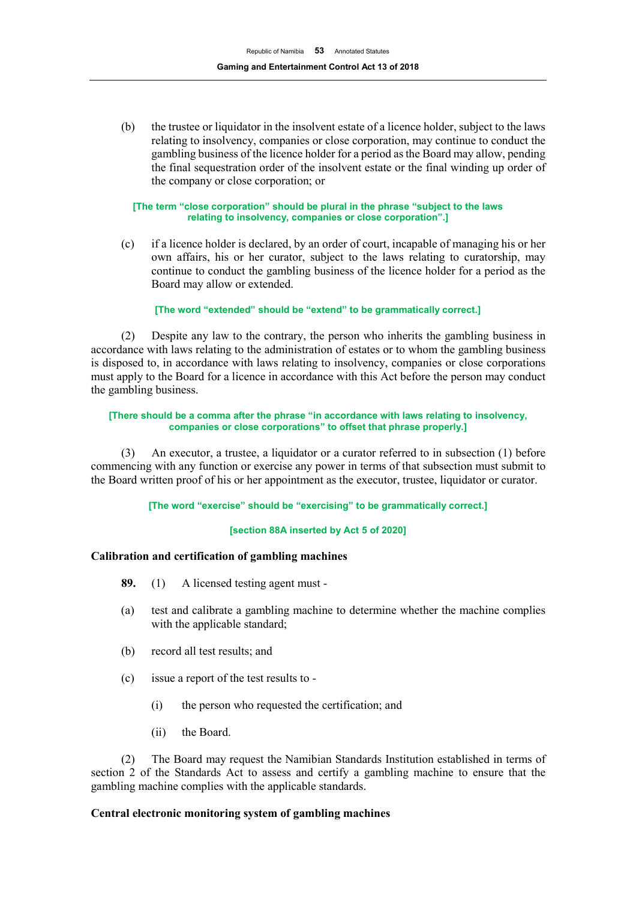(b) the trustee or liquidator in the insolvent estate of a licence holder, subject to the laws relating to insolvency, companies or close corporation, may continue to conduct the gambling business of the licence holder for a period as the Board may allow, pending the final sequestration order of the insolvent estate or the final winding up order of the company or close corporation; or

#### **[The term "close corporation" should be plural in the phrase "subject to the laws relating to insolvency, companies or close corporation".]**

(c) if a licence holder is declared, by an order of court, incapable of managing his or her own affairs, his or her curator, subject to the laws relating to curatorship, may continue to conduct the gambling business of the licence holder for a period as the Board may allow or extended.

## **[The word "extended" should be "extend" to be grammatically correct.]**

(2) Despite any law to the contrary, the person who inherits the gambling business in accordance with laws relating to the administration of estates or to whom the gambling business is disposed to, in accordance with laws relating to insolvency, companies or close corporations must apply to the Board for a licence in accordance with this Act before the person may conduct the gambling business.

#### **[There should be a comma after the phrase "in accordance with laws relating to insolvency, companies or close corporations" to offset that phrase properly.]**

(3) An executor, a trustee, a liquidator or a curator referred to in subsection (1) before commencing with any function or exercise any power in terms of that subsection must submit to the Board written proof of his or her appointment as the executor, trustee, liquidator or curator.

#### **[The word "exercise" should be "exercising" to be grammatically correct.]**

#### **[section 88A inserted by Act 5 of 2020]**

## **Calibration and certification of gambling machines**

- **89.** (1) A licensed testing agent must -
- (a) test and calibrate a gambling machine to determine whether the machine complies with the applicable standard;
- (b) record all test results; and
- (c) issue a report of the test results to
	- (i) the person who requested the certification; and
	- (ii) the Board.

(2) The Board may request the Namibian Standards Institution established in terms of section 2 of the Standards Act to assess and certify a gambling machine to ensure that the gambling machine complies with the applicable standards.

## **Central electronic monitoring system of gambling machines**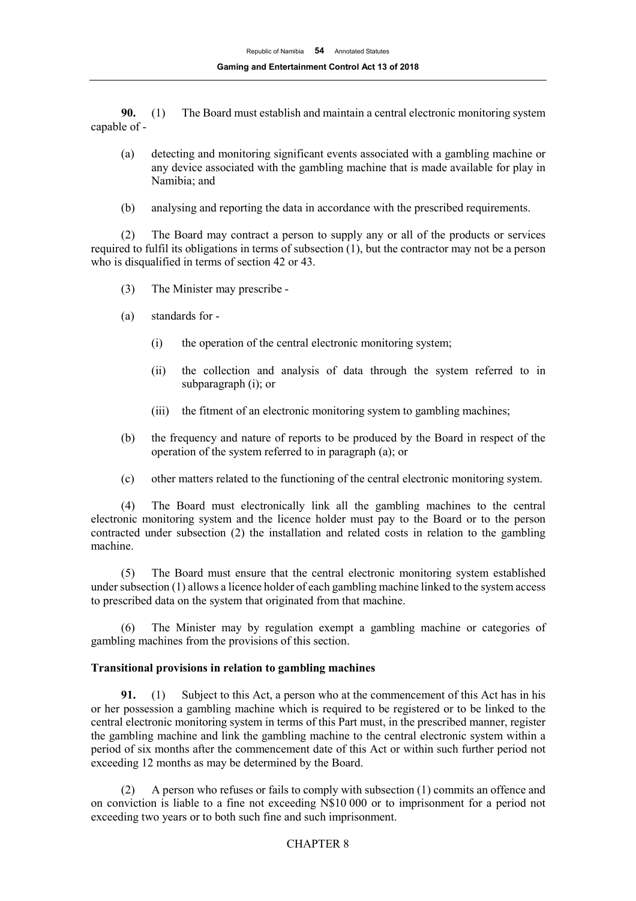**90.** (1) The Board must establish and maintain a central electronic monitoring system capable of -

- (a) detecting and monitoring significant events associated with a gambling machine or any device associated with the gambling machine that is made available for play in Namibia; and
- (b) analysing and reporting the data in accordance with the prescribed requirements.

(2) The Board may contract a person to supply any or all of the products or services required to fulfil its obligations in terms of subsection (1), but the contractor may not be a person who is disqualified in terms of section 42 or 43.

- (3) The Minister may prescribe -
- (a) standards for
	- (i) the operation of the central electronic monitoring system;
	- (ii) the collection and analysis of data through the system referred to in subparagraph (i); or
	- (iii) the fitment of an electronic monitoring system to gambling machines;
- (b) the frequency and nature of reports to be produced by the Board in respect of the operation of the system referred to in paragraph (a); or
- (c) other matters related to the functioning of the central electronic monitoring system.

(4) The Board must electronically link all the gambling machines to the central electronic monitoring system and the licence holder must pay to the Board or to the person contracted under subsection (2) the installation and related costs in relation to the gambling machine.

(5) The Board must ensure that the central electronic monitoring system established under subsection (1) allows a licence holder of each gambling machine linked to the system access to prescribed data on the system that originated from that machine.

(6) The Minister may by regulation exempt a gambling machine or categories of gambling machines from the provisions of this section.

#### **Transitional provisions in relation to gambling machines**

**91.** (1) Subject to this Act, a person who at the commencement of this Act has in his or her possession a gambling machine which is required to be registered or to be linked to the central electronic monitoring system in terms of this Part must, in the prescribed manner, register the gambling machine and link the gambling machine to the central electronic system within a period of six months after the commencement date of this Act or within such further period not exceeding 12 months as may be determined by the Board.

(2) A person who refuses or fails to comply with subsection (1) commits an offence and on conviction is liable to a fine not exceeding N\$10 000 or to imprisonment for a period not exceeding two years or to both such fine and such imprisonment.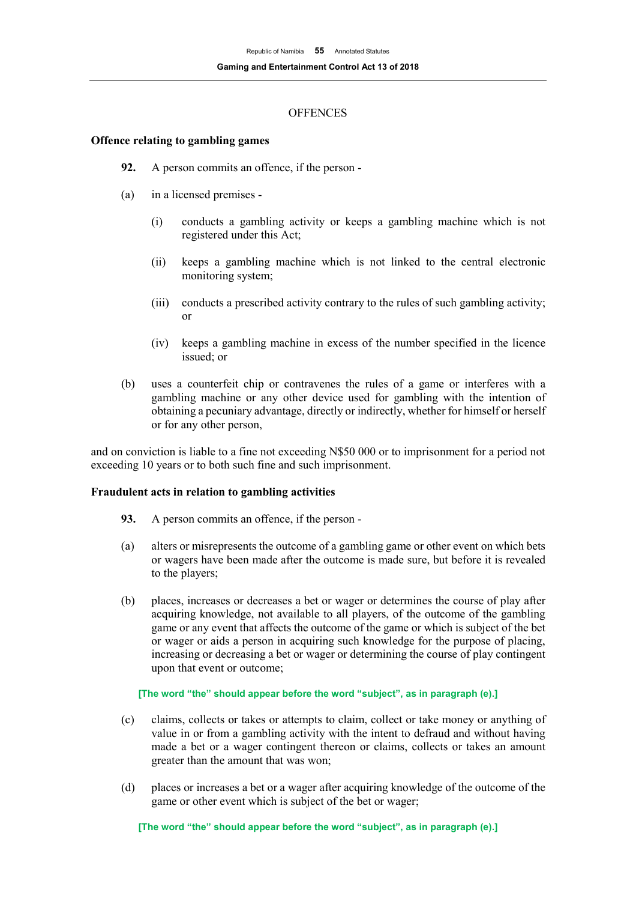## **OFFENCES**

## **Offence relating to gambling games**

- **92.** A person commits an offence, if the person -
- (a) in a licensed premises
	- (i) conducts a gambling activity or keeps a gambling machine which is not registered under this Act;
	- (ii) keeps a gambling machine which is not linked to the central electronic monitoring system;
	- (iii) conducts a prescribed activity contrary to the rules of such gambling activity; or
	- (iv) keeps a gambling machine in excess of the number specified in the licence issued; or
- (b) uses a counterfeit chip or contravenes the rules of a game or interferes with a gambling machine or any other device used for gambling with the intention of obtaining a pecuniary advantage, directly or indirectly, whether for himself or herself or for any other person,

and on conviction is liable to a fine not exceeding N\$50 000 or to imprisonment for a period not exceeding 10 years or to both such fine and such imprisonment.

#### **Fraudulent acts in relation to gambling activities**

- **93.** A person commits an offence, if the person -
- (a) alters or misrepresents the outcome of a gambling game or other event on which bets or wagers have been made after the outcome is made sure, but before it is revealed to the players;
- (b) places, increases or decreases a bet or wager or determines the course of play after acquiring knowledge, not available to all players, of the outcome of the gambling game or any event that affects the outcome of the game or which is subject of the bet or wager or aids a person in acquiring such knowledge for the purpose of placing, increasing or decreasing a bet or wager or determining the course of play contingent upon that event or outcome;

#### **[The word "the" should appear before the word "subject", as in paragraph (e).]**

- (c) claims, collects or takes or attempts to claim, collect or take money or anything of value in or from a gambling activity with the intent to defraud and without having made a bet or a wager contingent thereon or claims, collects or takes an amount greater than the amount that was won;
- (d) places or increases a bet or a wager after acquiring knowledge of the outcome of the game or other event which is subject of the bet or wager;

**[The word "the" should appear before the word "subject", as in paragraph (e).]**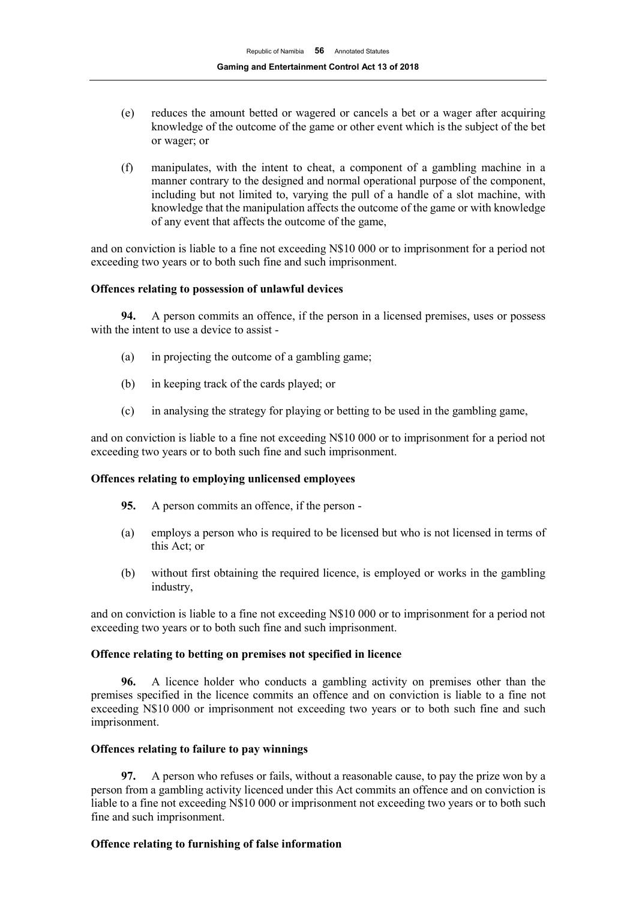- (e) reduces the amount betted or wagered or cancels a bet or a wager after acquiring knowledge of the outcome of the game or other event which is the subject of the bet or wager; or
- (f) manipulates, with the intent to cheat, a component of a gambling machine in a manner contrary to the designed and normal operational purpose of the component, including but not limited to, varying the pull of a handle of a slot machine, with knowledge that the manipulation affects the outcome of the game or with knowledge of any event that affects the outcome of the game,

and on conviction is liable to a fine not exceeding N\$10 000 or to imprisonment for a period not exceeding two years or to both such fine and such imprisonment.

## **Offences relating to possession of unlawful devices**

**94.** A person commits an offence, if the person in a licensed premises, uses or possess with the intent to use a device to assist -

- (a) in projecting the outcome of a gambling game;
- (b) in keeping track of the cards played; or
- (c) in analysing the strategy for playing or betting to be used in the gambling game,

and on conviction is liable to a fine not exceeding N\$10 000 or to imprisonment for a period not exceeding two years or to both such fine and such imprisonment.

#### **Offences relating to employing unlicensed employees**

- **95.** A person commits an offence, if the person -
- (a) employs a person who is required to be licensed but who is not licensed in terms of this Act; or
- (b) without first obtaining the required licence, is employed or works in the gambling industry,

and on conviction is liable to a fine not exceeding N\$10 000 or to imprisonment for a period not exceeding two years or to both such fine and such imprisonment.

#### **Offence relating to betting on premises not specified in licence**

**96.** A licence holder who conducts a gambling activity on premises other than the premises specified in the licence commits an offence and on conviction is liable to a fine not exceeding N\$10 000 or imprisonment not exceeding two years or to both such fine and such imprisonment.

#### **Offences relating to failure to pay winnings**

**97.** A person who refuses or fails, without a reasonable cause, to pay the prize won by a person from a gambling activity licenced under this Act commits an offence and on conviction is liable to a fine not exceeding N\$10 000 or imprisonment not exceeding two years or to both such fine and such imprisonment.

## **Offence relating to furnishing of false information**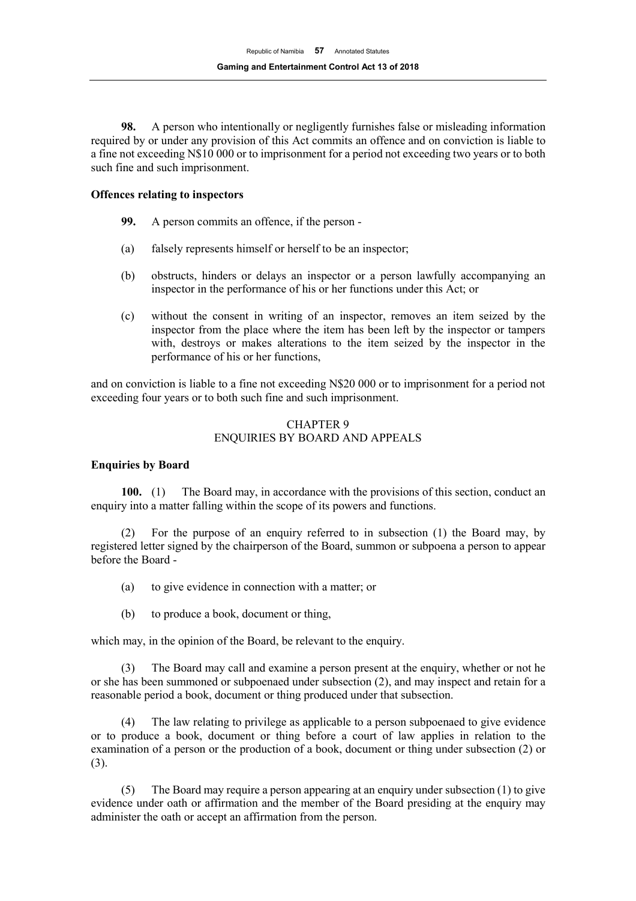**98.** A person who intentionally or negligently furnishes false or misleading information required by or under any provision of this Act commits an offence and on conviction is liable to a fine not exceeding N\$10 000 or to imprisonment for a period not exceeding two years or to both such fine and such imprisonment.

## **Offences relating to inspectors**

- **99.** A person commits an offence, if the person -
- (a) falsely represents himself or herself to be an inspector;
- (b) obstructs, hinders or delays an inspector or a person lawfully accompanying an inspector in the performance of his or her functions under this Act; or
- (c) without the consent in writing of an inspector, removes an item seized by the inspector from the place where the item has been left by the inspector or tampers with, destroys or makes alterations to the item seized by the inspector in the performance of his or her functions,

and on conviction is liable to a fine not exceeding N\$20 000 or to imprisonment for a period not exceeding four years or to both such fine and such imprisonment.

## CHAPTER 9 ENQUIRIES BY BOARD AND APPEALS

## **Enquiries by Board**

**100.** (1) The Board may, in accordance with the provisions of this section, conduct an enquiry into a matter falling within the scope of its powers and functions.

(2) For the purpose of an enquiry referred to in subsection (1) the Board may, by registered letter signed by the chairperson of the Board, summon or subpoena a person to appear before the Board -

- (a) to give evidence in connection with a matter; or
- (b) to produce a book, document or thing,

which may, in the opinion of the Board, be relevant to the enquiry.

(3) The Board may call and examine a person present at the enquiry, whether or not he or she has been summoned or subpoenaed under subsection (2), and may inspect and retain for a reasonable period a book, document or thing produced under that subsection.

(4) The law relating to privilege as applicable to a person subpoenaed to give evidence or to produce a book, document or thing before a court of law applies in relation to the examination of a person or the production of a book, document or thing under subsection (2) or (3).

(5) The Board may require a person appearing at an enquiry under subsection (1) to give evidence under oath or affirmation and the member of the Board presiding at the enquiry may administer the oath or accept an affirmation from the person.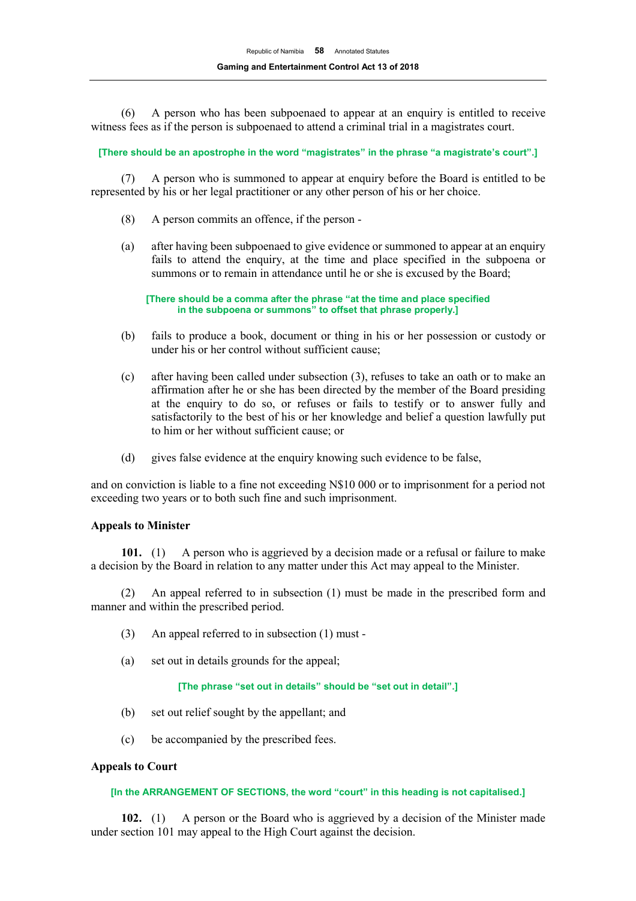(6) A person who has been subpoenaed to appear at an enquiry is entitled to receive witness fees as if the person is subpoenaed to attend a criminal trial in a magistrates court.

**[There should be an apostrophe in the word "magistrates" in the phrase "a magistrate's court".]**

(7) A person who is summoned to appear at enquiry before the Board is entitled to be represented by his or her legal practitioner or any other person of his or her choice.

- (8) A person commits an offence, if the person -
- (a) after having been subpoenaed to give evidence or summoned to appear at an enquiry fails to attend the enquiry, at the time and place specified in the subpoena or summons or to remain in attendance until he or she is excused by the Board;

**[There should be a comma after the phrase "at the time and place specified in the subpoena or summons" to offset that phrase properly.]**

- (b) fails to produce a book, document or thing in his or her possession or custody or under his or her control without sufficient cause;
- (c) after having been called under subsection (3), refuses to take an oath or to make an affirmation after he or she has been directed by the member of the Board presiding at the enquiry to do so, or refuses or fails to testify or to answer fully and satisfactorily to the best of his or her knowledge and belief a question lawfully put to him or her without sufficient cause; or
- (d) gives false evidence at the enquiry knowing such evidence to be false,

and on conviction is liable to a fine not exceeding N\$10 000 or to imprisonment for a period not exceeding two years or to both such fine and such imprisonment.

#### **Appeals to Minister**

**101.** (1) A person who is aggrieved by a decision made or a refusal or failure to make a decision by the Board in relation to any matter under this Act may appeal to the Minister.

(2) An appeal referred to in subsection (1) must be made in the prescribed form and manner and within the prescribed period.

- (3) An appeal referred to in subsection (1) must -
- (a) set out in details grounds for the appeal;

#### **[The phrase "set out in details" should be "set out in detail".]**

- (b) set out relief sought by the appellant; and
- (c) be accompanied by the prescribed fees.

#### **Appeals to Court**

#### **[In the ARRANGEMENT OF SECTIONS, the word "court" in this heading is not capitalised.]**

**102.** (1) A person or the Board who is aggrieved by a decision of the Minister made under section 101 may appeal to the High Court against the decision.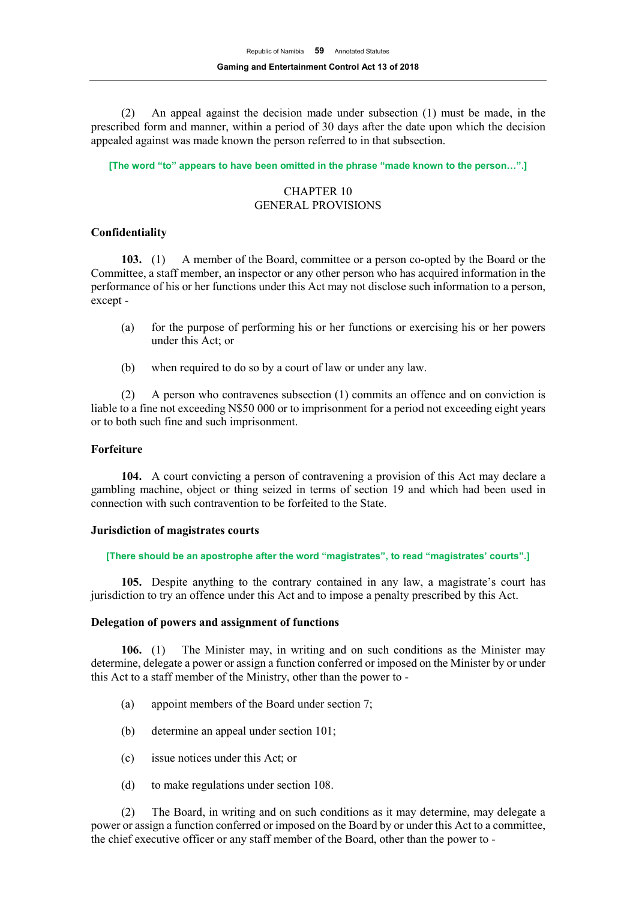(2) An appeal against the decision made under subsection (1) must be made, in the prescribed form and manner, within a period of 30 days after the date upon which the decision appealed against was made known the person referred to in that subsection.

**[The word "to" appears to have been omitted in the phrase "made known to the person…".]**

# CHAPTER 10 GENERAL PROVISIONS

## **Confidentiality**

**103.** (1) A member of the Board, committee or a person co-opted by the Board or the Committee, a staff member, an inspector or any other person who has acquired information in the performance of his or her functions under this Act may not disclose such information to a person, except -

- (a) for the purpose of performing his or her functions or exercising his or her powers under this Act; or
- (b) when required to do so by a court of law or under any law.

(2) A person who contravenes subsection (1) commits an offence and on conviction is liable to a fine not exceeding N\$50 000 or to imprisonment for a period not exceeding eight years or to both such fine and such imprisonment.

#### **Forfeiture**

**104.** A court convicting a person of contravening a provision of this Act may declare a gambling machine, object or thing seized in terms of section 19 and which had been used in connection with such contravention to be forfeited to the State.

#### **Jurisdiction of magistrates courts**

#### **[There should be an apostrophe after the word "magistrates", to read "magistrates' courts".]**

**105.** Despite anything to the contrary contained in any law, a magistrate's court has jurisdiction to try an offence under this Act and to impose a penalty prescribed by this Act.

#### **Delegation of powers and assignment of functions**

**106.** (1) The Minister may, in writing and on such conditions as the Minister may determine, delegate a power or assign a function conferred or imposed on the Minister by or under this Act to a staff member of the Ministry, other than the power to -

- (a) appoint members of the Board under section 7;
- (b) determine an appeal under section 101;
- (c) issue notices under this Act; or
- (d) to make regulations under section 108.

(2) The Board, in writing and on such conditions as it may determine, may delegate a power or assign a function conferred or imposed on the Board by or under this Act to a committee, the chief executive officer or any staff member of the Board, other than the power to -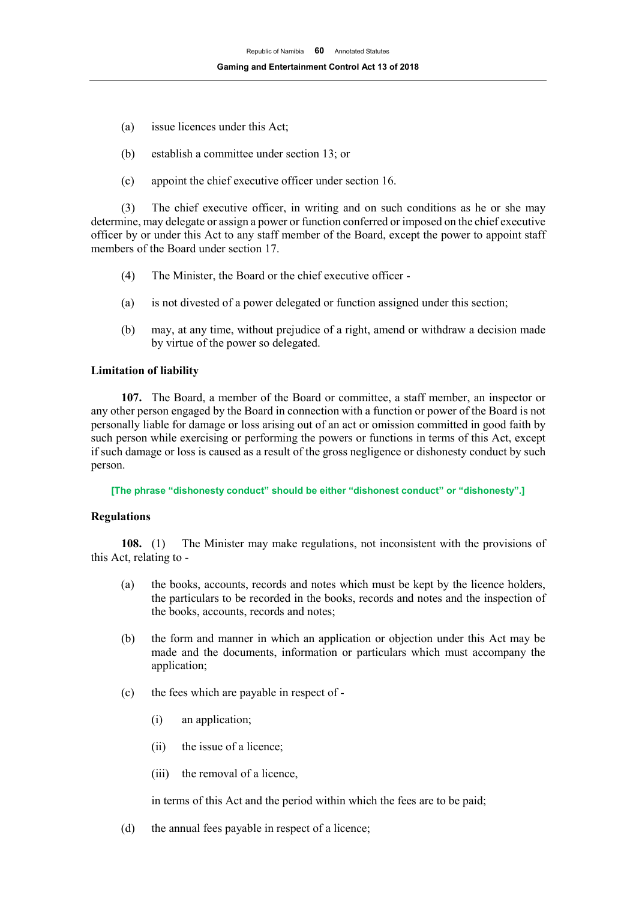- (a) issue licences under this Act;
- (b) establish a committee under section 13; or
- (c) appoint the chief executive officer under section 16.

(3) The chief executive officer, in writing and on such conditions as he or she may determine, may delegate or assign a power or function conferred or imposed on the chief executive officer by or under this Act to any staff member of the Board, except the power to appoint staff members of the Board under section 17.

- (4) The Minister, the Board or the chief executive officer -
- (a) is not divested of a power delegated or function assigned under this section;
- (b) may, at any time, without prejudice of a right, amend or withdraw a decision made by virtue of the power so delegated.

## **Limitation of liability**

**107.** The Board, a member of the Board or committee, a staff member, an inspector or any other person engaged by the Board in connection with a function or power of the Board is not personally liable for damage or loss arising out of an act or omission committed in good faith by such person while exercising or performing the powers or functions in terms of this Act, except if such damage or loss is caused as a result of the gross negligence or dishonesty conduct by such person.

**[The phrase "dishonesty conduct" should be either "dishonest conduct" or "dishonesty".]**

#### **Regulations**

**108.** (1) The Minister may make regulations, not inconsistent with the provisions of this Act, relating to -

- (a) the books, accounts, records and notes which must be kept by the licence holders, the particulars to be recorded in the books, records and notes and the inspection of the books, accounts, records and notes;
- (b) the form and manner in which an application or objection under this Act may be made and the documents, information or particulars which must accompany the application;
- (c) the fees which are payable in respect of
	- (i) an application;
	- (ii) the issue of a licence;
	- (iii) the removal of a licence,

in terms of this Act and the period within which the fees are to be paid;

(d) the annual fees payable in respect of a licence;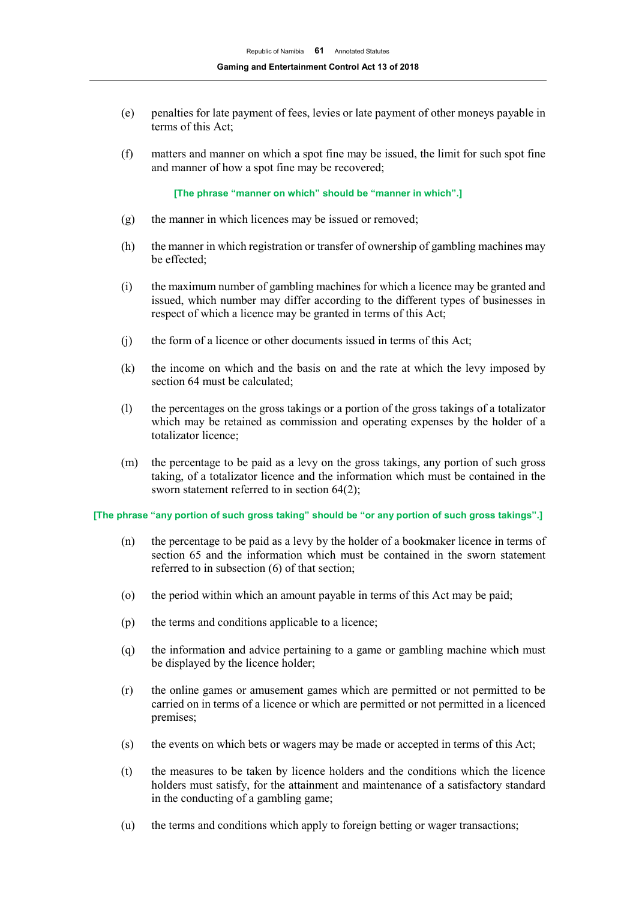- (e) penalties for late payment of fees, levies or late payment of other moneys payable in terms of this Act;
- (f) matters and manner on which a spot fine may be issued, the limit for such spot fine and manner of how a spot fine may be recovered;

**[The phrase "manner on which" should be "manner in which".]**

- (g) the manner in which licences may be issued or removed;
- (h) the manner in which registration or transfer of ownership of gambling machines may be effected;
- (i) the maximum number of gambling machines for which a licence may be granted and issued, which number may differ according to the different types of businesses in respect of which a licence may be granted in terms of this Act;
- (j) the form of a licence or other documents issued in terms of this Act;
- (k) the income on which and the basis on and the rate at which the levy imposed by section 64 must be calculated;
- (l) the percentages on the gross takings or a portion of the gross takings of a totalizator which may be retained as commission and operating expenses by the holder of a totalizator licence;
- (m) the percentage to be paid as a levy on the gross takings, any portion of such gross taking, of a totalizator licence and the information which must be contained in the sworn statement referred to in section 64(2);

#### **[The phrase "any portion of such gross taking" should be "or any portion of such gross takings".]**

- (n) the percentage to be paid as a levy by the holder of a bookmaker licence in terms of section 65 and the information which must be contained in the sworn statement referred to in subsection (6) of that section;
- (o) the period within which an amount payable in terms of this Act may be paid;
- (p) the terms and conditions applicable to a licence;
- (q) the information and advice pertaining to a game or gambling machine which must be displayed by the licence holder;
- (r) the online games or amusement games which are permitted or not permitted to be carried on in terms of a licence or which are permitted or not permitted in a licenced premises;
- (s) the events on which bets or wagers may be made or accepted in terms of this Act;
- (t) the measures to be taken by licence holders and the conditions which the licence holders must satisfy, for the attainment and maintenance of a satisfactory standard in the conducting of a gambling game;
- (u) the terms and conditions which apply to foreign betting or wager transactions;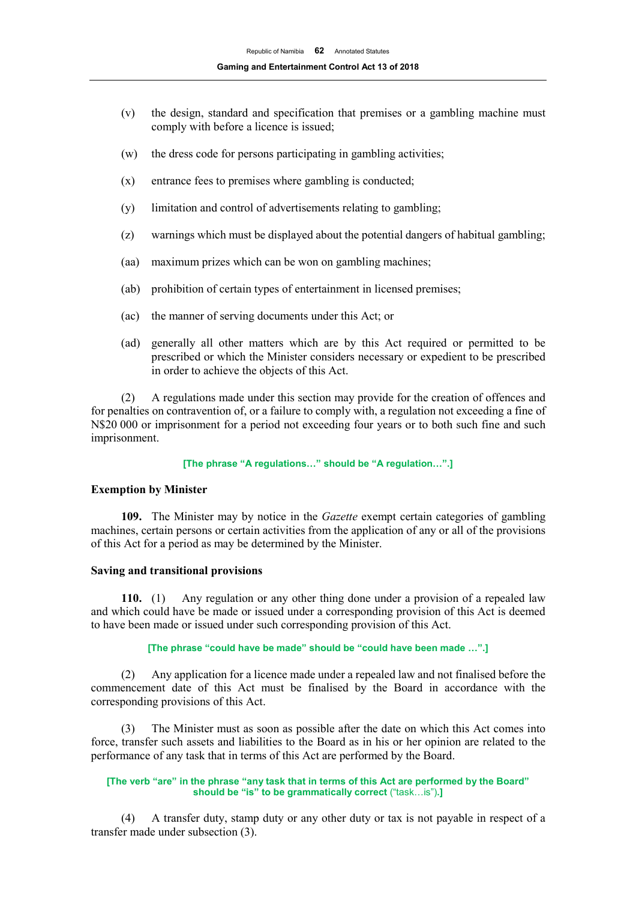- (v) the design, standard and specification that premises or a gambling machine must comply with before a licence is issued;
- (w) the dress code for persons participating in gambling activities;
- (x) entrance fees to premises where gambling is conducted;
- (y) limitation and control of advertisements relating to gambling;
- (z) warnings which must be displayed about the potential dangers of habitual gambling;
- (aa) maximum prizes which can be won on gambling machines;
- (ab) prohibition of certain types of entertainment in licensed premises;
- (ac) the manner of serving documents under this Act; or
- (ad) generally all other matters which are by this Act required or permitted to be prescribed or which the Minister considers necessary or expedient to be prescribed in order to achieve the objects of this Act.

(2) A regulations made under this section may provide for the creation of offences and for penalties on contravention of, or a failure to comply with, a regulation not exceeding a fine of N\$20 000 or imprisonment for a period not exceeding four years or to both such fine and such imprisonment.

#### **[The phrase "A regulations…" should be "A regulation…".]**

#### **Exemption by Minister**

**109.** The Minister may by notice in the *Gazette* exempt certain categories of gambling machines, certain persons or certain activities from the application of any or all of the provisions of this Act for a period as may be determined by the Minister.

#### **Saving and transitional provisions**

**110.** (1) Any regulation or any other thing done under a provision of a repealed law and which could have be made or issued under a corresponding provision of this Act is deemed to have been made or issued under such corresponding provision of this Act.

#### **[The phrase "could have be made" should be "could have been made …".]**

(2) Any application for a licence made under a repealed law and not finalised before the commencement date of this Act must be finalised by the Board in accordance with the corresponding provisions of this Act.

(3) The Minister must as soon as possible after the date on which this Act comes into force, transfer such assets and liabilities to the Board as in his or her opinion are related to the performance of any task that in terms of this Act are performed by the Board.

#### **[The verb "are" in the phrase "any task that in terms of this Act are performed by the Board" should be "is" to be grammatically correct** ("task…is")**.]**

(4) A transfer duty, stamp duty or any other duty or tax is not payable in respect of a transfer made under subsection (3).